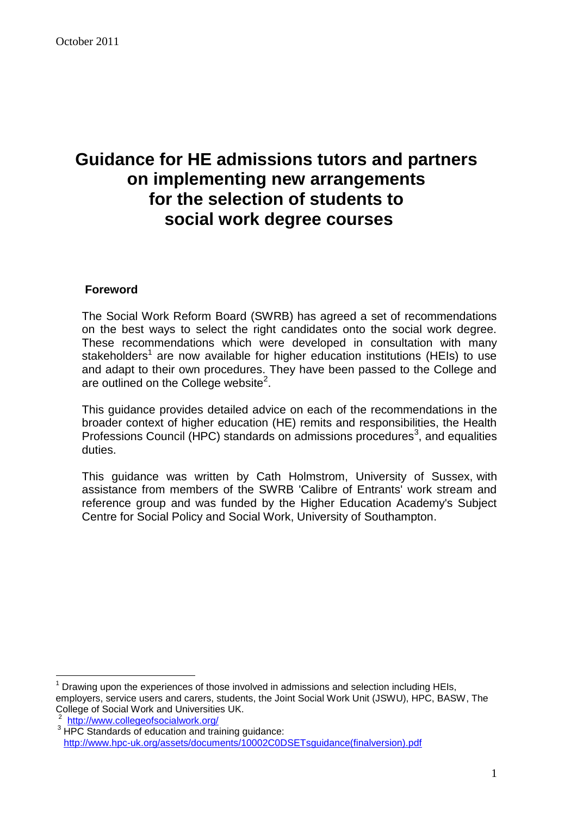# **Guidance for HE admissions tutors and partners on implementing new arrangements for the selection of students to social work degree courses**

#### **Foreword**

The Social Work Reform Board (SWRB) has agreed a set of recommendations on the best ways to select the right candidates onto the social work degree. These recommendations which were developed in consultation with many stakeholders<sup>1</sup> are now available for higher education institutions (HEIs) to use and adapt to their own procedures. They have been passed to the College and are outlined on the College website<sup>2</sup>.

This guidance provides detailed advice on each of the recommendations in the broader context of higher education (HE) remits and responsibilities, the Health Professions Council (HPC) standards on admissions procedures<sup>3</sup>, and equalities duties.

This guidance was written by Cath Holmstrom, University of Sussex, with assistance from members of the SWRB 'Calibre of Entrants' work stream and reference group and was funded by the Higher Education Academy's Subject Centre for Social Policy and Social Work, University of Southampton.

 $\overline{a}$  $<sup>1</sup>$  Drawing upon the experiences of those involved in admissions and selection including HEIs,</sup> employers, service users and carers, students, the Joint Social Work Unit (JSWU), HPC, BASW, The College of Social Work and Universities UK.

<sup>&</sup>lt;sup>2</sup> <http://www.collegeofsocialwork.org/>

<sup>&</sup>lt;sup>3</sup> HPC Standards of education and training guidance: [http://www.hpc-uk.org/assets/documents/10002C0DSETsguidance\(finalversion\).pdf](http://www.hpc-uk.org/assets/documents/10002C0DSETsguidance(finalversion).pdf)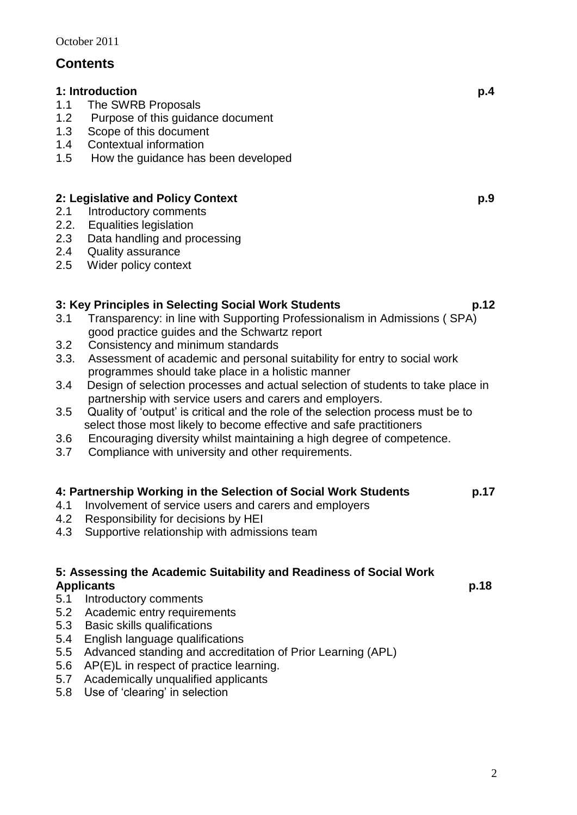## **Contents**

#### **1: Introduction p.4**

- 1.1 The SWRB Proposals
- 1.2 Purpose of this guidance document
- 1.3 Scope of this document
- 1.4 Contextual information<br>1.5 How the quidance has
- How the guidance has been developed

## **2: Legislative and Policy Context p.9**

- 2.1 Introductory comments
- 2.2. Equalities legislation
- 2.3 Data handling and processing
- 2.4 Quality assurance
- 2.5 Wider policy context

## **3: Key Principles in Selecting Social Work Students p.12**

- 3.1 Transparency: in line with Supporting Professionalism in Admissions ( SPA) good practice guides and the Schwartz report<br>3.2 Consistency and minimum standards
- 3.2 Consistency and minimum standards
- 3.3. Assessment of academic and personal suitability for entry to social work programmes should take place in a holistic manner
- 3.4 Design of selection processes and actual selection of students to take place in partnership with service users and carers and employers.
- 3.5 Quality of 'output' is critical and the role of the selection process must be to select those most likely to become effective and safe practitioners
- 3.6 Encouraging diversity whilst maintaining a high degree of competence.
- 3.7 Compliance with university and other requirements.

## **4: Partnership Working in the Selection of Social Work Students p.17**

- 4.1 Involvement of service users and carers and employers
- 4.2 Responsibility for decisions by HEI
- 4.3 Supportive relationship with admissions team

#### **5: Assessing the Academic Suitability and Readiness of Social Work**  Applicants **p.18**

- 5.1 Introductory comments
- 5.2 Academic entry requirements
- 5.3 Basic skills qualifications
- 5.4 English language qualifications
- 5.5 Advanced standing and accreditation of Prior Learning (APL)
- 5.6 AP(E)L in respect of practice learning.
- 5.7 Academically unqualified applicants
- 5.8 Use of 'clearing' in selection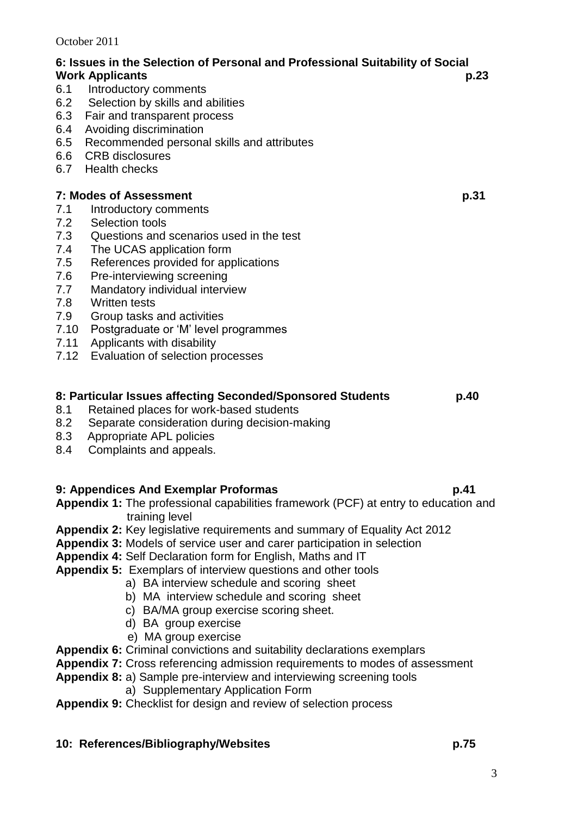3

**6: Issues in the Selection of Personal and Professional Suitability of Social Work Applicants p.23** 6.1 Introductory comments<br>6.2 Selection by skills and a Selection by skills and abilities 6.3 Fair and transparent process 6.4 Avoiding discrimination 6.5 Recommended personal skills and attributes 6.6 CRB disclosures 6.7 Health checks **7:** Modes of Assessment p.31 7.1 Introductory comments<br>7.2 Selection tools Selection tools 7.3 Questions and scenarios used in the test 7.4 The UCAS application form 7.5 References provided for applications 7.6 Pre-interviewing screening 7.7 Mandatory individual interview 7.8 Written tests 7.9 Group tasks and activities 7.10 Postgraduate or 'M' level programmes 7.11 Applicants with disability 7.12 Evaluation of selection processes **8: Particular Issues affecting Seconded/Sponsored Students p.40**  8.1 Retained places for work-based students 8.2 Separate consideration during decision-making 8.3 Appropriate APL policies 8.4 Complaints and appeals.

## **9: Appendices And Exemplar Proformas p.41**

- **Appendix 1:** The professional capabilities framework (PCF) at entry to education and training level
- **Appendix 2:** Key legislative requirements and summary of Equality Act 2012
- **Appendix 3:** Models of service user and carer participation in selection
- **Appendix 4:** Self Declaration form for English, Maths and IT
- **Appendix 5:** Exemplars of interview questions and other tools
	- a) BA interview schedule and scoring sheet
	- b) MA interview schedule and scoring sheet
	- c) BA/MA group exercise scoring sheet.
	- d) BA group exercise
	- e) MA group exercise
- **Appendix 6:** Criminal convictions and suitability declarations exemplars
- **Appendix 7:** Cross referencing admission requirements to modes of assessment
- **Appendix 8:** a) Sample pre-interview and interviewing screening tools
	- a) Supplementary Application Form
- **Appendix 9:** Checklist for design and review of selection process

## **10: References/Bibliography/Websites p.75**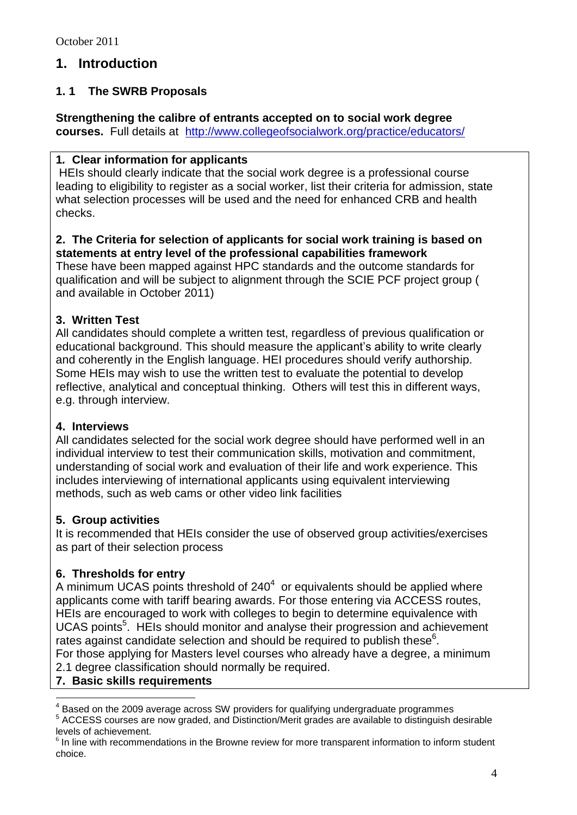## **1. Introduction**

## **1. 1 The SWRB Proposals**

#### **Strengthening the calibre of entrants accepted on to social work degree**

**courses.** Full details at <http://www.collegeofsocialwork.org/practice/educators/>

### **1***.* **Clear information for applicants**

HEIs should clearly indicate that the social work degree is a professional course leading to eligibility to register as a social worker, list their criteria for admission, state what selection processes will be used and the need for enhanced CRB and health checks.

#### **2. The Criteria for selection of applicants for social work training is based on statements at entry level of the professional capabilities framework**

These have been mapped against HPC standards and the outcome standards for qualification and will be subject to alignment through the SCIE PCF project group ( and available in October 2011)

## **3. Written Test**

All candidates should complete a written test, regardless of previous qualification or educational background. This should measure the applicant's ability to write clearly and coherently in the English language. HEI procedures should verify authorship. Some HEIs may wish to use the written test to evaluate the potential to develop reflective, analytical and conceptual thinking. Others will test this in different ways, e.g. through interview.

#### **4. Interviews**

All candidates selected for the social work degree should have performed well in an individual interview to test their communication skills, motivation and commitment, understanding of social work and evaluation of their life and work experience. This includes interviewing of international applicants using equivalent interviewing methods, such as web cams or other video link facilities

## **5. Group activities**

It is recommended that HEIs consider the use of observed group activities/exercises as part of their selection process

## **6. Thresholds for entry**

A minimum UCAS points threshold of  $240<sup>4</sup>$  or equivalents should be applied where applicants come with tariff bearing awards. For those entering via ACCESS routes, HEIs are encouraged to work with colleges to begin to determine equivalence with UCAS points<sup>5</sup>. HEIs should monitor and analyse their progression and achievement rates against candidate selection and should be required to publish these $6$ . For those applying for Masters level courses who already have a degree, a minimum

- 2.1 degree classification should normally be required.
- **7. Basic skills requirements**

 $\overline{a}$ 

<sup>4</sup> Based on the 2009 average across SW providers for qualifying undergraduate programmes

<sup>5</sup> ACCESS courses are now graded, and Distinction/Merit grades are available to distinguish desirable levels of achievement.

 $<sup>6</sup>$  In line with recommendations in the Browne review for more transparent information to inform student</sup> choice.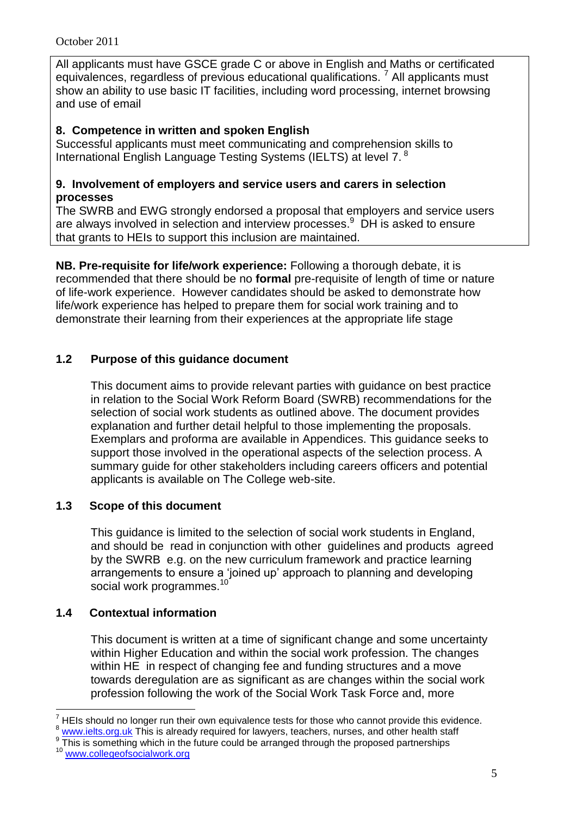All applicants must have GSCE grade C or above in English and Maths or certificated equivalences, regardless of previous educational qualifications.  $^7$  All applicants must show an ability to use basic IT facilities, including word processing, internet browsing and use of email

## **8. Competence in written and spoken English**

Successful applicants must meet communicating and comprehension skills to International English Language Testing Systems (IELTS) at level 7.<sup>8</sup>

#### **9. Involvement of employers and service users and carers in selection processes**

The SWRB and EWG strongly endorsed a proposal that employers and service users are always involved in selection and interview processes.<sup>9</sup> DH is asked to ensure that grants to HEIs to support this inclusion are maintained.

**NB. Pre-requisite for life/work experience:** Following a thorough debate, it is recommended that there should be no **formal** pre-requisite of length of time or nature of life-work experience. However candidates should be asked to demonstrate how life/work experience has helped to prepare them for social work training and to demonstrate their learning from their experiences at the appropriate life stage

## **1.2 Purpose of this guidance document**

This document aims to provide relevant parties with guidance on best practice in relation to the Social Work Reform Board (SWRB) recommendations for the selection of social work students as outlined above. The document provides explanation and further detail helpful to those implementing the proposals. Exemplars and proforma are available in Appendices. This guidance seeks to support those involved in the operational aspects of the selection process. A summary guide for other stakeholders including careers officers and potential applicants is available on The College web-site.

#### **1.3 Scope of this document**

This guidance is limited to the selection of social work students in England, and should be read in conjunction with other guidelines and products agreed by the SWRB e.g. on the new curriculum framework and practice learning arrangements to ensure a 'joined up' approach to planning and developing social work programmes.<sup>10</sup>

#### **1.4 Contextual information**

This document is written at a time of significant change and some uncertainty within Higher Education and within the social work profession. The changes within HE in respect of changing fee and funding structures and a move towards deregulation are as significant as are changes within the social work profession following the work of the Social Work Task Force and, more

 $\overline{a}$ <sup>7</sup> HEIs should no longer run their own equivalence tests for those who cannot provide this evidence.

[www.ielts.org.uk](http://www.ielts.org.uk/) This is already required for lawyers, teachers, nurses, and other health staff 9

This is something which in the future could be arranged through the proposed partnerships

<sup>&</sup>lt;sup>10</sup> [www.collegeofsocialwork.org](http://www.collegeofsocialwork.org/)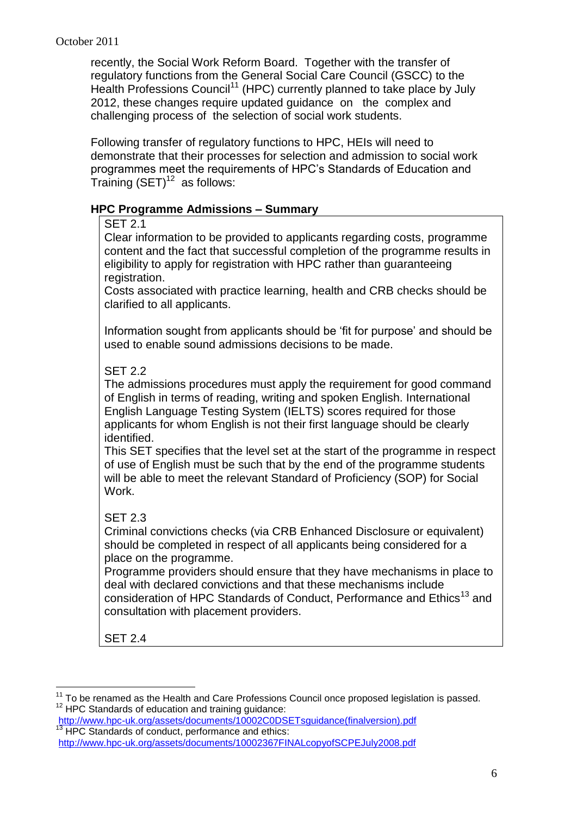recently, the Social Work Reform Board. Together with the transfer of regulatory functions from the General Social Care Council (GSCC) to the Health Professions Council<sup>11</sup> (HPC) currently planned to take place by July 2012, these changes require updated guidance on the complex and challenging process of the selection of social work students.

Following transfer of regulatory functions to HPC, HEIs will need to demonstrate that their processes for selection and admission to social work programmes meet the requirements of HPC's Standards of Education and Training  $\left(\text{SET}\right)^{12}$  as follows:

#### **HPC Programme Admissions – Summary**

#### SET 2.1

Clear information to be provided to applicants regarding costs, programme content and the fact that successful completion of the programme results in eligibility to apply for registration with HPC rather than guaranteeing registration.

Costs associated with practice learning, health and CRB checks should be clarified to all applicants.

Information sought from applicants should be 'fit for purpose' and should be used to enable sound admissions decisions to be made.

## SET 2.2

The admissions procedures must apply the requirement for good command of English in terms of reading, writing and spoken English. International English Language Testing System (IELTS) scores required for those applicants for whom English is not their first language should be clearly identified.

This SET specifies that the level set at the start of the programme in respect of use of English must be such that by the end of the programme students will be able to meet the relevant Standard of Proficiency (SOP) for Social Work.

## SET 2.3

Criminal convictions checks (via CRB Enhanced Disclosure or equivalent) should be completed in respect of all applicants being considered for a place on the programme.

Programme providers should ensure that they have mechanisms in place to deal with declared convictions and that these mechanisms include consideration of HPC Standards of Conduct, Performance and Ethics<sup>13</sup> and consultation with placement providers.

SET 2.4

 $\overline{a}$ 

 $11$  To be renamed as the Health and Care Professions Council once proposed legislation is passed.  $12$  HPC Standards of education and training guidance:

[http://www.hpc-uk.org/assets/documents/10002C0DSETsguidance\(finalversion\).pdf](http://www.hpc-uk.org/assets/documents/10002C0DSETsguidance(finalversion).pdf) <sup>13</sup> HPC Standards of conduct, performance and ethics:

<http://www.hpc-uk.org/assets/documents/10002367FINALcopyofSCPEJuly2008.pdf>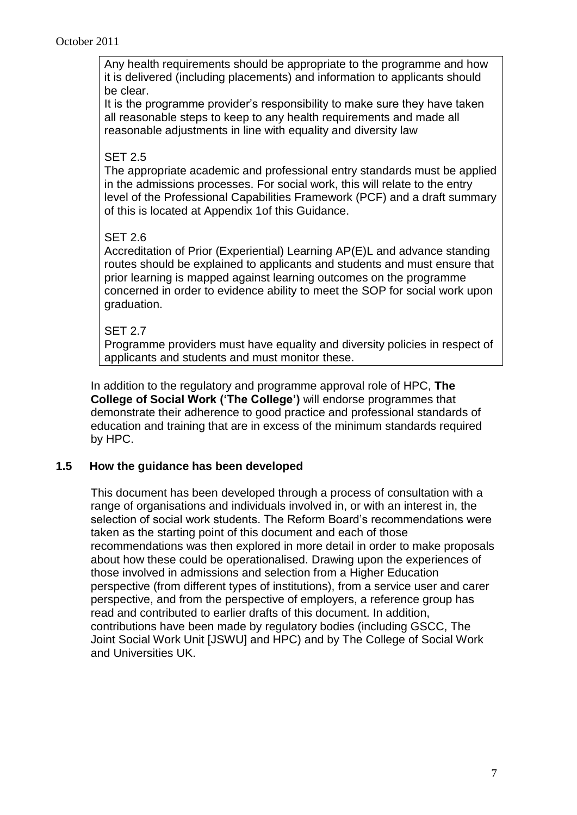Any health requirements should be appropriate to the programme and how it is delivered (including placements) and information to applicants should be clear.

It is the programme provider's responsibility to make sure they have taken all reasonable steps to keep to any health requirements and made all reasonable adjustments in line with equality and diversity law

#### SET 2.5

The appropriate academic and professional entry standards must be applied in the admissions processes. For social work, this will relate to the entry level of the Professional Capabilities Framework (PCF) and a draft summary of this is located at Appendix 1of this Guidance.

#### SET 2.6

Accreditation of Prior (Experiential) Learning AP(E)L and advance standing routes should be explained to applicants and students and must ensure that prior learning is mapped against learning outcomes on the programme concerned in order to evidence ability to meet the SOP for social work upon graduation.

#### SET 2.7

Programme providers must have equality and diversity policies in respect of applicants and students and must monitor these.

In addition to the regulatory and programme approval role of HPC, **The College of Social Work ('The College')** will endorse programmes that demonstrate their adherence to good practice and professional standards of education and training that are in excess of the minimum standards required by HPC.

#### **1.5 How the guidance has been developed**

This document has been developed through a process of consultation with a range of organisations and individuals involved in, or with an interest in, the selection of social work students. The Reform Board's recommendations were taken as the starting point of this document and each of those recommendations was then explored in more detail in order to make proposals about how these could be operationalised. Drawing upon the experiences of those involved in admissions and selection from a Higher Education perspective (from different types of institutions), from a service user and carer perspective, and from the perspective of employers, a reference group has read and contributed to earlier drafts of this document. In addition, contributions have been made by regulatory bodies (including GSCC, The Joint Social Work Unit [JSWU] and HPC) and by The College of Social Work and Universities UK.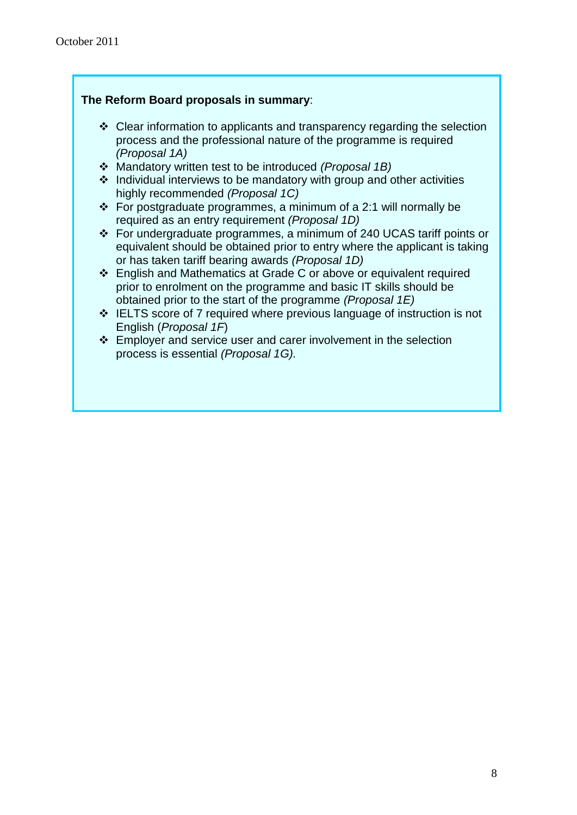#### **The Reform Board proposals in summary**:

- $\div$  Clear information to applicants and transparency regarding the selection process and the professional nature of the programme is required *(Proposal 1A)*
- Mandatory written test to be introduced *(Proposal 1B)*
- $\cdot$  Individual interviews to be mandatory with group and other activities highly recommended *(Proposal 1C)*
- For postgraduate programmes, a minimum of a 2:1 will normally be required as an entry requirement *(Proposal 1D)*
- For undergraduate programmes, a minimum of 240 UCAS tariff points or equivalent should be obtained prior to entry where the applicant is taking or has taken tariff bearing awards *(Proposal 1D)*
- English and Mathematics at Grade C or above or equivalent required prior to enrolment on the programme and basic IT skills should be obtained prior to the start of the programme *(Proposal 1E)*
- $\div$  IELTS score of 7 required where previous language of instruction is not English (*Proposal 1F*)
- $\cdot$  Employer and service user and carer involvement in the selection process is essential *(Proposal 1G).*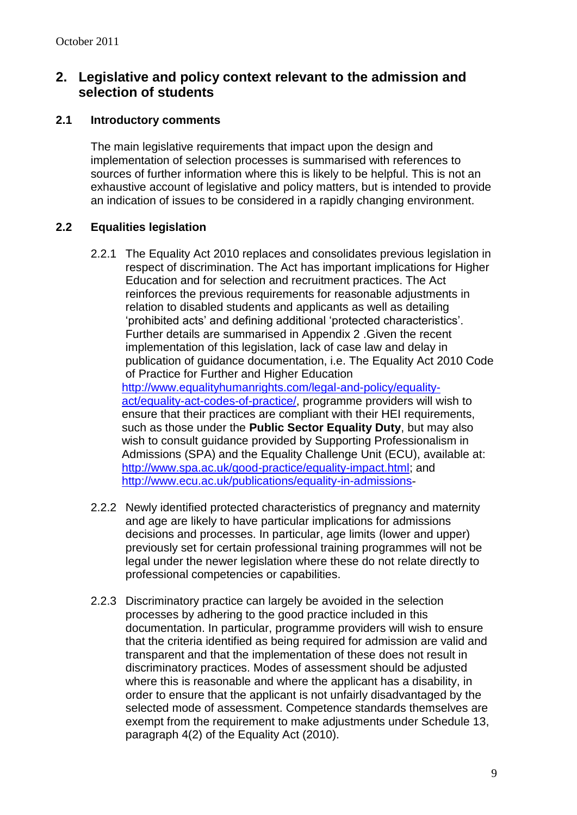## **2. Legislative and policy context relevant to the admission and selection of students**

#### **2.1 Introductory comments**

The main legislative requirements that impact upon the design and implementation of selection processes is summarised with references to sources of further information where this is likely to be helpful. This is not an exhaustive account of legislative and policy matters, but is intended to provide an indication of issues to be considered in a rapidly changing environment.

#### **2.2 Equalities legislation**

- 2.2.1 The Equality Act 2010 replaces and consolidates previous legislation in respect of discrimination. The Act has important implications for Higher Education and for selection and recruitment practices. The Act reinforces the previous requirements for reasonable adjustments in relation to disabled students and applicants as well as detailing 'prohibited acts' and defining additional 'protected characteristics'. Further details are summarised in Appendix 2 .Given the recent implementation of this legislation, lack of case law and delay in publication of guidance documentation, i.e. The Equality Act 2010 Code of Practice for Further and Higher Education [http://www.equalityhumanrights.com/legal-and-policy/equality](http://www.equalityhumanrights.com/legal-and-policy/equality-act/equality-act-codes-of-practice/)[act/equality-act-codes-of-practice/,](http://www.equalityhumanrights.com/legal-and-policy/equality-act/equality-act-codes-of-practice/) programme providers will wish to ensure that their practices are compliant with their HEI requirements, such as those under the **Public Sector Equality Duty**, but may also wish to consult guidance provided by Supporting Professionalism in Admissions (SPA) and the Equality Challenge Unit (ECU), available at: [http://www.spa.ac.uk/good-practice/equality-impact.html;](http://www.spa.ac.uk/good-practice/equality-impact.html) and <http://www.ecu.ac.uk/publications/equality-in-admissions>-
- 2.2.2 Newly identified protected characteristics of pregnancy and maternity and age are likely to have particular implications for admissions decisions and processes. In particular, age limits (lower and upper) previously set for certain professional training programmes will not be legal under the newer legislation where these do not relate directly to professional competencies or capabilities.
- 2.2.3 Discriminatory practice can largely be avoided in the selection processes by adhering to the good practice included in this documentation. In particular, programme providers will wish to ensure that the criteria identified as being required for admission are valid and transparent and that the implementation of these does not result in discriminatory practices. Modes of assessment should be adjusted where this is reasonable and where the applicant has a disability, in order to ensure that the applicant is not unfairly disadvantaged by the selected mode of assessment. Competence standards themselves are exempt from the requirement to make adjustments under Schedule 13, paragraph 4(2) of the Equality Act (2010).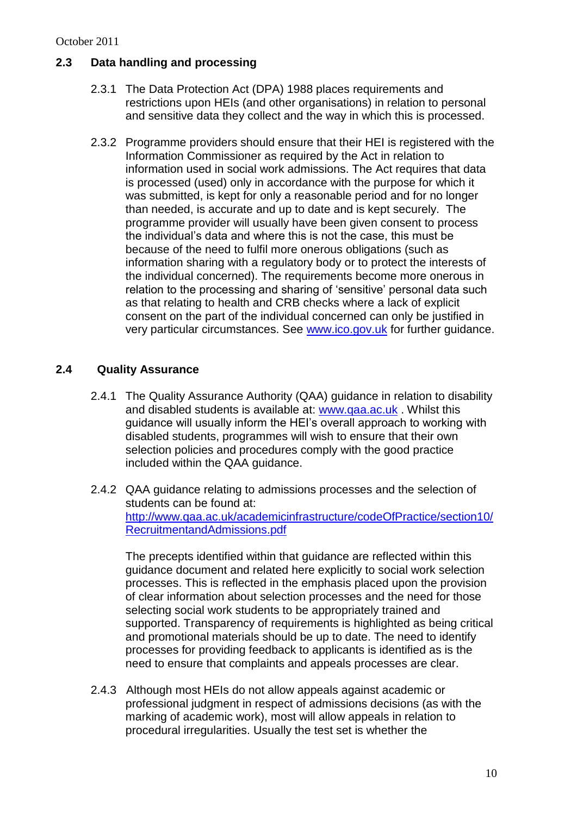#### October 2011

### **2.3 Data handling and processing**

- 2.3.1 The Data Protection Act (DPA) 1988 places requirements and restrictions upon HEIs (and other organisations) in relation to personal and sensitive data they collect and the way in which this is processed.
- 2.3.2 Programme providers should ensure that their HEI is registered with the Information Commissioner as required by the Act in relation to information used in social work admissions. The Act requires that data is processed (used) only in accordance with the purpose for which it was submitted, is kept for only a reasonable period and for no longer than needed, is accurate and up to date and is kept securely. The programme provider will usually have been given consent to process the individual's data and where this is not the case, this must be because of the need to fulfil more onerous obligations (such as information sharing with a regulatory body or to protect the interests of the individual concerned). The requirements become more onerous in relation to the processing and sharing of 'sensitive' personal data such as that relating to health and CRB checks where a lack of explicit consent on the part of the individual concerned can only be justified in very particular circumstances. See [www.ico.gov.uk](http://www.ico.gov.uk/) for further guidance.

## **2.4 Quality Assurance**

- 2.4.1 The Quality Assurance Authority (QAA) guidance in relation to disability and disabled students is available at: [www.qaa.ac.uk](http://www.qaa.ac.uk/) . Whilst this guidance will usually inform the HEI's overall approach to working with disabled students, programmes will wish to ensure that their own selection policies and procedures comply with the good practice included within the QAA guidance.
- 2.4.2 QAA guidance relating to admissions processes and the selection of students can be found at: [http://www.qaa.ac.uk/academicinfrastructure/codeOfPractice/section10/](http://www.qaa.ac.uk/academicinfrastructure/codeOfPractice/section10/RecruitmentandAdmissions.pdf) [RecruitmentandAdmissions.pdf](http://www.qaa.ac.uk/academicinfrastructure/codeOfPractice/section10/RecruitmentandAdmissions.pdf)

The precepts identified within that guidance are reflected within this guidance document and related here explicitly to social work selection processes. This is reflected in the emphasis placed upon the provision of clear information about selection processes and the need for those selecting social work students to be appropriately trained and supported. Transparency of requirements is highlighted as being critical and promotional materials should be up to date. The need to identify processes for providing feedback to applicants is identified as is the need to ensure that complaints and appeals processes are clear.

2.4.3 Although most HEIs do not allow appeals against academic or professional judgment in respect of admissions decisions (as with the marking of academic work), most will allow appeals in relation to procedural irregularities. Usually the test set is whether the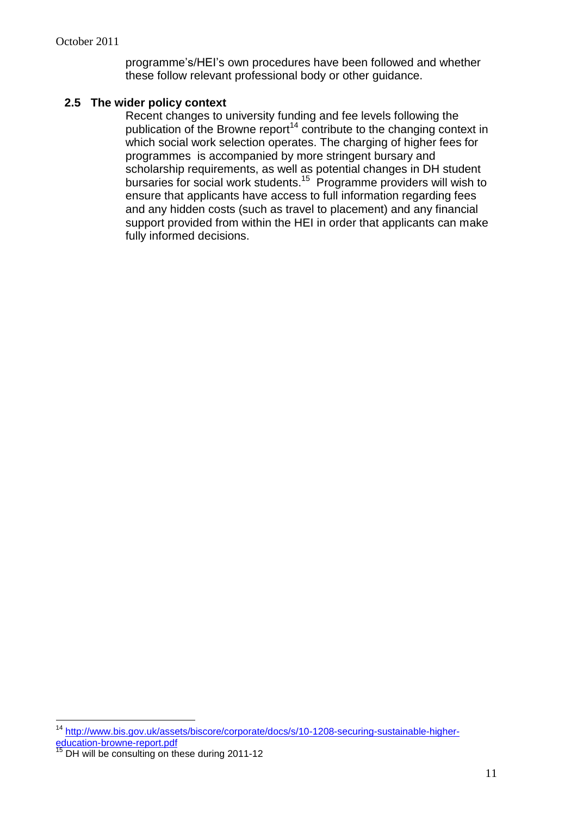programme's/HEI's own procedures have been followed and whether these follow relevant professional body or other guidance.

#### **2.5 The wider policy context**

Recent changes to university funding and fee levels following the publication of the Browne report<sup>14</sup> contribute to the changing context in which social work selection operates. The charging of higher fees for programmes is accompanied by more stringent bursary and scholarship requirements, as well as potential changes in DH student bursaries for social work students.<sup>15</sup> Programme providers will wish to ensure that applicants have access to full information regarding fees and any hidden costs (such as travel to placement) and any financial support provided from within the HEI in order that applicants can make fully informed decisions.

 $\overline{a}$ <sup>14</sup> [http://www.bis.gov.uk/assets/biscore/corporate/docs/s/10-1208-securing-sustainable-higher](http://www.bis.gov.uk/assets/biscore/corporate/docs/s/10-1208-securing-sustainable-higher-education-browne-report.pdf)[education-browne-report.pdf](http://www.bis.gov.uk/assets/biscore/corporate/docs/s/10-1208-securing-sustainable-higher-education-browne-report.pdf)

 $15$  DH will be consulting on these during 2011-12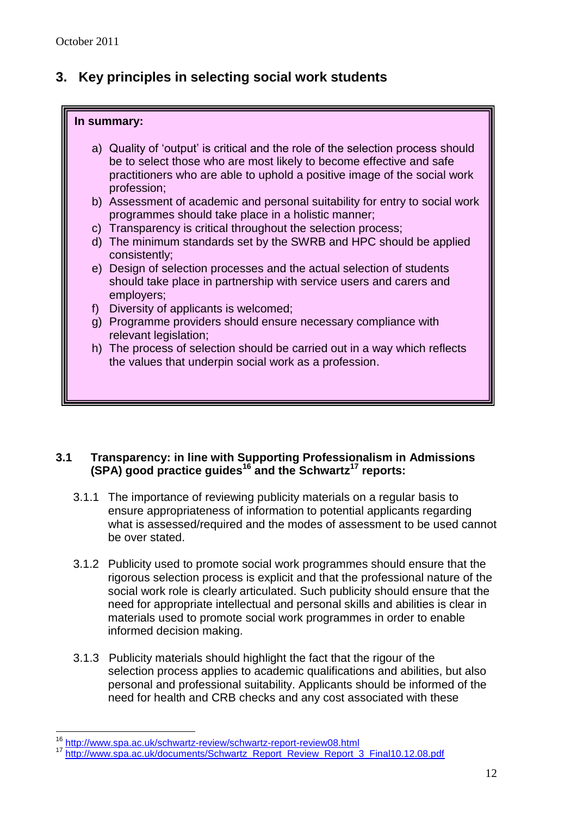## **3. Key principles in selecting social work students**

#### **In summary:**

- a) Quality of 'output' is critical and the role of the selection process should be to select those who are most likely to become effective and safe practitioners who are able to uphold a positive image of the social work profession;
- b) Assessment of academic and personal suitability for entry to social work programmes should take place in a holistic manner;
- c) Transparency is critical throughout the selection process;
- d) The minimum standards set by the SWRB and HPC should be applied consistently;
- e) Design of selection processes and the actual selection of students should take place in partnership with service users and carers and employers;
- f) Diversity of applicants is welcomed;
- g) Programme providers should ensure necessary compliance with relevant legislation;
- h) The process of selection should be carried out in a way which reflects the values that underpin social work as a profession.

#### **3.1 Transparency: in line with Supporting Professionalism in Admissions (SPA) good practice guides<sup>16</sup> and the Schwartz<sup>17</sup> reports:**

- 3.1.1 The importance of reviewing publicity materials on a regular basis to ensure appropriateness of information to potential applicants regarding what is assessed/required and the modes of assessment to be used cannot be over stated.
- 3.1.2 Publicity used to promote social work programmes should ensure that the rigorous selection process is explicit and that the professional nature of the social work role is clearly articulated. Such publicity should ensure that the need for appropriate intellectual and personal skills and abilities is clear in materials used to promote social work programmes in order to enable informed decision making.
- 3.1.3 Publicity materials should highlight the fact that the rigour of the selection process applies to academic qualifications and abilities, but also personal and professional suitability. Applicants should be informed of the need for health and CRB checks and any cost associated with these

 $\overline{a}$ 

<sup>16</sup> <http://www.spa.ac.uk/schwartz-review/schwartz-report-review08.html>

<sup>17</sup> [http://www.spa.ac.uk/documents/Schwartz\\_Report\\_Review\\_Report\\_3\\_Final10.12.08.pdf](http://www.spa.ac.uk/documents/Schwartz_Report_Review_Report_3_Final10.12.08.pdf)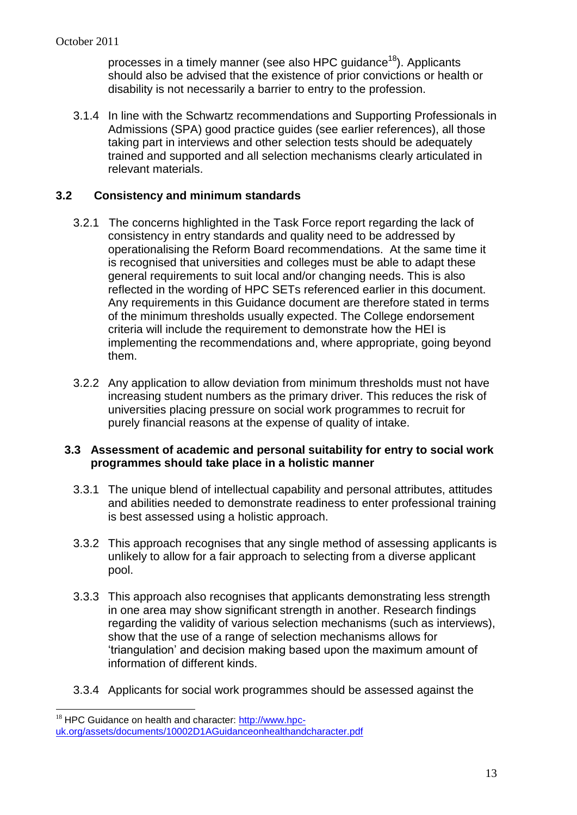processes in a timely manner (see also HPC guidance<sup>18</sup>). Applicants should also be advised that the existence of prior convictions or health or disability is not necessarily a barrier to entry to the profession.

3.1.4 In line with the Schwartz recommendations and Supporting Professionals in Admissions (SPA) good practice guides (see earlier references), all those taking part in interviews and other selection tests should be adequately trained and supported and all selection mechanisms clearly articulated in relevant materials.

### **3.2 Consistency and minimum standards**

- 3.2.1 The concerns highlighted in the Task Force report regarding the lack of consistency in entry standards and quality need to be addressed by operationalising the Reform Board recommendations. At the same time it is recognised that universities and colleges must be able to adapt these general requirements to suit local and/or changing needs. This is also reflected in the wording of HPC SETs referenced earlier in this document. Any requirements in this Guidance document are therefore stated in terms of the minimum thresholds usually expected. The College endorsement criteria will include the requirement to demonstrate how the HEI is implementing the recommendations and, where appropriate, going beyond them.
- 3.2.2 Any application to allow deviation from minimum thresholds must not have increasing student numbers as the primary driver. This reduces the risk of universities placing pressure on social work programmes to recruit for purely financial reasons at the expense of quality of intake.

#### **3.3 Assessment of academic and personal suitability for entry to social work programmes should take place in a holistic manner**

- 3.3.1 The unique blend of intellectual capability and personal attributes, attitudes and abilities needed to demonstrate readiness to enter professional training is best assessed using a holistic approach.
- 3.3.2 This approach recognises that any single method of assessing applicants is unlikely to allow for a fair approach to selecting from a diverse applicant pool.
- 3.3.3 This approach also recognises that applicants demonstrating less strength in one area may show significant strength in another. Research findings regarding the validity of various selection mechanisms (such as interviews), show that the use of a range of selection mechanisms allows for 'triangulation' and decision making based upon the maximum amount of information of different kinds.
- 3.3.4 Applicants for social work programmes should be assessed against the

 $\overline{a}$ 

 $18$  HPC Guidance on health and character: [http://www.hpc](http://www.hpc-uk.org/assets/documents/10002D1AGuidanceonhealthandcharacter.pdf)[uk.org/assets/documents/10002D1AGuidanceonhealthandcharacter.pdf](http://www.hpc-uk.org/assets/documents/10002D1AGuidanceonhealthandcharacter.pdf)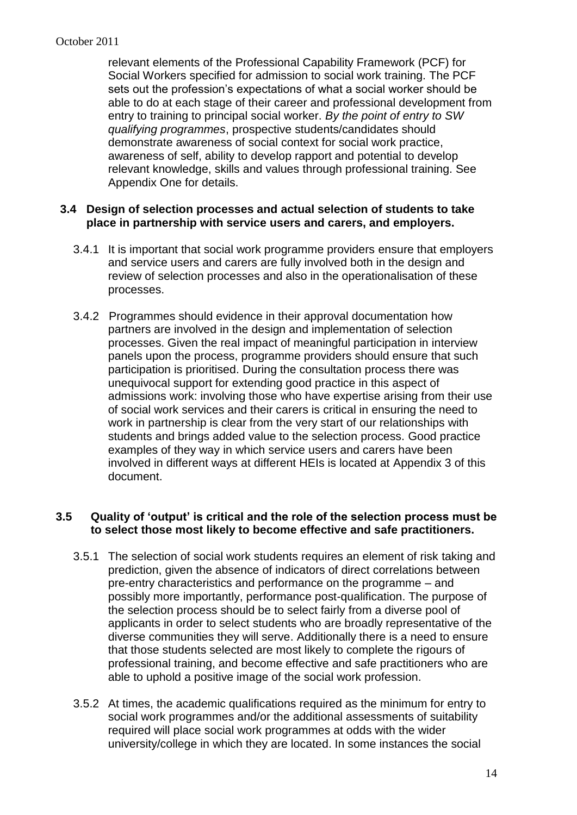relevant elements of the Professional Capability Framework (PCF) for Social Workers specified for admission to social work training. The PCF sets out the profession's expectations of what a social worker should be able to do at each stage of their career and professional development from entry to training to principal social worker. *By the point of entry to SW qualifying programmes*, prospective students/candidates should demonstrate awareness of social context for social work practice, awareness of self, ability to develop rapport and potential to develop relevant knowledge, skills and values through professional training. See Appendix One for details.

#### **3.4 Design of selection processes and actual selection of students to take place in partnership with service users and carers, and employers.**

- 3.4.1 It is important that social work programme providers ensure that employers and service users and carers are fully involved both in the design and review of selection processes and also in the operationalisation of these processes.
- 3.4.2 Programmes should evidence in their approval documentation how partners are involved in the design and implementation of selection processes. Given the real impact of meaningful participation in interview panels upon the process, programme providers should ensure that such participation is prioritised. During the consultation process there was unequivocal support for extending good practice in this aspect of admissions work: involving those who have expertise arising from their use of social work services and their carers is critical in ensuring the need to work in partnership is clear from the very start of our relationships with students and brings added value to the selection process. Good practice examples of they way in which service users and carers have been involved in different ways at different HEIs is located at Appendix 3 of this document.

#### **3.5 Quality of 'output' is critical and the role of the selection process must be to select those most likely to become effective and safe practitioners.**

- 3.5.1 The selection of social work students requires an element of risk taking and prediction, given the absence of indicators of direct correlations between pre-entry characteristics and performance on the programme – and possibly more importantly, performance post-qualification. The purpose of the selection process should be to select fairly from a diverse pool of applicants in order to select students who are broadly representative of the diverse communities they will serve. Additionally there is a need to ensure that those students selected are most likely to complete the rigours of professional training, and become effective and safe practitioners who are able to uphold a positive image of the social work profession.
- 3.5.2 At times, the academic qualifications required as the minimum for entry to social work programmes and/or the additional assessments of suitability required will place social work programmes at odds with the wider university/college in which they are located. In some instances the social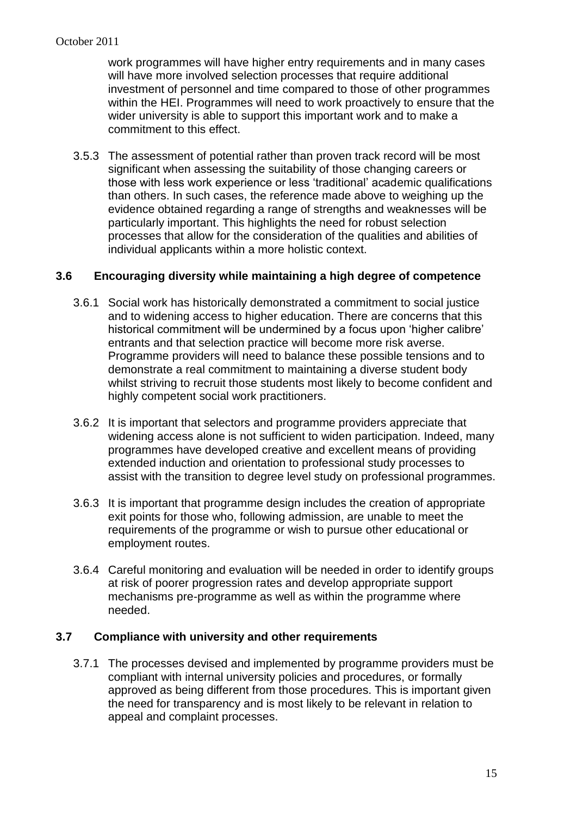work programmes will have higher entry requirements and in many cases will have more involved selection processes that require additional investment of personnel and time compared to those of other programmes within the HEI. Programmes will need to work proactively to ensure that the wider university is able to support this important work and to make a commitment to this effect.

3.5.3 The assessment of potential rather than proven track record will be most significant when assessing the suitability of those changing careers or those with less work experience or less 'traditional' academic qualifications than others. In such cases, the reference made above to weighing up the evidence obtained regarding a range of strengths and weaknesses will be particularly important. This highlights the need for robust selection processes that allow for the consideration of the qualities and abilities of individual applicants within a more holistic context.

#### **3.6 Encouraging diversity while maintaining a high degree of competence**

- 3.6.1 Social work has historically demonstrated a commitment to social justice and to widening access to higher education. There are concerns that this historical commitment will be undermined by a focus upon 'higher calibre' entrants and that selection practice will become more risk averse. Programme providers will need to balance these possible tensions and to demonstrate a real commitment to maintaining a diverse student body whilst striving to recruit those students most likely to become confident and highly competent social work practitioners.
- 3.6.2 It is important that selectors and programme providers appreciate that widening access alone is not sufficient to widen participation. Indeed, many programmes have developed creative and excellent means of providing extended induction and orientation to professional study processes to assist with the transition to degree level study on professional programmes.
- 3.6.3 It is important that programme design includes the creation of appropriate exit points for those who, following admission, are unable to meet the requirements of the programme or wish to pursue other educational or employment routes.
- 3.6.4 Careful monitoring and evaluation will be needed in order to identify groups at risk of poorer progression rates and develop appropriate support mechanisms pre-programme as well as within the programme where needed.

#### **3.7 Compliance with university and other requirements**

3.7.1 The processes devised and implemented by programme providers must be compliant with internal university policies and procedures, or formally approved as being different from those procedures. This is important given the need for transparency and is most likely to be relevant in relation to appeal and complaint processes.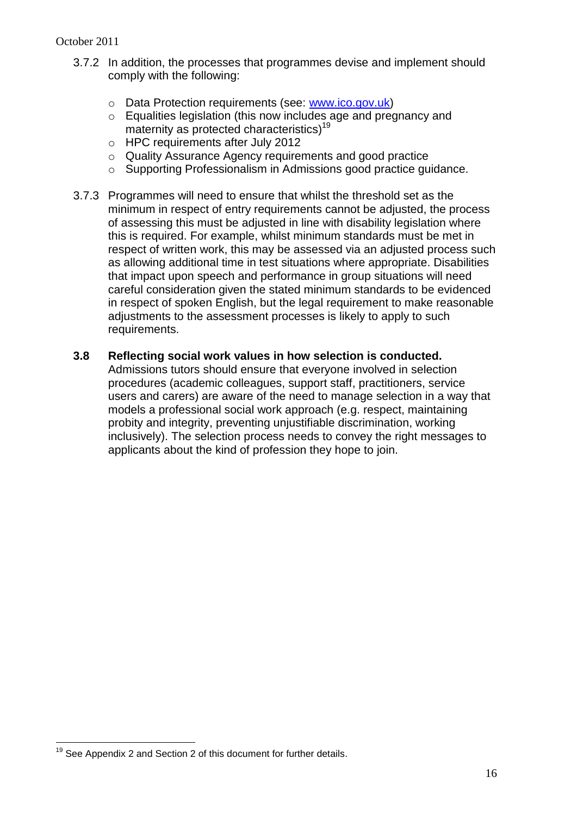- 3.7.2 In addition, the processes that programmes devise and implement should comply with the following:
	- o Data Protection requirements (see: [www.ico.gov.uk\)](http://www.ico.gov.uk/)
	- o Equalities legislation (this now includes age and pregnancy and maternity as protected characteristics)<sup>19</sup>
	- o HPC requirements after July 2012
	- o Quality Assurance Agency requirements and good practice
	- o Supporting Professionalism in Admissions good practice guidance.
- 3.7.3 Programmes will need to ensure that whilst the threshold set as the minimum in respect of entry requirements cannot be adjusted, the process of assessing this must be adjusted in line with disability legislation where this is required. For example, whilst minimum standards must be met in respect of written work, this may be assessed via an adjusted process such as allowing additional time in test situations where appropriate. Disabilities that impact upon speech and performance in group situations will need careful consideration given the stated minimum standards to be evidenced in respect of spoken English, but the legal requirement to make reasonable adjustments to the assessment processes is likely to apply to such requirements.

#### **3.8 Reflecting social work values in how selection is conducted.**

Admissions tutors should ensure that everyone involved in selection procedures (academic colleagues, support staff, practitioners, service users and carers) are aware of the need to manage selection in a way that models a professional social work approach (e.g. respect, maintaining probity and integrity, preventing unjustifiable discrimination, working inclusively). The selection process needs to convey the right messages to applicants about the kind of profession they hope to join.

 $\overline{a}$ 

 $19$  See Appendix 2 and Section 2 of this document for further details.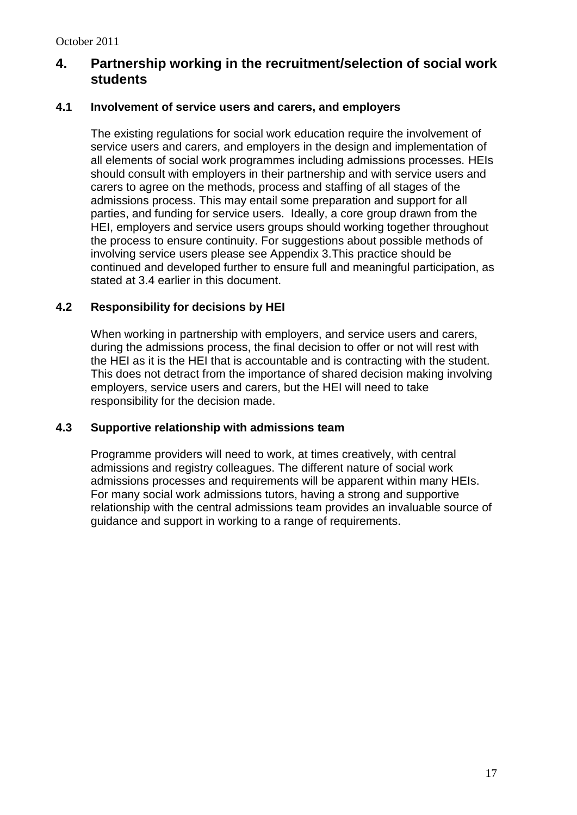## **4. Partnership working in the recruitment/selection of social work students**

#### **4.1 Involvement of service users and carers, and employers**

The existing regulations for social work education require the involvement of service users and carers, and employers in the design and implementation of all elements of social work programmes including admissions processes. HEIs should consult with employers in their partnership and with service users and carers to agree on the methods, process and staffing of all stages of the admissions process. This may entail some preparation and support for all parties, and funding for service users. Ideally, a core group drawn from the HEI, employers and service users groups should working together throughout the process to ensure continuity. For suggestions about possible methods of involving service users please see Appendix 3.This practice should be continued and developed further to ensure full and meaningful participation, as stated at 3.4 earlier in this document.

#### **4.2 Responsibility for decisions by HEI**

When working in partnership with employers, and service users and carers, during the admissions process, the final decision to offer or not will rest with the HEI as it is the HEI that is accountable and is contracting with the student. This does not detract from the importance of shared decision making involving employers, service users and carers, but the HEI will need to take responsibility for the decision made.

#### **4.3 Supportive relationship with admissions team**

Programme providers will need to work, at times creatively, with central admissions and registry colleagues. The different nature of social work admissions processes and requirements will be apparent within many HEIs. For many social work admissions tutors, having a strong and supportive relationship with the central admissions team provides an invaluable source of guidance and support in working to a range of requirements.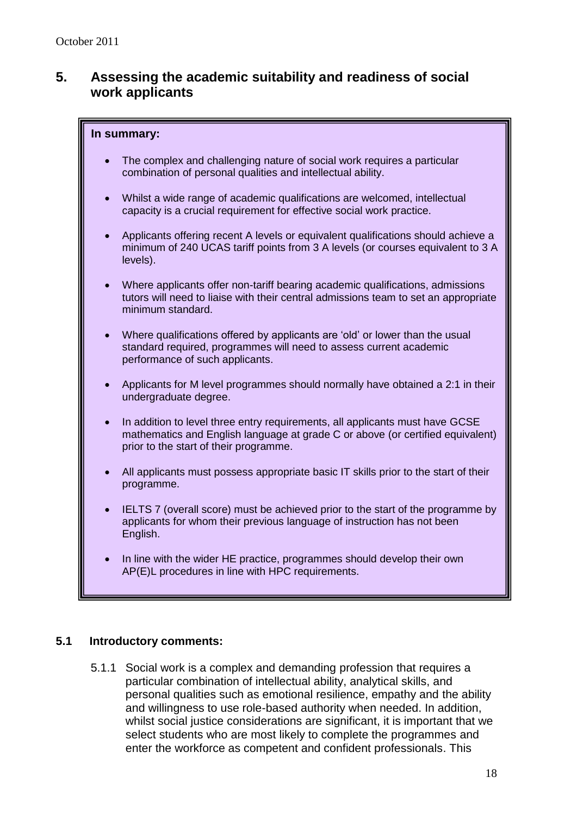## **5. Assessing the academic suitability and readiness of social work applicants**

#### **In summary:**

- The complex and challenging nature of social work requires a particular combination of personal qualities and intellectual ability.
- Whilst a wide range of academic qualifications are welcomed, intellectual capacity is a crucial requirement for effective social work practice.
- Applicants offering recent A levels or equivalent qualifications should achieve a minimum of 240 UCAS tariff points from 3 A levels (or courses equivalent to 3 A levels).
- Where applicants offer non-tariff bearing academic qualifications, admissions tutors will need to liaise with their central admissions team to set an appropriate minimum standard.
- Where qualifications offered by applicants are 'old' or lower than the usual standard required, programmes will need to assess current academic performance of such applicants.
- Applicants for M level programmes should normally have obtained a 2:1 in their undergraduate degree.
- In addition to level three entry requirements, all applicants must have GCSE mathematics and English language at grade C or above (or certified equivalent) prior to the start of their programme.
- All applicants must possess appropriate basic IT skills prior to the start of their programme.
- IELTS 7 (overall score) must be achieved prior to the start of the programme by applicants for whom their previous language of instruction has not been English.
- In line with the wider HE practice, programmes should develop their own AP(E)L procedures in line with HPC requirements.

The use of  $U$  is to be avoided so far as possible so far as possible so far as  $\rho$ 

#### **5.1 Introductory comments:**

5.1.1 Social work is a complex and demanding profession that requires a particular combination of intellectual ability, analytical skills, and personal qualities such as emotional resilience, empathy and the ability and willingness to use role-based authority when needed. In addition, whilst social justice considerations are significant, it is important that we select students who are most likely to complete the programmes and enter the workforce as competent and confident professionals. This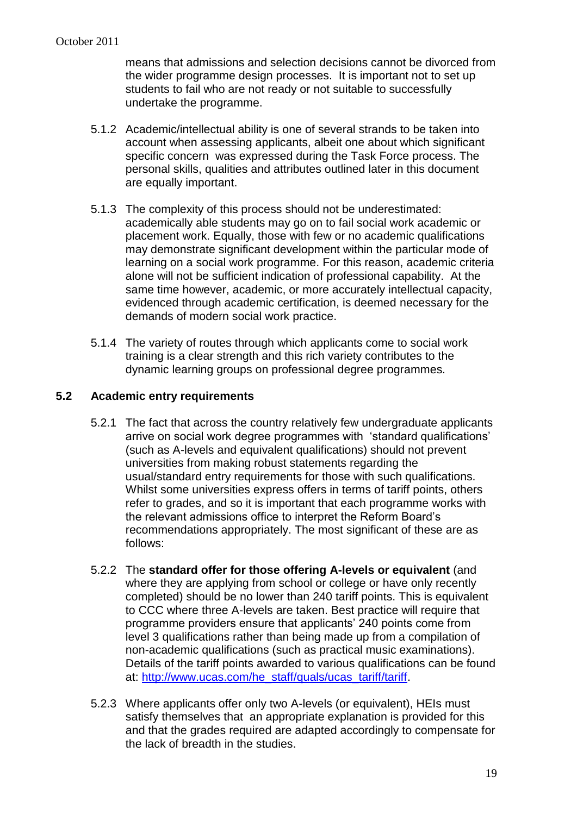means that admissions and selection decisions cannot be divorced from the wider programme design processes. It is important not to set up students to fail who are not ready or not suitable to successfully undertake the programme.

- 5.1.2 Academic/intellectual ability is one of several strands to be taken into account when assessing applicants, albeit one about which significant specific concern was expressed during the Task Force process. The personal skills, qualities and attributes outlined later in this document are equally important.
- 5.1.3 The complexity of this process should not be underestimated: academically able students may go on to fail social work academic or placement work. Equally, those with few or no academic qualifications may demonstrate significant development within the particular mode of learning on a social work programme. For this reason, academic criteria alone will not be sufficient indication of professional capability. At the same time however, academic, or more accurately intellectual capacity, evidenced through academic certification, is deemed necessary for the demands of modern social work practice.
- 5.1.4 The variety of routes through which applicants come to social work training is a clear strength and this rich variety contributes to the dynamic learning groups on professional degree programmes.

## **5.2 Academic entry requirements**

- 5.2.1 The fact that across the country relatively few undergraduate applicants arrive on social work degree programmes with 'standard qualifications' (such as A-levels and equivalent qualifications) should not prevent universities from making robust statements regarding the usual/standard entry requirements for those with such qualifications. Whilst some universities express offers in terms of tariff points, others refer to grades, and so it is important that each programme works with the relevant admissions office to interpret the Reform Board's recommendations appropriately. The most significant of these are as follows:
- 5.2.2 The **standard offer for those offering A-levels or equivalent** (and where they are applying from school or college or have only recently completed) should be no lower than 240 tariff points. This is equivalent to CCC where three A-levels are taken. Best practice will require that programme providers ensure that applicants' 240 points come from level 3 qualifications rather than being made up from a compilation of non-academic qualifications (such as practical music examinations). Details of the tariff points awarded to various qualifications can be found at: [http://www.ucas.com/he\\_staff/quals/ucas\\_tariff/tariff.](http://www.ucas.com/he_staff/quals/ucas_tariff/tariff)
- 5.2.3 Where applicants offer only two A-levels (or equivalent), HEIs must satisfy themselves that an appropriate explanation is provided for this and that the grades required are adapted accordingly to compensate for the lack of breadth in the studies.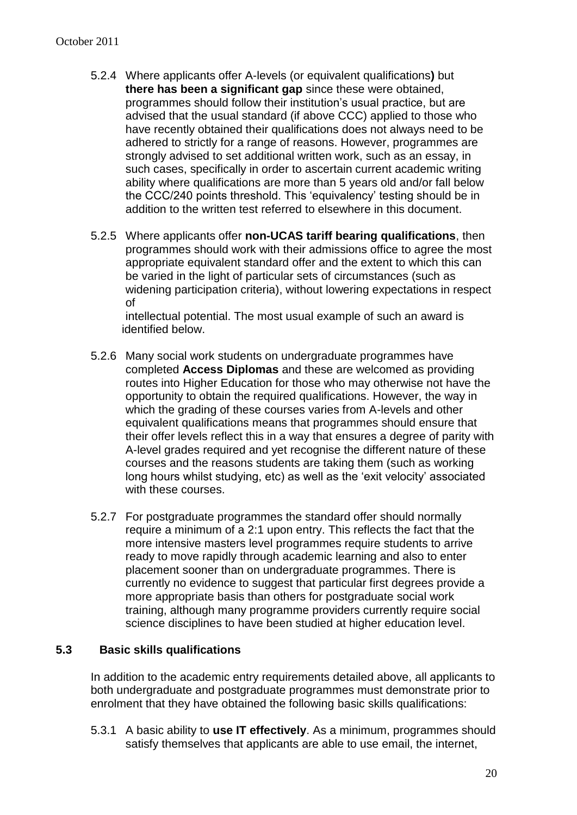- 5.2.4 Where applicants offer A-levels (or equivalent qualifications**)** but **there has been a significant gap** since these were obtained, programmes should follow their institution's usual practice, but are advised that the usual standard (if above CCC) applied to those who have recently obtained their qualifications does not always need to be adhered to strictly for a range of reasons. However, programmes are strongly advised to set additional written work, such as an essay, in such cases, specifically in order to ascertain current academic writing ability where qualifications are more than 5 years old and/or fall below the CCC/240 points threshold. This 'equivalency' testing should be in addition to the written test referred to elsewhere in this document.
- 5.2.5 Where applicants offer **non-UCAS tariff bearing qualifications**, then programmes should work with their admissions office to agree the most appropriate equivalent standard offer and the extent to which this can be varied in the light of particular sets of circumstances (such as widening participation criteria), without lowering expectations in respect of

intellectual potential. The most usual example of such an award is identified below.

- 5.2.6 Many social work students on undergraduate programmes have completed **Access Diplomas** and these are welcomed as providing routes into Higher Education for those who may otherwise not have the opportunity to obtain the required qualifications. However, the way in which the grading of these courses varies from A-levels and other equivalent qualifications means that programmes should ensure that their offer levels reflect this in a way that ensures a degree of parity with A-level grades required and yet recognise the different nature of these courses and the reasons students are taking them (such as working long hours whilst studying, etc) as well as the 'exit velocity' associated with these courses.
- 5.2.7 For postgraduate programmes the standard offer should normally require a minimum of a 2:1 upon entry. This reflects the fact that the more intensive masters level programmes require students to arrive ready to move rapidly through academic learning and also to enter placement sooner than on undergraduate programmes. There is currently no evidence to suggest that particular first degrees provide a more appropriate basis than others for postgraduate social work training, although many programme providers currently require social science disciplines to have been studied at higher education level.

#### **5.3 Basic skills qualifications**

In addition to the academic entry requirements detailed above, all applicants to both undergraduate and postgraduate programmes must demonstrate prior to enrolment that they have obtained the following basic skills qualifications:

5.3.1 A basic ability to **use IT effectively**. As a minimum, programmes should satisfy themselves that applicants are able to use email, the internet,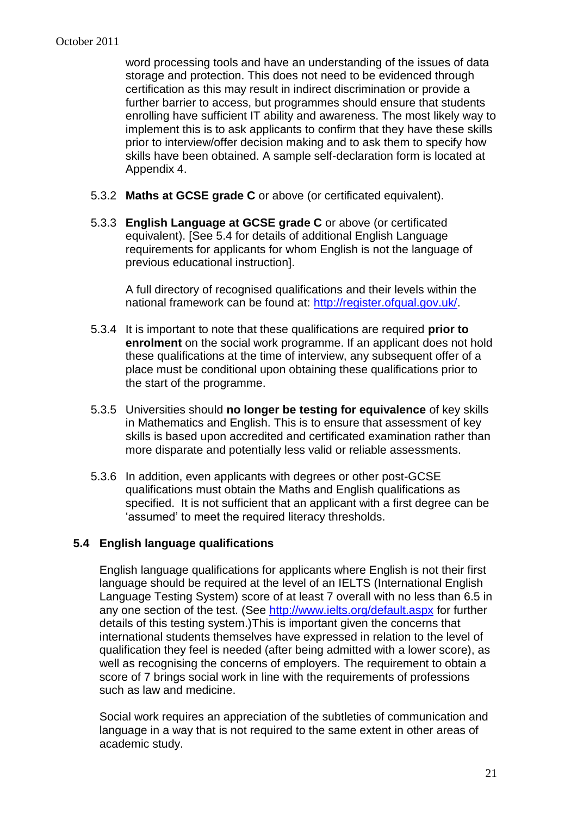word processing tools and have an understanding of the issues of data storage and protection. This does not need to be evidenced through certification as this may result in indirect discrimination or provide a further barrier to access, but programmes should ensure that students enrolling have sufficient IT ability and awareness. The most likely way to implement this is to ask applicants to confirm that they have these skills prior to interview/offer decision making and to ask them to specify how skills have been obtained. A sample self-declaration form is located at Appendix 4.

- 5.3.2 **Maths at GCSE grade C** or above (or certificated equivalent).
- 5.3.3 **English Language at GCSE grade C** or above (or certificated equivalent). [See 5.4 for details of additional English Language requirements for applicants for whom English is not the language of previous educational instruction].

A full directory of recognised qualifications and their levels within the national framework can be found at: [http://register.ofqual.gov.uk/.](http://register.ofqual.gov.uk/)

- 5.3.4 It is important to note that these qualifications are required **prior to enrolment** on the social work programme. If an applicant does not hold these qualifications at the time of interview, any subsequent offer of a place must be conditional upon obtaining these qualifications prior to the start of the programme.
- 5.3.5 Universities should **no longer be testing for equivalence** of key skills in Mathematics and English. This is to ensure that assessment of key skills is based upon accredited and certificated examination rather than more disparate and potentially less valid or reliable assessments.
- 5.3.6 In addition, even applicants with degrees or other post-GCSE qualifications must obtain the Maths and English qualifications as specified. It is not sufficient that an applicant with a first degree can be 'assumed' to meet the required literacy thresholds.

#### **5.4 English language qualifications**

English language qualifications for applicants where English is not their first language should be required at the level of an IELTS (International English Language Testing System) score of at least 7 overall with no less than 6.5 in any one section of the test. (See<http://www.ielts.org/default.aspx> for further details of this testing system.)This is important given the concerns that international students themselves have expressed in relation to the level of qualification they feel is needed (after being admitted with a lower score), as well as recognising the concerns of employers. The requirement to obtain a score of 7 brings social work in line with the requirements of professions such as law and medicine.

Social work requires an appreciation of the subtleties of communication and language in a way that is not required to the same extent in other areas of academic study.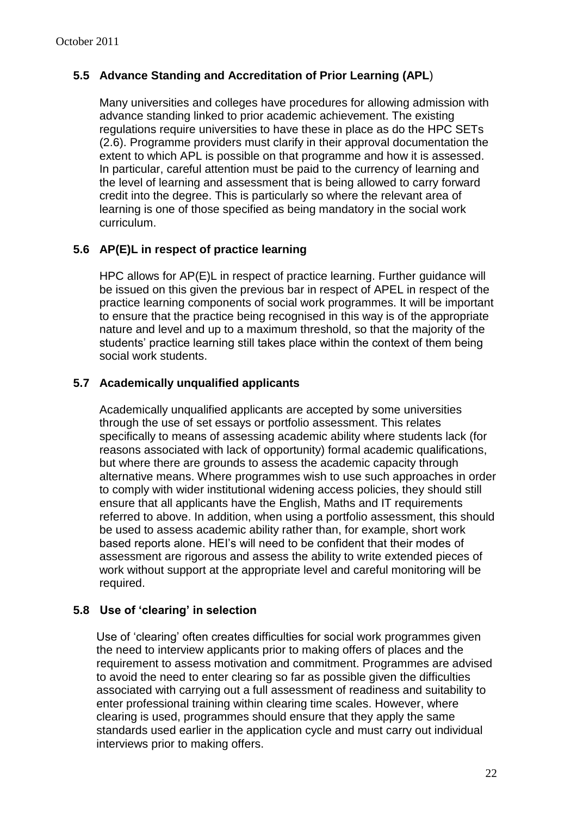## **5.5 Advance Standing and Accreditation of Prior Learning (APL**)

Many universities and colleges have procedures for allowing admission with advance standing linked to prior academic achievement. The existing regulations require universities to have these in place as do the HPC SETs (2.6). Programme providers must clarify in their approval documentation the extent to which APL is possible on that programme and how it is assessed. In particular, careful attention must be paid to the currency of learning and the level of learning and assessment that is being allowed to carry forward credit into the degree. This is particularly so where the relevant area of learning is one of those specified as being mandatory in the social work curriculum.

## **5.6 AP(E)L in respect of practice learning**

HPC allows for AP(E)L in respect of practice learning. Further guidance will be issued on this given the previous bar in respect of APEL in respect of the practice learning components of social work programmes. It will be important to ensure that the practice being recognised in this way is of the appropriate nature and level and up to a maximum threshold, so that the majority of the students' practice learning still takes place within the context of them being social work students.

#### **5.7 Academically unqualified applicants**

Academically unqualified applicants are accepted by some universities through the use of set essays or portfolio assessment. This relates specifically to means of assessing academic ability where students lack (for reasons associated with lack of opportunity) formal academic qualifications, but where there are grounds to assess the academic capacity through alternative means. Where programmes wish to use such approaches in order to comply with wider institutional widening access policies, they should still ensure that all applicants have the English, Maths and IT requirements referred to above. In addition, when using a portfolio assessment, this should be used to assess academic ability rather than, for example, short work based reports alone. HEI's will need to be confident that their modes of assessment are rigorous and assess the ability to write extended pieces of work without support at the appropriate level and careful monitoring will be required.

#### **5.8 Use of 'clearing' in selection**

Use of 'clearing' often creates difficulties for social work programmes given the need to interview applicants prior to making offers of places and the requirement to assess motivation and commitment. Programmes are advised to avoid the need to enter clearing so far as possible given the difficulties associated with carrying out a full assessment of readiness and suitability to enter professional training within clearing time scales. However, where clearing is used, programmes should ensure that they apply the same standards used earlier in the application cycle and must carry out individual interviews prior to making offers.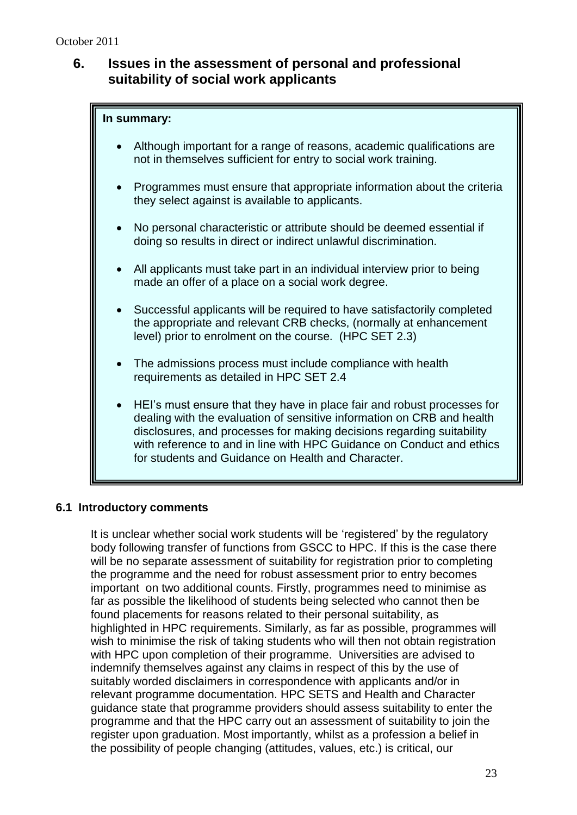## **6. Issues in the assessment of personal and professional suitability of social work applicants**

# **In summary:** Although important for a range of reasons, academic qualifications are not in themselves sufficient for entry to social work training. Programmes must ensure that appropriate information about the criteria they select against is available to applicants. No personal characteristic or attribute should be deemed essential if doing so results in direct or indirect unlawful discrimination. All applicants must take part in an individual interview prior to being made an offer of a place on a social work degree. Successful applicants will be required to have satisfactorily completed the appropriate and relevant CRB checks, (normally at enhancement level) prior to enrolment on the course. (HPC SET 2.3) • The admissions process must include compliance with health requirements as detailed in HPC SET 2.4 HEI's must ensure that they have in place fair and robust processes for dealing with the evaluation of sensitive information on CRB and health disclosures, and processes for making decisions regarding suitability with reference to and in line with HPC Guidance on Conduct and ethics for students and Guidance on Health and Character.

#### **6.1 Introductory comments**

It is unclear whether social work students will be 'registered' by the regulatory body following transfer of functions from GSCC to HPC. If this is the case there will be no separate assessment of suitability for registration prior to completing the programme and the need for robust assessment prior to entry becomes important on two additional counts. Firstly, programmes need to minimise as far as possible the likelihood of students being selected who cannot then be found placements for reasons related to their personal suitability, as highlighted in HPC requirements. Similarly, as far as possible, programmes will wish to minimise the risk of taking students who will then not obtain registration with HPC upon completion of their programme. Universities are advised to indemnify themselves against any claims in respect of this by the use of suitably worded disclaimers in correspondence with applicants and/or in relevant programme documentation. HPC SETS and Health and Character guidance state that programme providers should assess suitability to enter the programme and that the HPC carry out an assessment of suitability to join the register upon graduation. Most importantly, whilst as a profession a belief in the possibility of people changing (attitudes, values, etc.) is critical, our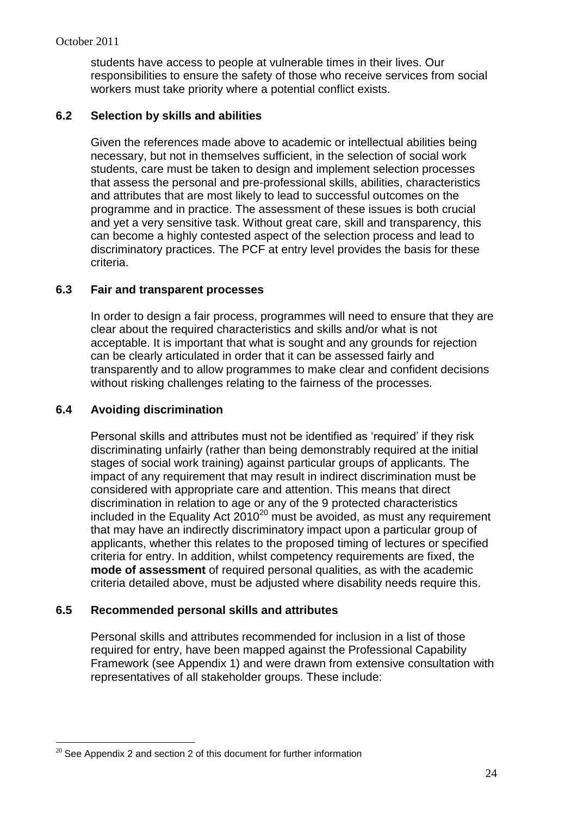students have access to people at vulnerable times in their lives. Our responsibilities to ensure the safety of those who receive services from social workers must take priority where a potential conflict exists.

### **6.2 Selection by skills and abilities**

Given the references made above to academic or intellectual abilities being necessary, but not in themselves sufficient, in the selection of social work students, care must be taken to design and implement selection processes that assess the personal and pre-professional skills, abilities, characteristics and attributes that are most likely to lead to successful outcomes on the programme and in practice. The assessment of these issues is both crucial and yet a very sensitive task. Without great care, skill and transparency, this can become a highly contested aspect of the selection process and lead to discriminatory practices. The PCF at entry level provides the basis for these criteria.

#### **6.3 Fair and transparent processes**

In order to design a fair process, programmes will need to ensure that they are clear about the required characteristics and skills and/or what is not acceptable. It is important that what is sought and any grounds for rejection can be clearly articulated in order that it can be assessed fairly and transparently and to allow programmes to make clear and confident decisions without risking challenges relating to the fairness of the processes.

### **6.4 Avoiding discrimination**

Personal skills and attributes must not be identified as 'required' if they risk discriminating unfairly (rather than being demonstrably required at the initial stages of social work training) against particular groups of applicants. The impact of any requirement that may result in indirect discrimination must be considered with appropriate care and attention. This means that direct discrimination in relation to age or any of the 9 protected characteristics included in the Equality Act  $2010^{20}$  must be avoided, as must any requirement that may have an indirectly discriminatory impact upon a particular group of applicants, whether this relates to the proposed timing of lectures or specified criteria for entry. In addition, whilst competency requirements are fixed, the **mode of assessment** of required personal qualities, as with the academic criteria detailed above, must be adjusted where disability needs require this.

#### **6.5 Recommended personal skills and attributes**

Personal skills and attributes recommended for inclusion in a list of those required for entry, have been mapped against the Professional Capability Framework (see Appendix 1) and were drawn from extensive consultation with representatives of all stakeholder groups. These include:

 $\overline{a}$  $20$  See Appendix 2 and section 2 of this document for further information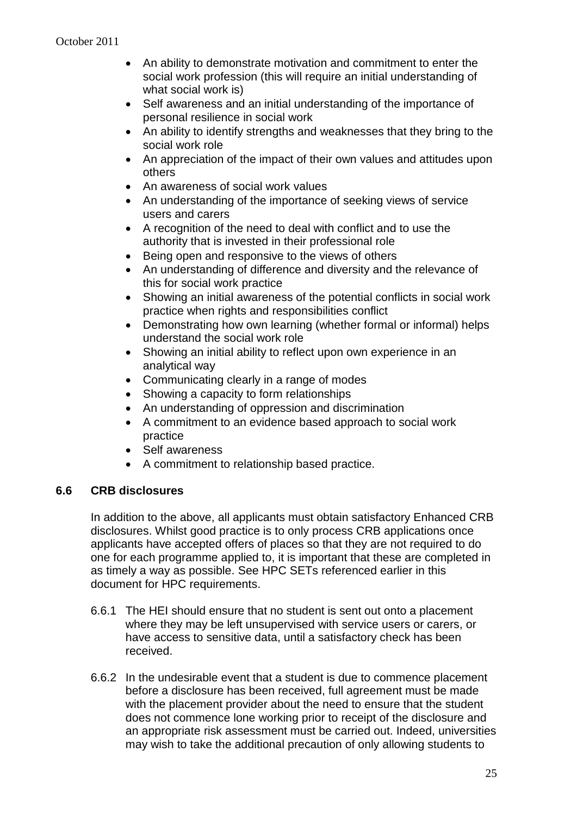- An ability to demonstrate motivation and commitment to enter the social work profession (this will require an initial understanding of what social work is)
- Self awareness and an initial understanding of the importance of personal resilience in social work
- An ability to identify strengths and weaknesses that they bring to the social work role
- An appreciation of the impact of their own values and attitudes upon others
- An awareness of social work values
- An understanding of the importance of seeking views of service users and carers
- A recognition of the need to deal with conflict and to use the authority that is invested in their professional role
- Being open and responsive to the views of others
- An understanding of difference and diversity and the relevance of this for social work practice
- Showing an initial awareness of the potential conflicts in social work practice when rights and responsibilities conflict
- Demonstrating how own learning (whether formal or informal) helps understand the social work role
- Showing an initial ability to reflect upon own experience in an analytical way
- Communicating clearly in a range of modes
- Showing a capacity to form relationships
- An understanding of oppression and discrimination
- A commitment to an evidence based approach to social work practice
- Self awareness
- A commitment to relationship based practice.

#### **6.6 CRB disclosures**

In addition to the above, all applicants must obtain satisfactory Enhanced CRB disclosures. Whilst good practice is to only process CRB applications once applicants have accepted offers of places so that they are not required to do one for each programme applied to, it is important that these are completed in as timely a way as possible. See HPC SETs referenced earlier in this document for HPC requirements.

- 6.6.1 The HEI should ensure that no student is sent out onto a placement where they may be left unsupervised with service users or carers, or have access to sensitive data, until a satisfactory check has been received.
- 6.6.2 In the undesirable event that a student is due to commence placement before a disclosure has been received, full agreement must be made with the placement provider about the need to ensure that the student does not commence lone working prior to receipt of the disclosure and an appropriate risk assessment must be carried out. Indeed, universities may wish to take the additional precaution of only allowing students to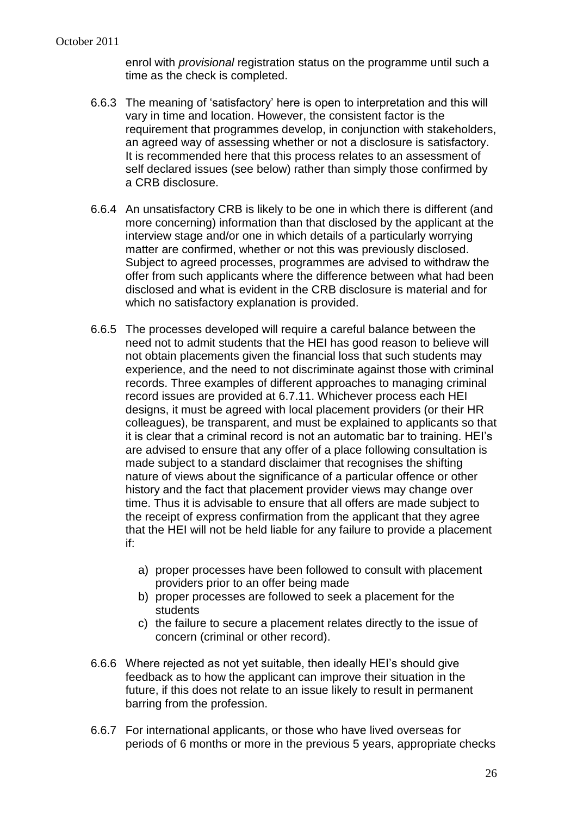enrol with *provisional* registration status on the programme until such a time as the check is completed.

- 6.6.3 The meaning of 'satisfactory' here is open to interpretation and this will vary in time and location. However, the consistent factor is the requirement that programmes develop, in conjunction with stakeholders, an agreed way of assessing whether or not a disclosure is satisfactory. It is recommended here that this process relates to an assessment of self declared issues (see below) rather than simply those confirmed by a CRB disclosure.
- 6.6.4 An unsatisfactory CRB is likely to be one in which there is different (and more concerning) information than that disclosed by the applicant at the interview stage and/or one in which details of a particularly worrying matter are confirmed, whether or not this was previously disclosed. Subject to agreed processes, programmes are advised to withdraw the offer from such applicants where the difference between what had been disclosed and what is evident in the CRB disclosure is material and for which no satisfactory explanation is provided.
- 6.6.5 The processes developed will require a careful balance between the need not to admit students that the HEI has good reason to believe will not obtain placements given the financial loss that such students may experience, and the need to not discriminate against those with criminal records. Three examples of different approaches to managing criminal record issues are provided at 6.7.11. Whichever process each HEI designs, it must be agreed with local placement providers (or their HR colleagues), be transparent, and must be explained to applicants so that it is clear that a criminal record is not an automatic bar to training. HEI's are advised to ensure that any offer of a place following consultation is made subject to a standard disclaimer that recognises the shifting nature of views about the significance of a particular offence or other history and the fact that placement provider views may change over time. Thus it is advisable to ensure that all offers are made subject to the receipt of express confirmation from the applicant that they agree that the HEI will not be held liable for any failure to provide a placement if:
	- a) proper processes have been followed to consult with placement providers prior to an offer being made
	- b) proper processes are followed to seek a placement for the **students**
	- c) the failure to secure a placement relates directly to the issue of concern (criminal or other record).
- 6.6.6 Where rejected as not yet suitable, then ideally HEI's should give feedback as to how the applicant can improve their situation in the future, if this does not relate to an issue likely to result in permanent barring from the profession.
- 6.6.7 For international applicants, or those who have lived overseas for periods of 6 months or more in the previous 5 years, appropriate checks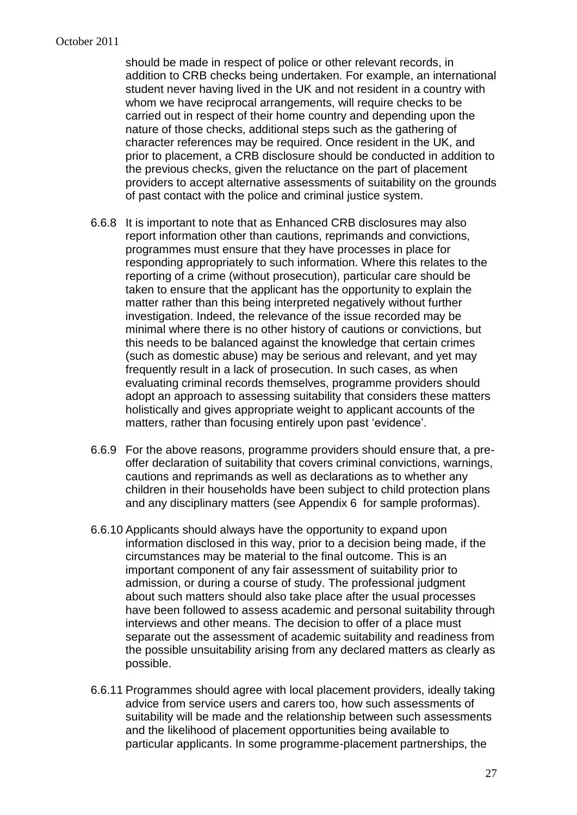should be made in respect of police or other relevant records, in addition to CRB checks being undertaken. For example, an international student never having lived in the UK and not resident in a country with whom we have reciprocal arrangements, will require checks to be carried out in respect of their home country and depending upon the nature of those checks, additional steps such as the gathering of character references may be required. Once resident in the UK, and prior to placement, a CRB disclosure should be conducted in addition to the previous checks, given the reluctance on the part of placement providers to accept alternative assessments of suitability on the grounds of past contact with the police and criminal justice system.

- 6.6.8 It is important to note that as Enhanced CRB disclosures may also report information other than cautions, reprimands and convictions, programmes must ensure that they have processes in place for responding appropriately to such information. Where this relates to the reporting of a crime (without prosecution), particular care should be taken to ensure that the applicant has the opportunity to explain the matter rather than this being interpreted negatively without further investigation. Indeed, the relevance of the issue recorded may be minimal where there is no other history of cautions or convictions, but this needs to be balanced against the knowledge that certain crimes (such as domestic abuse) may be serious and relevant, and yet may frequently result in a lack of prosecution. In such cases, as when evaluating criminal records themselves, programme providers should adopt an approach to assessing suitability that considers these matters holistically and gives appropriate weight to applicant accounts of the matters, rather than focusing entirely upon past 'evidence'.
- 6.6.9 For the above reasons, programme providers should ensure that, a preoffer declaration of suitability that covers criminal convictions, warnings, cautions and reprimands as well as declarations as to whether any children in their households have been subject to child protection plans and any disciplinary matters (see Appendix 6 for sample proformas).
- 6.6.10 Applicants should always have the opportunity to expand upon information disclosed in this way, prior to a decision being made, if the circumstances may be material to the final outcome. This is an important component of any fair assessment of suitability prior to admission, or during a course of study. The professional judgment about such matters should also take place after the usual processes have been followed to assess academic and personal suitability through interviews and other means. The decision to offer of a place must separate out the assessment of academic suitability and readiness from the possible unsuitability arising from any declared matters as clearly as possible.
- 6.6.11 Programmes should agree with local placement providers, ideally taking advice from service users and carers too, how such assessments of suitability will be made and the relationship between such assessments and the likelihood of placement opportunities being available to particular applicants. In some programme-placement partnerships, the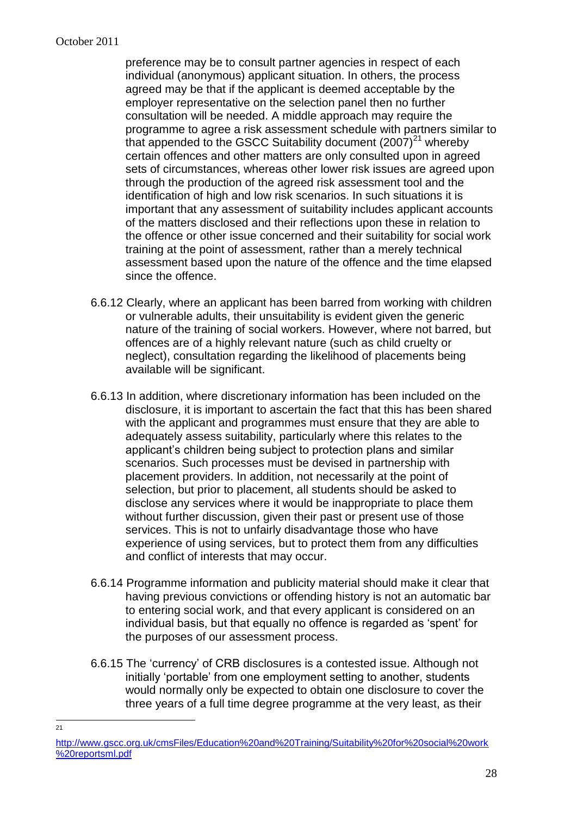$\frac{1}{21}$ 

preference may be to consult partner agencies in respect of each individual (anonymous) applicant situation. In others, the process agreed may be that if the applicant is deemed acceptable by the employer representative on the selection panel then no further consultation will be needed. A middle approach may require the programme to agree a risk assessment schedule with partners similar to that appended to the GSCC Suitability document  $(2007)^{21}$  whereby certain offences and other matters are only consulted upon in agreed sets of circumstances, whereas other lower risk issues are agreed upon through the production of the agreed risk assessment tool and the identification of high and low risk scenarios. In such situations it is important that any assessment of suitability includes applicant accounts of the matters disclosed and their reflections upon these in relation to the offence or other issue concerned and their suitability for social work training at the point of assessment, rather than a merely technical assessment based upon the nature of the offence and the time elapsed since the offence.

- 6.6.12 Clearly, where an applicant has been barred from working with children or vulnerable adults, their unsuitability is evident given the generic nature of the training of social workers. However, where not barred, but offences are of a highly relevant nature (such as child cruelty or neglect), consultation regarding the likelihood of placements being available will be significant.
- 6.6.13 In addition, where discretionary information has been included on the disclosure, it is important to ascertain the fact that this has been shared with the applicant and programmes must ensure that they are able to adequately assess suitability, particularly where this relates to the applicant's children being subject to protection plans and similar scenarios. Such processes must be devised in partnership with placement providers. In addition, not necessarily at the point of selection, but prior to placement, all students should be asked to disclose any services where it would be inappropriate to place them without further discussion, given their past or present use of those services. This is not to unfairly disadvantage those who have experience of using services, but to protect them from any difficulties and conflict of interests that may occur.
- 6.6.14 Programme information and publicity material should make it clear that having previous convictions or offending history is not an automatic bar to entering social work, and that every applicant is considered on an individual basis, but that equally no offence is regarded as 'spent' for the purposes of our assessment process.
- 6.6.15 The 'currency' of CRB disclosures is a contested issue. Although not initially 'portable' from one employment setting to another, students would normally only be expected to obtain one disclosure to cover the three years of a full time degree programme at the very least, as their

[http://www.gscc.org.uk/cmsFiles/Education%20and%20Training/Suitability%20for%20social%20work](http://www.gscc.org.uk/cmsFiles/Education%20and%20Training/Suitability%20for%20social%20work%20reportsml.pdf) [%20reportsml.pdf](http://www.gscc.org.uk/cmsFiles/Education%20and%20Training/Suitability%20for%20social%20work%20reportsml.pdf)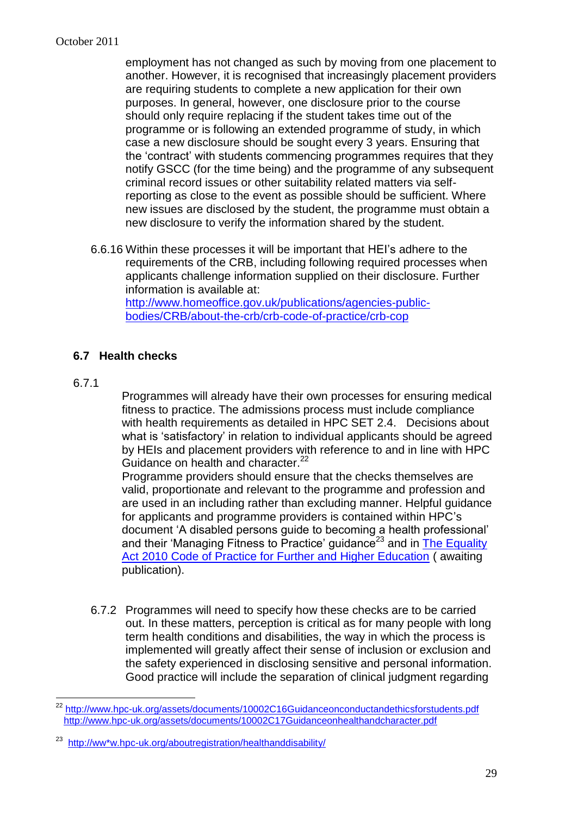employment has not changed as such by moving from one placement to another. However, it is recognised that increasingly placement providers are requiring students to complete a new application for their own purposes. In general, however, one disclosure prior to the course should only require replacing if the student takes time out of the programme or is following an extended programme of study, in which case a new disclosure should be sought every 3 years. Ensuring that the 'contract' with students commencing programmes requires that they notify GSCC (for the time being) and the programme of any subsequent criminal record issues or other suitability related matters via selfreporting as close to the event as possible should be sufficient. Where new issues are disclosed by the student, the programme must obtain a new disclosure to verify the information shared by the student.

6.6.16 Within these processes it will be important that HEI's adhere to the requirements of the CRB, including following required processes when applicants challenge information supplied on their disclosure. Further information is available at: [http://www.homeoffice.gov.uk/publications/agencies-public-](http://www.homeoffice.gov.uk/publications/agencies-public-bodies/CRB/about-the-crb/crb-code-of-practice/crb-cop)

[bodies/CRB/about-the-crb/crb-code-of-practice/crb-cop](http://www.homeoffice.gov.uk/publications/agencies-public-bodies/CRB/about-the-crb/crb-code-of-practice/crb-cop)

## **6.7 Health checks**

#### 6.7.1

 $\overline{a}$ 

Programmes will already have their own processes for ensuring medical fitness to practice. The admissions process must include compliance with health requirements as detailed in HPC SET 2.4. Decisions about what is 'satisfactory' in relation to individual applicants should be agreed by HEIs and placement providers with reference to and in line with HPC Guidance on health and character.<sup>22</sup>

Programme providers should ensure that the checks themselves are valid, proportionate and relevant to the programme and profession and are used in an including rather than excluding manner. Helpful guidance for applicants and programme providers is contained within HPC's document 'A disabled persons guide to becoming a health professional' and their 'Managing Fitness to Practice' guidance<sup>23</sup> and in The Equality [Act 2010 Code of Practice for Further and Higher Education](http://www.equalityhumanrights.com/legal-and-policy/equality-act/equality-act-codes-of-practice/) ( awaiting publication).

6.7.2 Programmes will need to specify how these checks are to be carried out. In these matters, perception is critical as for many people with long term health conditions and disabilities, the way in which the process is implemented will greatly affect their sense of inclusion or exclusion and the safety experienced in disclosing sensitive and personal information. Good practice will include the separation of clinical judgment regarding

<sup>&</sup>lt;sup>22</sup> <http://www.hpc-uk.org/assets/documents/10002C16Guidanceonconductandethicsforstudents.pdf> <http://www.hpc-uk.org/assets/documents/10002C17Guidanceonhealthandcharacter.pdf>

<sup>23</sup> [http://ww\\*w.hpc-uk.org/aboutregistration/healthanddisability/](http://ww*w.hpc-uk.org/aboutregistration/healthanddisability/)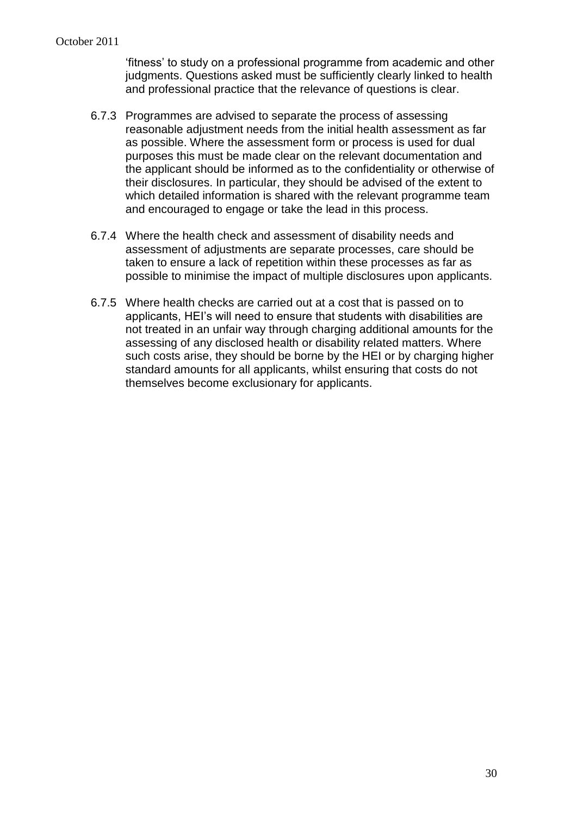'fitness' to study on a professional programme from academic and other judgments. Questions asked must be sufficiently clearly linked to health and professional practice that the relevance of questions is clear.

- 6.7.3 Programmes are advised to separate the process of assessing reasonable adjustment needs from the initial health assessment as far as possible. Where the assessment form or process is used for dual purposes this must be made clear on the relevant documentation and the applicant should be informed as to the confidentiality or otherwise of their disclosures. In particular, they should be advised of the extent to which detailed information is shared with the relevant programme team and encouraged to engage or take the lead in this process.
- 6.7.4 Where the health check and assessment of disability needs and assessment of adjustments are separate processes, care should be taken to ensure a lack of repetition within these processes as far as possible to minimise the impact of multiple disclosures upon applicants.
- 6.7.5 Where health checks are carried out at a cost that is passed on to applicants, HEI's will need to ensure that students with disabilities are not treated in an unfair way through charging additional amounts for the assessing of any disclosed health or disability related matters. Where such costs arise, they should be borne by the HEI or by charging higher standard amounts for all applicants, whilst ensuring that costs do not themselves become exclusionary for applicants.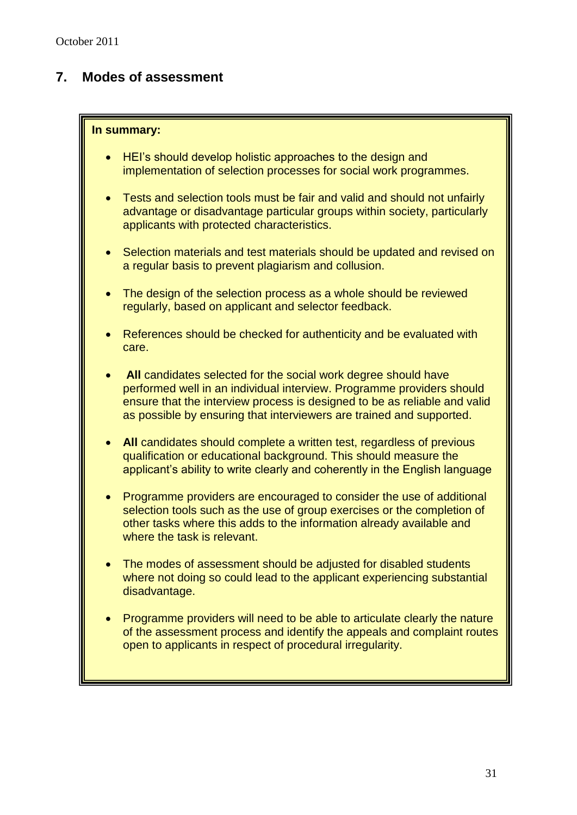## **7. Modes of assessment**

#### **In summary:**

- HEI's should develop holistic approaches to the design and implementation of selection processes for social work programmes.
- Tests and selection tools must be fair and valid and should not unfairly advantage or disadvantage particular groups within society, particularly applicants with protected characteristics.
- Selection materials and test materials should be updated and revised on a regular basis to prevent plagiarism and collusion.
- The design of the selection process as a whole should be reviewed regularly, based on applicant and selector feedback.
- References should be checked for authenticity and be evaluated with care.
- **All** candidates selected for the social work degree should have performed well in an individual interview. Programme providers should ensure that the interview process is designed to be as reliable and valid as possible by ensuring that interviewers are trained and supported.
- **All** candidates should complete a written test, regardless of previous qualification or educational background. This should measure the applicant's ability to write clearly and coherently in the English language
- Programme providers are encouraged to consider the use of additional selection tools such as the use of group exercises or the completion of other tasks where this adds to the information already available and where the task is relevant.
- The modes of assessment should be adjusted for disabled students where not doing so could lead to the applicant experiencing substantial disadvantage.
- Programme providers will need to be able to articulate clearly the nature of the assessment process and identify the appeals and complaint routes open to applicants in respect of procedural irregularity.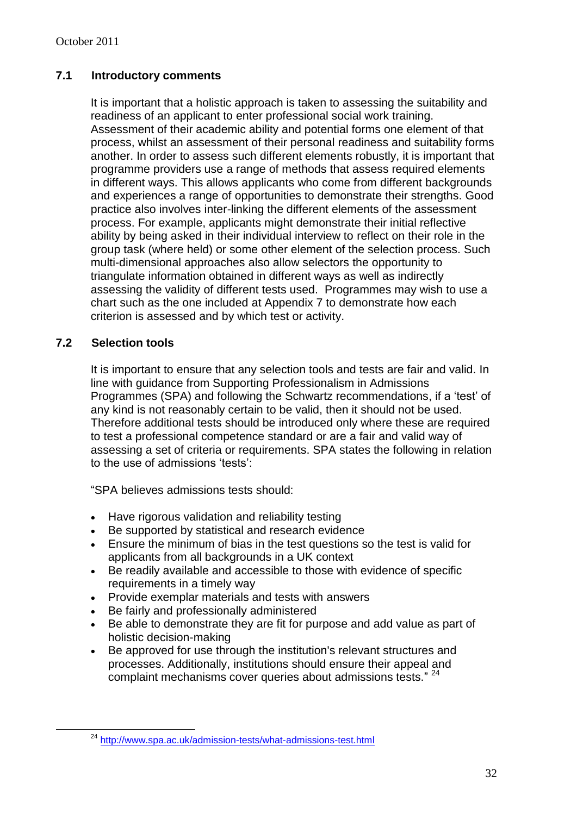#### **7.1 Introductory comments**

It is important that a holistic approach is taken to assessing the suitability and readiness of an applicant to enter professional social work training. Assessment of their academic ability and potential forms one element of that process, whilst an assessment of their personal readiness and suitability forms another. In order to assess such different elements robustly, it is important that programme providers use a range of methods that assess required elements in different ways. This allows applicants who come from different backgrounds and experiences a range of opportunities to demonstrate their strengths. Good practice also involves inter-linking the different elements of the assessment process. For example, applicants might demonstrate their initial reflective ability by being asked in their individual interview to reflect on their role in the group task (where held) or some other element of the selection process. Such multi-dimensional approaches also allow selectors the opportunity to triangulate information obtained in different ways as well as indirectly assessing the validity of different tests used. Programmes may wish to use a chart such as the one included at Appendix 7 to demonstrate how each criterion is assessed and by which test or activity.

#### **7.2 Selection tools**

 $\overline{a}$ 

It is important to ensure that any selection tools and tests are fair and valid. In line with guidance from Supporting Professionalism in Admissions Programmes (SPA) and following the Schwartz recommendations, if a 'test' of any kind is not reasonably certain to be valid, then it should not be used. Therefore additional tests should be introduced only where these are required to test a professional competence standard or are a fair and valid way of assessing a set of criteria or requirements. SPA states the following in relation to the use of admissions 'tests':

"SPA believes admissions tests should:

- Have rigorous validation and reliability testing
- Be supported by statistical and research evidence
- Ensure the minimum of bias in the test questions so the test is valid for applicants from all backgrounds in a UK context
- Be readily available and accessible to those with evidence of specific requirements in a timely way
- Provide exemplar materials and tests with answers
- Be fairly and professionally administered
- Be able to demonstrate they are fit for purpose and add value as part of holistic decision-making
- Be approved for use through the institution's relevant structures and processes. Additionally, institutions should ensure their appeal and complaint mechanisms cover queries about admissions tests." <sup>24</sup>

<sup>24</sup> <http://www.spa.ac.uk/admission-tests/what-admissions-test.html>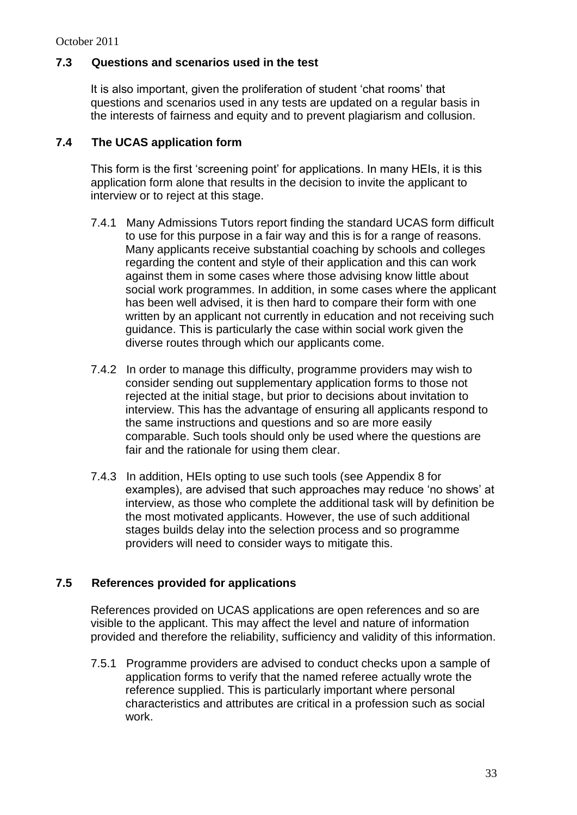### **7.3 Questions and scenarios used in the test**

It is also important, given the proliferation of student 'chat rooms' that questions and scenarios used in any tests are updated on a regular basis in the interests of fairness and equity and to prevent plagiarism and collusion.

#### **7.4 The UCAS application form**

This form is the first 'screening point' for applications. In many HEIs, it is this application form alone that results in the decision to invite the applicant to interview or to reject at this stage.

- 7.4.1 Many Admissions Tutors report finding the standard UCAS form difficult to use for this purpose in a fair way and this is for a range of reasons. Many applicants receive substantial coaching by schools and colleges regarding the content and style of their application and this can work against them in some cases where those advising know little about social work programmes. In addition, in some cases where the applicant has been well advised, it is then hard to compare their form with one written by an applicant not currently in education and not receiving such guidance. This is particularly the case within social work given the diverse routes through which our applicants come.
- 7.4.2 In order to manage this difficulty, programme providers may wish to consider sending out supplementary application forms to those not rejected at the initial stage, but prior to decisions about invitation to interview. This has the advantage of ensuring all applicants respond to the same instructions and questions and so are more easily comparable. Such tools should only be used where the questions are fair and the rationale for using them clear.
- 7.4.3 In addition, HEIs opting to use such tools (see Appendix 8 for examples), are advised that such approaches may reduce 'no shows' at interview, as those who complete the additional task will by definition be the most motivated applicants. However, the use of such additional stages builds delay into the selection process and so programme providers will need to consider ways to mitigate this.

#### **7.5 References provided for applications**

References provided on UCAS applications are open references and so are visible to the applicant. This may affect the level and nature of information provided and therefore the reliability, sufficiency and validity of this information.

7.5.1 Programme providers are advised to conduct checks upon a sample of application forms to verify that the named referee actually wrote the reference supplied. This is particularly important where personal characteristics and attributes are critical in a profession such as social work.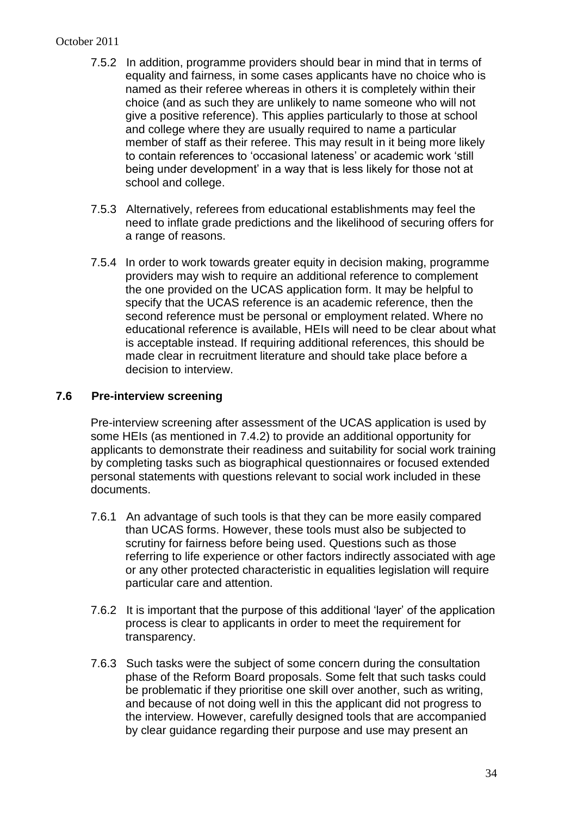#### October 2011

- 7.5.2 In addition, programme providers should bear in mind that in terms of equality and fairness, in some cases applicants have no choice who is named as their referee whereas in others it is completely within their choice (and as such they are unlikely to name someone who will not give a positive reference). This applies particularly to those at school and college where they are usually required to name a particular member of staff as their referee. This may result in it being more likely to contain references to 'occasional lateness' or academic work 'still being under development' in a way that is less likely for those not at school and college.
- 7.5.3 Alternatively, referees from educational establishments may feel the need to inflate grade predictions and the likelihood of securing offers for a range of reasons.
- 7.5.4 In order to work towards greater equity in decision making, programme providers may wish to require an additional reference to complement the one provided on the UCAS application form. It may be helpful to specify that the UCAS reference is an academic reference, then the second reference must be personal or employment related. Where no educational reference is available, HEIs will need to be clear about what is acceptable instead. If requiring additional references, this should be made clear in recruitment literature and should take place before a decision to interview.

#### **7.6 Pre-interview screening**

Pre-interview screening after assessment of the UCAS application is used by some HEIs (as mentioned in 7.4.2) to provide an additional opportunity for applicants to demonstrate their readiness and suitability for social work training by completing tasks such as biographical questionnaires or focused extended personal statements with questions relevant to social work included in these documents.

- 7.6.1 An advantage of such tools is that they can be more easily compared than UCAS forms. However, these tools must also be subjected to scrutiny for fairness before being used. Questions such as those referring to life experience or other factors indirectly associated with age or any other protected characteristic in equalities legislation will require particular care and attention.
- 7.6.2 It is important that the purpose of this additional 'layer' of the application process is clear to applicants in order to meet the requirement for transparency.
- 7.6.3 Such tasks were the subject of some concern during the consultation phase of the Reform Board proposals. Some felt that such tasks could be problematic if they prioritise one skill over another, such as writing, and because of not doing well in this the applicant did not progress to the interview. However, carefully designed tools that are accompanied by clear guidance regarding their purpose and use may present an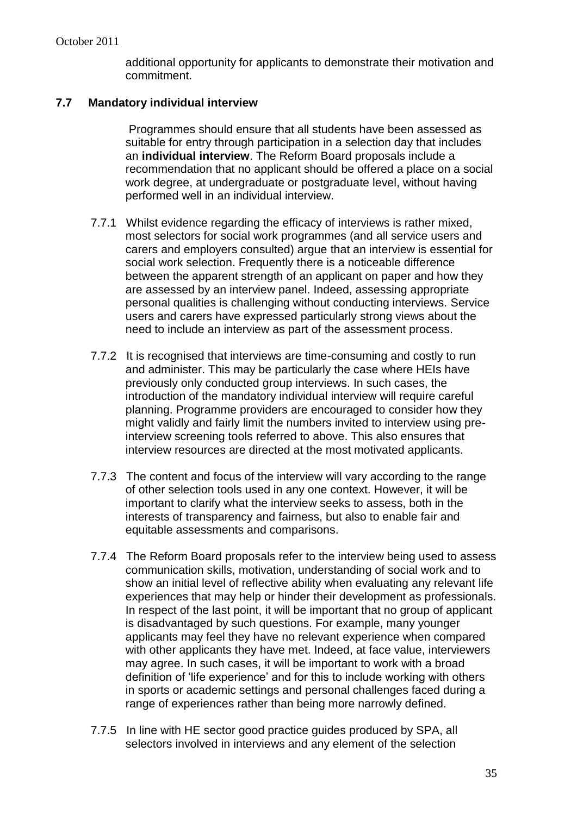additional opportunity for applicants to demonstrate their motivation and commitment.

#### **7.7 Mandatory individual interview**

Programmes should ensure that all students have been assessed as suitable for entry through participation in a selection day that includes an **individual interview**. The Reform Board proposals include a recommendation that no applicant should be offered a place on a social work degree, at undergraduate or postgraduate level, without having performed well in an individual interview.

- 7.7.1 Whilst evidence regarding the efficacy of interviews is rather mixed, most selectors for social work programmes (and all service users and carers and employers consulted) argue that an interview is essential for social work selection. Frequently there is a noticeable difference between the apparent strength of an applicant on paper and how they are assessed by an interview panel. Indeed, assessing appropriate personal qualities is challenging without conducting interviews. Service users and carers have expressed particularly strong views about the need to include an interview as part of the assessment process.
- 7.7.2 It is recognised that interviews are time-consuming and costly to run and administer. This may be particularly the case where HEIs have previously only conducted group interviews. In such cases, the introduction of the mandatory individual interview will require careful planning. Programme providers are encouraged to consider how they might validly and fairly limit the numbers invited to interview using preinterview screening tools referred to above. This also ensures that interview resources are directed at the most motivated applicants.
- 7.7.3 The content and focus of the interview will vary according to the range of other selection tools used in any one context. However, it will be important to clarify what the interview seeks to assess, both in the interests of transparency and fairness, but also to enable fair and equitable assessments and comparisons.
- 7.7.4 The Reform Board proposals refer to the interview being used to assess communication skills, motivation, understanding of social work and to show an initial level of reflective ability when evaluating any relevant life experiences that may help or hinder their development as professionals. In respect of the last point, it will be important that no group of applicant is disadvantaged by such questions. For example, many younger applicants may feel they have no relevant experience when compared with other applicants they have met. Indeed, at face value, interviewers may agree. In such cases, it will be important to work with a broad definition of 'life experience' and for this to include working with others in sports or academic settings and personal challenges faced during a range of experiences rather than being more narrowly defined.
- 7.7.5 In line with HE sector good practice guides produced by SPA, all selectors involved in interviews and any element of the selection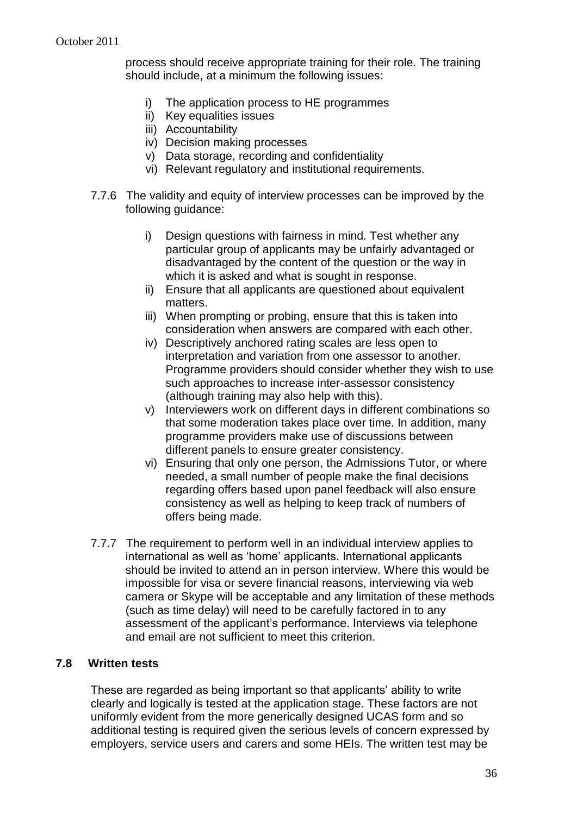process should receive appropriate training for their role. The training should include, at a minimum the following issues:

- i) The application process to HE programmes
- ii) Key equalities issues
- iii) Accountability
- iv) Decision making processes
- v) Data storage, recording and confidentiality
- vi) Relevant regulatory and institutional requirements.
- 7.7.6 The validity and equity of interview processes can be improved by the following guidance:
	- i) Design questions with fairness in mind. Test whether any particular group of applicants may be unfairly advantaged or disadvantaged by the content of the question or the way in which it is asked and what is sought in response.
	- ii) Ensure that all applicants are questioned about equivalent matters.
	- iii) When prompting or probing, ensure that this is taken into consideration when answers are compared with each other.
	- iv) Descriptively anchored rating scales are less open to interpretation and variation from one assessor to another. Programme providers should consider whether they wish to use such approaches to increase inter-assessor consistency (although training may also help with this).
	- v) Interviewers work on different days in different combinations so that some moderation takes place over time. In addition, many programme providers make use of discussions between different panels to ensure greater consistency.
	- vi) Ensuring that only one person, the Admissions Tutor, or where needed, a small number of people make the final decisions regarding offers based upon panel feedback will also ensure consistency as well as helping to keep track of numbers of offers being made.
- 7.7.7 The requirement to perform well in an individual interview applies to international as well as 'home' applicants. International applicants should be invited to attend an in person interview. Where this would be impossible for visa or severe financial reasons, interviewing via web camera or Skype will be acceptable and any limitation of these methods (such as time delay) will need to be carefully factored in to any assessment of the applicant's performance. Interviews via telephone and email are not sufficient to meet this criterion.

#### **7.8 Written tests**

These are regarded as being important so that applicants' ability to write clearly and logically is tested at the application stage. These factors are not uniformly evident from the more generically designed UCAS form and so additional testing is required given the serious levels of concern expressed by employers, service users and carers and some HEIs. The written test may be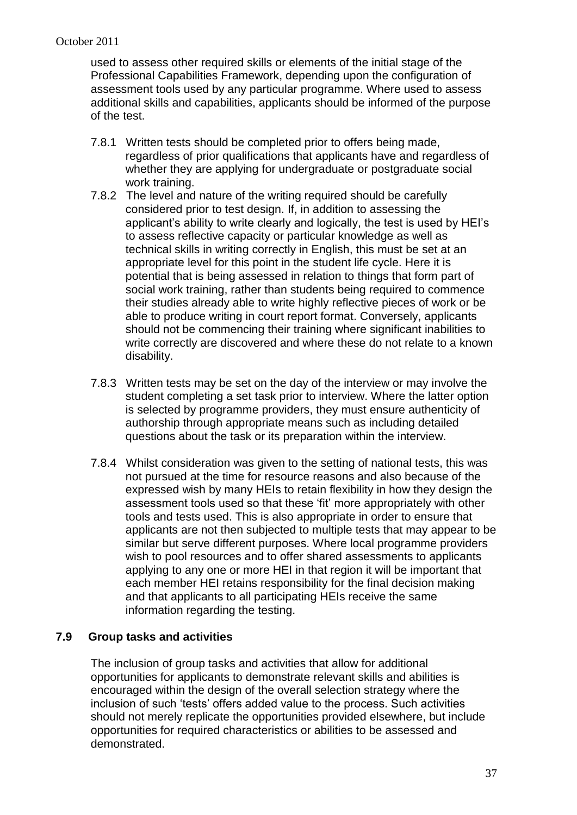used to assess other required skills or elements of the initial stage of the Professional Capabilities Framework, depending upon the configuration of assessment tools used by any particular programme. Where used to assess additional skills and capabilities, applicants should be informed of the purpose of the test.

- 7.8.1 Written tests should be completed prior to offers being made, regardless of prior qualifications that applicants have and regardless of whether they are applying for undergraduate or postgraduate social work training.
- 7.8.2 The level and nature of the writing required should be carefully considered prior to test design. If, in addition to assessing the applicant's ability to write clearly and logically, the test is used by HEI's to assess reflective capacity or particular knowledge as well as technical skills in writing correctly in English, this must be set at an appropriate level for this point in the student life cycle. Here it is potential that is being assessed in relation to things that form part of social work training, rather than students being required to commence their studies already able to write highly reflective pieces of work or be able to produce writing in court report format. Conversely, applicants should not be commencing their training where significant inabilities to write correctly are discovered and where these do not relate to a known disability.
- 7.8.3 Written tests may be set on the day of the interview or may involve the student completing a set task prior to interview. Where the latter option is selected by programme providers, they must ensure authenticity of authorship through appropriate means such as including detailed questions about the task or its preparation within the interview.
- 7.8.4 Whilst consideration was given to the setting of national tests, this was not pursued at the time for resource reasons and also because of the expressed wish by many HEIs to retain flexibility in how they design the assessment tools used so that these 'fit' more appropriately with other tools and tests used. This is also appropriate in order to ensure that applicants are not then subjected to multiple tests that may appear to be similar but serve different purposes. Where local programme providers wish to pool resources and to offer shared assessments to applicants applying to any one or more HEI in that region it will be important that each member HEI retains responsibility for the final decision making and that applicants to all participating HEIs receive the same information regarding the testing.

### **7.9 Group tasks and activities**

The inclusion of group tasks and activities that allow for additional opportunities for applicants to demonstrate relevant skills and abilities is encouraged within the design of the overall selection strategy where the inclusion of such 'tests' offers added value to the process. Such activities should not merely replicate the opportunities provided elsewhere, but include opportunities for required characteristics or abilities to be assessed and demonstrated.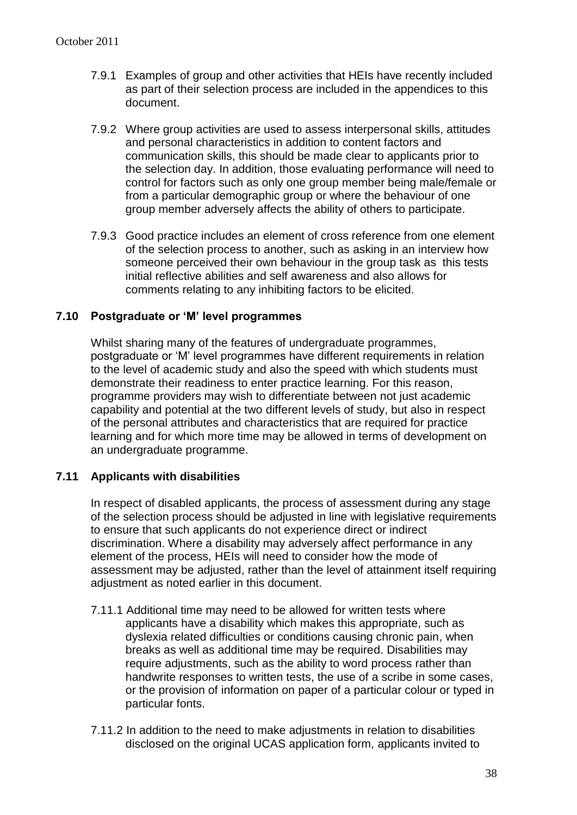- 7.9.1 Examples of group and other activities that HEIs have recently included as part of their selection process are included in the appendices to this document.
- 7.9.2 Where group activities are used to assess interpersonal skills, attitudes and personal characteristics in addition to content factors and communication skills, this should be made clear to applicants prior to the selection day. In addition, those evaluating performance will need to control for factors such as only one group member being male/female or from a particular demographic group or where the behaviour of one group member adversely affects the ability of others to participate.
- 7.9.3 Good practice includes an element of cross reference from one element of the selection process to another, such as asking in an interview how someone perceived their own behaviour in the group task as this tests initial reflective abilities and self awareness and also allows for comments relating to any inhibiting factors to be elicited.

### **7.10 Postgraduate or 'M' level programmes**

Whilst sharing many of the features of undergraduate programmes, postgraduate or 'M' level programmes have different requirements in relation to the level of academic study and also the speed with which students must demonstrate their readiness to enter practice learning. For this reason, programme providers may wish to differentiate between not just academic capability and potential at the two different levels of study, but also in respect of the personal attributes and characteristics that are required for practice learning and for which more time may be allowed in terms of development on an undergraduate programme.

#### **7.11 Applicants with disabilities**

In respect of disabled applicants, the process of assessment during any stage of the selection process should be adjusted in line with legislative requirements to ensure that such applicants do not experience direct or indirect discrimination. Where a disability may adversely affect performance in any element of the process, HEIs will need to consider how the mode of assessment may be adjusted, rather than the level of attainment itself requiring adjustment as noted earlier in this document.

- 7.11.1 Additional time may need to be allowed for written tests where applicants have a disability which makes this appropriate, such as dyslexia related difficulties or conditions causing chronic pain, when breaks as well as additional time may be required. Disabilities may require adjustments, such as the ability to word process rather than handwrite responses to written tests, the use of a scribe in some cases, or the provision of information on paper of a particular colour or typed in particular fonts.
- 7.11.2 In addition to the need to make adjustments in relation to disabilities disclosed on the original UCAS application form, applicants invited to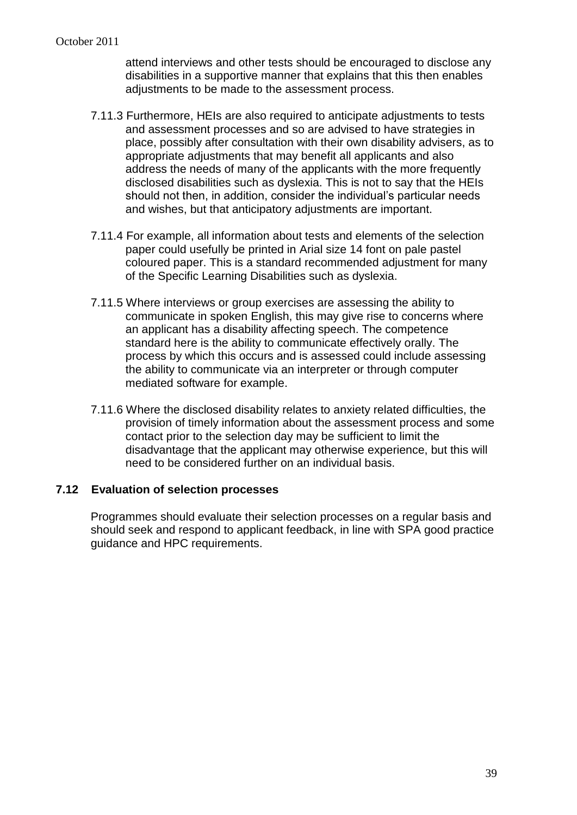attend interviews and other tests should be encouraged to disclose any disabilities in a supportive manner that explains that this then enables adjustments to be made to the assessment process.

- 7.11.3 Furthermore, HEIs are also required to anticipate adjustments to tests and assessment processes and so are advised to have strategies in place, possibly after consultation with their own disability advisers, as to appropriate adjustments that may benefit all applicants and also address the needs of many of the applicants with the more frequently disclosed disabilities such as dyslexia. This is not to say that the HEIs should not then, in addition, consider the individual's particular needs and wishes, but that anticipatory adjustments are important.
- 7.11.4 For example, all information about tests and elements of the selection paper could usefully be printed in Arial size 14 font on pale pastel coloured paper. This is a standard recommended adjustment for many of the Specific Learning Disabilities such as dyslexia.
- 7.11.5 Where interviews or group exercises are assessing the ability to communicate in spoken English, this may give rise to concerns where an applicant has a disability affecting speech. The competence standard here is the ability to communicate effectively orally. The process by which this occurs and is assessed could include assessing the ability to communicate via an interpreter or through computer mediated software for example.
- 7.11.6 Where the disclosed disability relates to anxiety related difficulties, the provision of timely information about the assessment process and some contact prior to the selection day may be sufficient to limit the disadvantage that the applicant may otherwise experience, but this will need to be considered further on an individual basis.

#### **7.12 Evaluation of selection processes**

Programmes should evaluate their selection processes on a regular basis and should seek and respond to applicant feedback, in line with SPA good practice guidance and HPC requirements.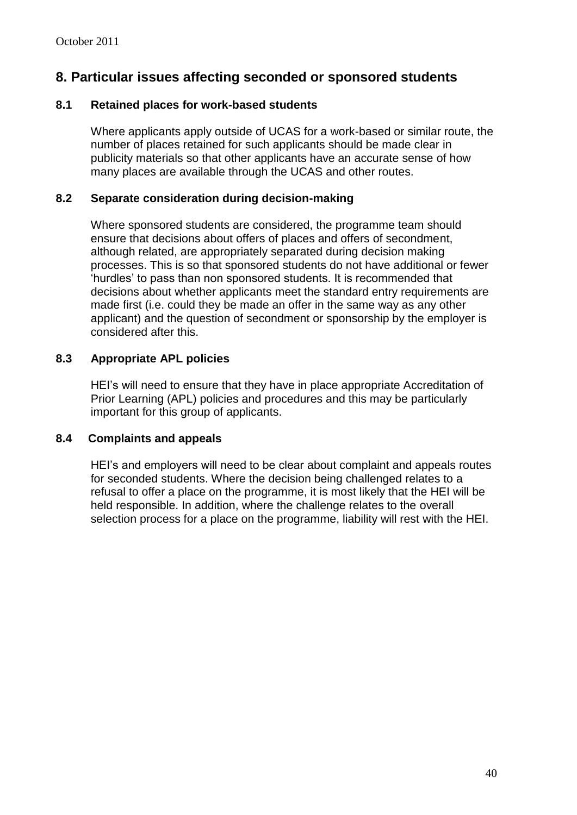## **8. Particular issues affecting seconded or sponsored students**

### **8.1 Retained places for work-based students**

Where applicants apply outside of UCAS for a work-based or similar route, the number of places retained for such applicants should be made clear in publicity materials so that other applicants have an accurate sense of how many places are available through the UCAS and other routes.

### **8.2 Separate consideration during decision-making**

Where sponsored students are considered, the programme team should ensure that decisions about offers of places and offers of secondment, although related, are appropriately separated during decision making processes. This is so that sponsored students do not have additional or fewer 'hurdles' to pass than non sponsored students. It is recommended that decisions about whether applicants meet the standard entry requirements are made first (i.e. could they be made an offer in the same way as any other applicant) and the question of secondment or sponsorship by the employer is considered after this.

### **8.3 Appropriate APL policies**

HEI's will need to ensure that they have in place appropriate Accreditation of Prior Learning (APL) policies and procedures and this may be particularly important for this group of applicants.

### **8.4 Complaints and appeals**

HEI's and employers will need to be clear about complaint and appeals routes for seconded students. Where the decision being challenged relates to a refusal to offer a place on the programme, it is most likely that the HEI will be held responsible. In addition, where the challenge relates to the overall selection process for a place on the programme, liability will rest with the HEI.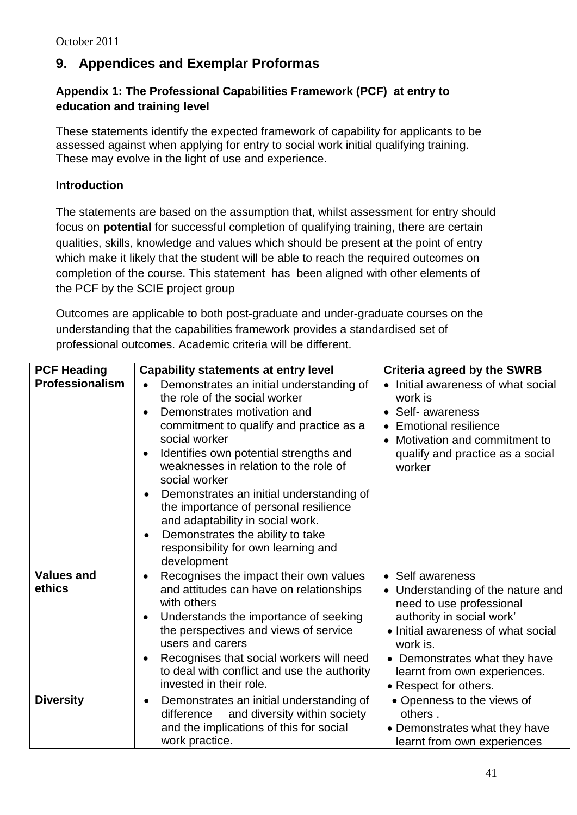# **9. Appendices and Exemplar Proformas**

### **Appendix 1: The Professional Capabilities Framework (PCF) at entry to education and training level**

These statements identify the expected framework of capability for applicants to be assessed against when applying for entry to social work initial qualifying training. These may evolve in the light of use and experience.

### **Introduction**

The statements are based on the assumption that, whilst assessment for entry should focus on **potential** for successful completion of qualifying training, there are certain qualities, skills, knowledge and values which should be present at the point of entry which make it likely that the student will be able to reach the required outcomes on completion of the course. This statement has been aligned with other elements of the PCF by the SCIE project group

Outcomes are applicable to both post-graduate and under-graduate courses on the understanding that the capabilities framework provides a standardised set of professional outcomes. Academic criteria will be different.

| <b>PCF Heading</b>          | <b>Capability statements at entry level</b>                                                                                                                                                                                                                                                                                                                                                                                                                                                                                        | <b>Criteria agreed by the SWRB</b>                                                                                                                                                                                                                       |
|-----------------------------|------------------------------------------------------------------------------------------------------------------------------------------------------------------------------------------------------------------------------------------------------------------------------------------------------------------------------------------------------------------------------------------------------------------------------------------------------------------------------------------------------------------------------------|----------------------------------------------------------------------------------------------------------------------------------------------------------------------------------------------------------------------------------------------------------|
| Professionalism             | Demonstrates an initial understanding of<br>$\bullet$<br>the role of the social worker<br>Demonstrates motivation and<br>commitment to qualify and practice as a<br>social worker<br>Identifies own potential strengths and<br>weaknesses in relation to the role of<br>social worker<br>Demonstrates an initial understanding of<br>$\bullet$<br>the importance of personal resilience<br>and adaptability in social work.<br>Demonstrates the ability to take<br>$\bullet$<br>responsibility for own learning and<br>development | Initial awareness of what social<br>work is<br>Self- awareness<br><b>Emotional resilience</b><br>Motivation and commitment to<br>$\bullet$<br>qualify and practice as a social<br>worker                                                                 |
| <b>Values and</b><br>ethics | Recognises the impact their own values<br>$\bullet$<br>and attitudes can have on relationships<br>with others<br>Understands the importance of seeking<br>the perspectives and views of service<br>users and carers<br>Recognises that social workers will need<br>to deal with conflict and use the authority<br>invested in their role.                                                                                                                                                                                          | • Self awareness<br>Understanding of the nature and<br>need to use professional<br>authority in social work'<br>• Initial awareness of what social<br>work is.<br>• Demonstrates what they have<br>learnt from own experiences.<br>• Respect for others. |
| <b>Diversity</b>            | Demonstrates an initial understanding of<br>$\bullet$<br>and diversity within society<br>difference<br>and the implications of this for social<br>work practice.                                                                                                                                                                                                                                                                                                                                                                   | • Openness to the views of<br>others.<br>• Demonstrates what they have<br>learnt from own experiences                                                                                                                                                    |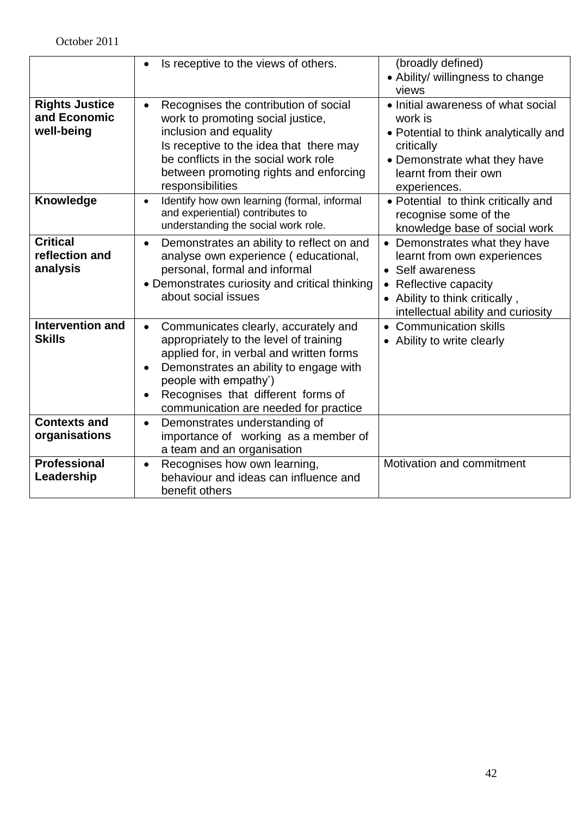|                         | Is receptive to the views of others.                                    | (broadly defined)                        |
|-------------------------|-------------------------------------------------------------------------|------------------------------------------|
|                         |                                                                         | • Ability/ willingness to change         |
|                         |                                                                         | views                                    |
| <b>Rights Justice</b>   | Recognises the contribution of social<br>$\bullet$                      | • Initial awareness of what social       |
| and Economic            | work to promoting social justice,                                       | work is                                  |
| well-being              | inclusion and equality                                                  | • Potential to think analytically and    |
|                         | Is receptive to the idea that there may                                 | critically                               |
|                         | be conflicts in the social work role                                    | • Demonstrate what they have             |
|                         | between promoting rights and enforcing                                  | learnt from their own                    |
|                         | responsibilities                                                        | experiences.                             |
| Knowledge               | Identify how own learning (formal, informal<br>$\bullet$                | • Potential to think critically and      |
|                         | and experiential) contributes to<br>understanding the social work role. | recognise some of the                    |
|                         |                                                                         | knowledge base of social work            |
| <b>Critical</b>         | Demonstrates an ability to reflect on and<br>$\bullet$                  | • Demonstrates what they have            |
| reflection and          | analyse own experience (educational,                                    | learnt from own experiences              |
| analysis                | personal, formal and informal                                           | • Self awareness                         |
|                         | • Demonstrates curiosity and critical thinking                          | Reflective capacity                      |
|                         | about social issues                                                     | Ability to think critically,             |
|                         |                                                                         | intellectual ability and curiosity       |
| <b>Intervention and</b> | Communicates clearly, accurately and<br>$\bullet$                       | <b>Communication skills</b><br>$\bullet$ |
| <b>Skills</b>           | appropriately to the level of training                                  | • Ability to write clearly               |
|                         | applied for, in verbal and written forms                                |                                          |
|                         | Demonstrates an ability to engage with<br>$\bullet$                     |                                          |
|                         | people with empathy')                                                   |                                          |
|                         | Recognises that different forms of<br>$\bullet$                         |                                          |
|                         | communication are needed for practice                                   |                                          |
| <b>Contexts and</b>     | Demonstrates understanding of<br>$\bullet$                              |                                          |
| organisations           | importance of working as a member of                                    |                                          |
|                         | a team and an organisation                                              |                                          |
| <b>Professional</b>     | Recognises how own learning,<br>$\bullet$                               | Motivation and commitment                |
| Leadership              | behaviour and ideas can influence and                                   |                                          |
|                         | benefit others                                                          |                                          |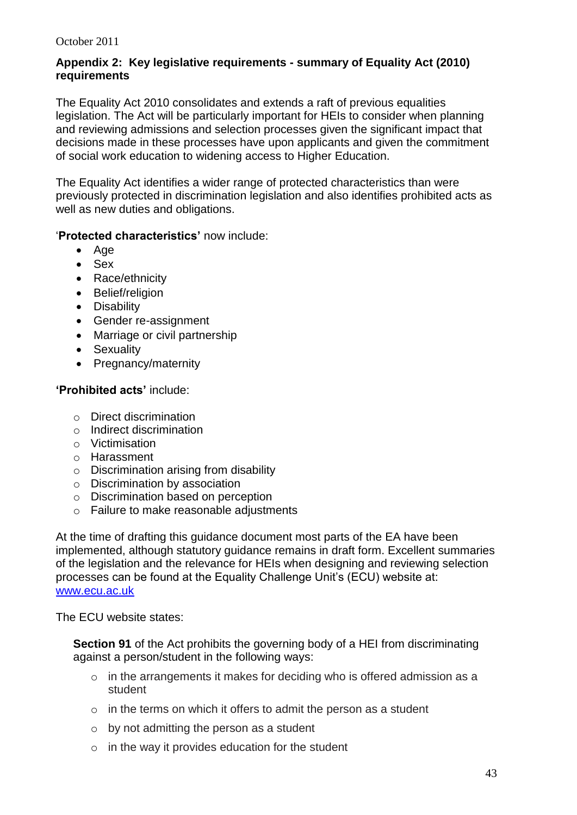### **Appendix 2: Key legislative requirements - summary of Equality Act (2010) requirements**

The Equality Act 2010 consolidates and extends a raft of previous equalities legislation. The Act will be particularly important for HEIs to consider when planning and reviewing admissions and selection processes given the significant impact that decisions made in these processes have upon applicants and given the commitment of social work education to widening access to Higher Education.

The Equality Act identifies a wider range of protected characteristics than were previously protected in discrimination legislation and also identifies prohibited acts as well as new duties and obligations.

### '**Protected characteristics'** now include:

- $\bullet$  Age
- Sex
- Race/ethnicity
- Belief/religion
- Disability
- Gender re-assignment
- Marriage or civil partnership
- Sexuality
- Pregnancy/maternity

### **'Prohibited acts'** include:

- o Direct discrimination
- o Indirect discrimination
- o Victimisation
- o Harassment
- o Discrimination arising from disability
- o Discrimination by association
- o Discrimination based on perception
- o Failure to make reasonable adjustments

At the time of drafting this guidance document most parts of the EA have been implemented, although statutory guidance remains in draft form. Excellent summaries of the legislation and the relevance for HEIs when designing and reviewing selection processes can be found at the Equality Challenge Unit's (ECU) website at: [www.ecu.ac.uk](http://www.ecu.ac.uk/)

The ECU website states:

**Section 91** of the Act prohibits the governing body of a HEI from discriminating against a person/student in the following ways:

- o in the arrangements it makes for deciding who is offered admission as a student
- o in the terms on which it offers to admit the person as a student
- o by not admitting the person as a student
- $\circ$  in the way it provides education for the student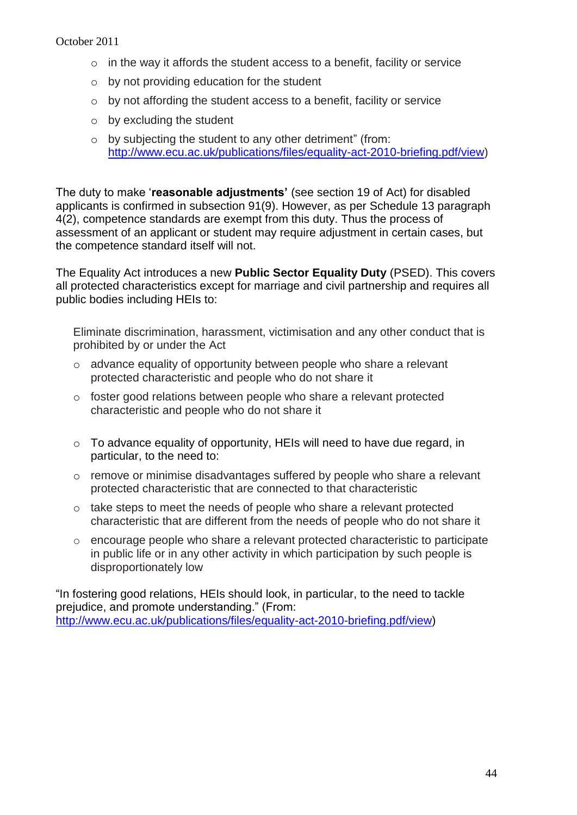- o in the way it affords the student access to a benefit, facility or service
- o by not providing education for the student
- o by not affording the student access to a benefit, facility or service
- o by excluding the student
- o by subjecting the student to any other detriment" (from: [http://www.ecu.ac.uk/publications/files/equality-act-2010-briefing.pdf/view\)](http://www.ecu.ac.uk/publications/files/equality-act-2010-briefing.pdf/view)

The duty to make '**reasonable adjustments'** (see section 19 of Act) for disabled applicants is confirmed in subsection 91(9). However, as per Schedule 13 paragraph 4(2), competence standards are exempt from this duty. Thus the process of assessment of an applicant or student may require adjustment in certain cases, but the competence standard itself will not.

The Equality Act introduces a new **Public Sector Equality Duty** (PSED). This covers all protected characteristics except for marriage and civil partnership and requires all public bodies including HEIs to:

Eliminate discrimination, harassment, victimisation and any other conduct that is prohibited by or under the Act

- o advance equality of opportunity between people who share a relevant protected characteristic and people who do not share it
- o foster good relations between people who share a relevant protected characteristic and people who do not share it
- o To advance equality of opportunity, HEIs will need to have due regard, in particular, to the need to:
- o remove or minimise disadvantages suffered by people who share a relevant protected characteristic that are connected to that characteristic
- $\circ$  take steps to meet the needs of people who share a relevant protected characteristic that are different from the needs of people who do not share it
- $\circ$  encourage people who share a relevant protected characteristic to participate in public life or in any other activity in which participation by such people is disproportionately low

"In fostering good relations, HEIs should look, in particular, to the need to tackle prejudice, and promote understanding." (From: [http://www.ecu.ac.uk/publications/files/equality-act-2010-briefing.pdf/view\)](http://www.ecu.ac.uk/publications/files/equality-act-2010-briefing.pdf/view)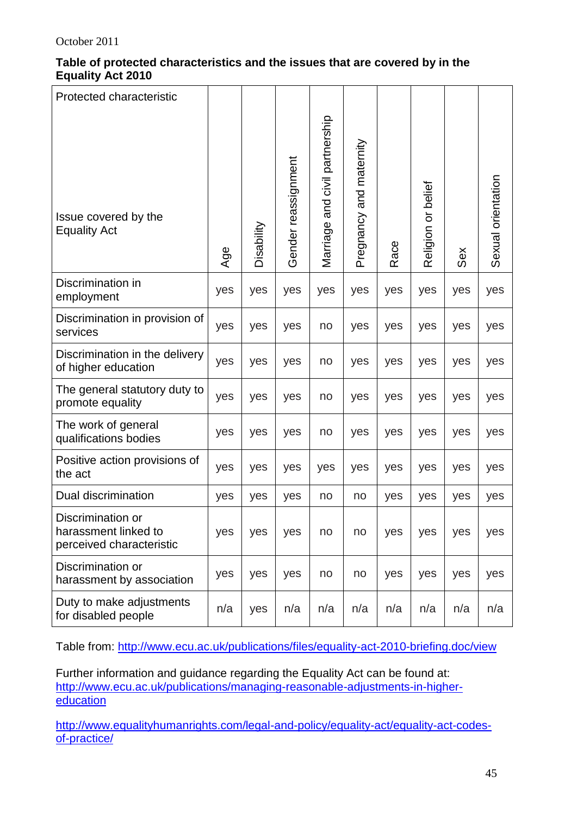### **Table of protected characteristics and the issues that are covered by in the Equality Act 2010**

| Protected characteristic                                              |     |            |                     |                                |                         |      |                    |     |                    |
|-----------------------------------------------------------------------|-----|------------|---------------------|--------------------------------|-------------------------|------|--------------------|-----|--------------------|
| Issue covered by the<br><b>Equality Act</b>                           | Age | Disability | Gender reassignment | Marriage and civil partnership | Pregnancy and maternity | Race | Religion or belief | Sex | Sexual orientation |
| Discrimination in<br>employment                                       | yes | yes        | yes                 | yes                            | yes                     | yes  | yes                | yes | yes                |
| Discrimination in provision of<br>services                            | yes | yes        | yes                 | no                             | yes                     | yes  | yes                | yes | yes                |
| Discrimination in the delivery<br>of higher education                 | yes | yes        | yes                 | no                             | yes                     | yes  | yes                | yes | yes                |
| The general statutory duty to<br>promote equality                     | yes | yes        | yes                 | no                             | yes                     | yes  | yes                | yes | yes                |
| The work of general<br>qualifications bodies                          | yes | yes        | yes                 | no                             | yes                     | yes  | yes                | yes | yes                |
| Positive action provisions of<br>the act                              | yes | yes        | yes                 | yes                            | yes                     | yes  | yes                | yes | yes                |
| Dual discrimination                                                   | yes | yes        | yes                 | no                             | no                      | yes  | yes                | yes | yes                |
| Discrimination or<br>harassment linked to<br>perceived characteristic | yes | yes        | yes                 | no                             | no                      | yes  | yes                | yes | yes                |
| Discrimination or<br>harassment by association                        | yes | yes        | yes                 | no                             | no                      | yes  | yes                | yes | yes                |
| Duty to make adjustments<br>for disabled people                       | n/a | yes        | n/a                 | n/a                            | n/a                     | n/a  | n/a                | n/a | n/a                |

Table from:<http://www.ecu.ac.uk/publications/files/equality-act-2010-briefing.doc/view>

Further information and guidance regarding the Equality Act can be found at: [http://www.ecu.ac.uk/publications/managing-reasonable-adjustments-in-higher](http://www.ecu.ac.uk/publications/managing-reasonable-adjustments-in-higher-education)[education](http://www.ecu.ac.uk/publications/managing-reasonable-adjustments-in-higher-education)

[http://www.equalityhumanrights.com/legal-and-policy/equality-act/equality-act-codes](http://www.equalityhumanrights.com/legal-and-policy/equality-act/equality-act-codes-of-practice/)[of-practice/](http://www.equalityhumanrights.com/legal-and-policy/equality-act/equality-act-codes-of-practice/)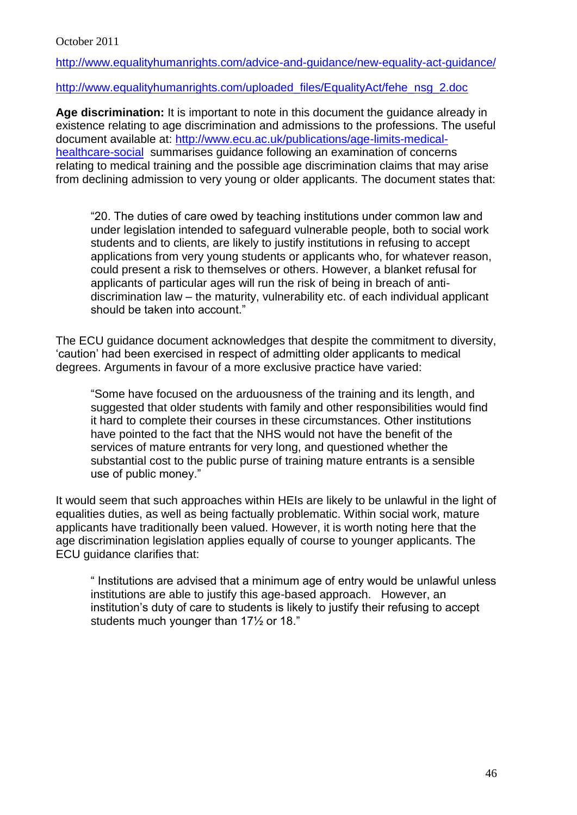<http://www.equalityhumanrights.com/advice-and-guidance/new-equality-act-guidance/>

[http://www.equalityhumanrights.com/uploaded\\_files/EqualityAct/fehe\\_nsg\\_2.doc](http://www.equalityhumanrights.com/uploaded_files/EqualityAct/fehe_nsg_2.doc)

**Age discrimination:** It is important to note in this document the guidance already in existence relating to age discrimination and admissions to the professions. The useful document available at: [http://www.ecu.ac.uk/publications/age-limits-medical](http://www.ecu.ac.uk/publications/age-limits-medical-healthcare-social)[healthcare-social](http://www.ecu.ac.uk/publications/age-limits-medical-healthcare-social) summarises guidance following an examination of concerns relating to medical training and the possible age discrimination claims that may arise from declining admission to very young or older applicants. The document states that:

"20. The duties of care owed by teaching institutions under common law and under legislation intended to safeguard vulnerable people, both to social work students and to clients, are likely to justify institutions in refusing to accept applications from very young students or applicants who, for whatever reason, could present a risk to themselves or others. However, a blanket refusal for applicants of particular ages will run the risk of being in breach of antidiscrimination law – the maturity, vulnerability etc. of each individual applicant should be taken into account."

The ECU guidance document acknowledges that despite the commitment to diversity, 'caution' had been exercised in respect of admitting older applicants to medical degrees. Arguments in favour of a more exclusive practice have varied:

"Some have focused on the arduousness of the training and its length, and suggested that older students with family and other responsibilities would find it hard to complete their courses in these circumstances. Other institutions have pointed to the fact that the NHS would not have the benefit of the services of mature entrants for very long, and questioned whether the substantial cost to the public purse of training mature entrants is a sensible use of public money."

It would seem that such approaches within HEIs are likely to be unlawful in the light of equalities duties, as well as being factually problematic. Within social work, mature applicants have traditionally been valued. However, it is worth noting here that the age discrimination legislation applies equally of course to younger applicants. The ECU guidance clarifies that:

" Institutions are advised that a minimum age of entry would be unlawful unless institutions are able to justify this age-based approach. However, an institution's duty of care to students is likely to justify their refusing to accept students much younger than 17½ or 18."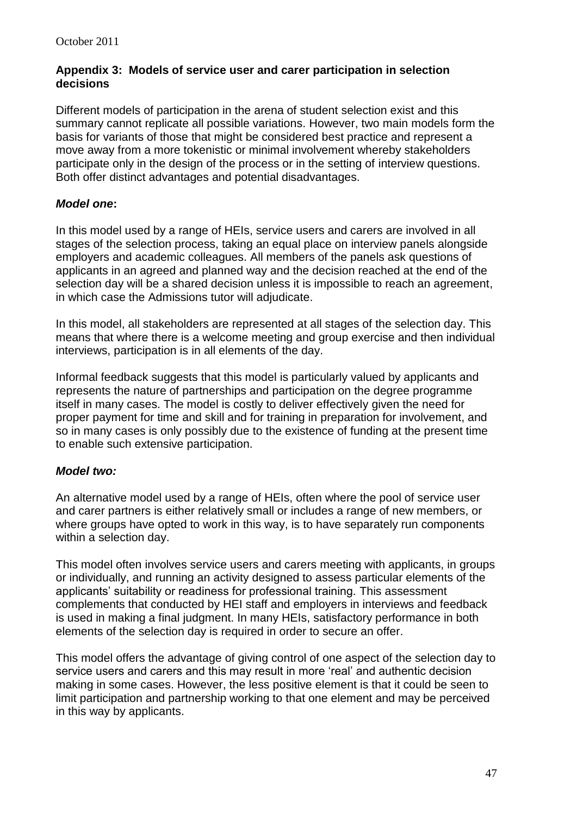### **Appendix 3: Models of service user and carer participation in selection decisions**

Different models of participation in the arena of student selection exist and this summary cannot replicate all possible variations. However, two main models form the basis for variants of those that might be considered best practice and represent a move away from a more tokenistic or minimal involvement whereby stakeholders participate only in the design of the process or in the setting of interview questions. Both offer distinct advantages and potential disadvantages.

### *Model one***:**

In this model used by a range of HEIs, service users and carers are involved in all stages of the selection process, taking an equal place on interview panels alongside employers and academic colleagues. All members of the panels ask questions of applicants in an agreed and planned way and the decision reached at the end of the selection day will be a shared decision unless it is impossible to reach an agreement, in which case the Admissions tutor will adjudicate.

In this model, all stakeholders are represented at all stages of the selection day. This means that where there is a welcome meeting and group exercise and then individual interviews, participation is in all elements of the day.

Informal feedback suggests that this model is particularly valued by applicants and represents the nature of partnerships and participation on the degree programme itself in many cases. The model is costly to deliver effectively given the need for proper payment for time and skill and for training in preparation for involvement, and so in many cases is only possibly due to the existence of funding at the present time to enable such extensive participation.

### *Model two:*

An alternative model used by a range of HEIs, often where the pool of service user and carer partners is either relatively small or includes a range of new members, or where groups have opted to work in this way, is to have separately run components within a selection day.

This model often involves service users and carers meeting with applicants, in groups or individually, and running an activity designed to assess particular elements of the applicants' suitability or readiness for professional training. This assessment complements that conducted by HEI staff and employers in interviews and feedback is used in making a final judgment. In many HEIs, satisfactory performance in both elements of the selection day is required in order to secure an offer.

This model offers the advantage of giving control of one aspect of the selection day to service users and carers and this may result in more 'real' and authentic decision making in some cases. However, the less positive element is that it could be seen to limit participation and partnership working to that one element and may be perceived in this way by applicants.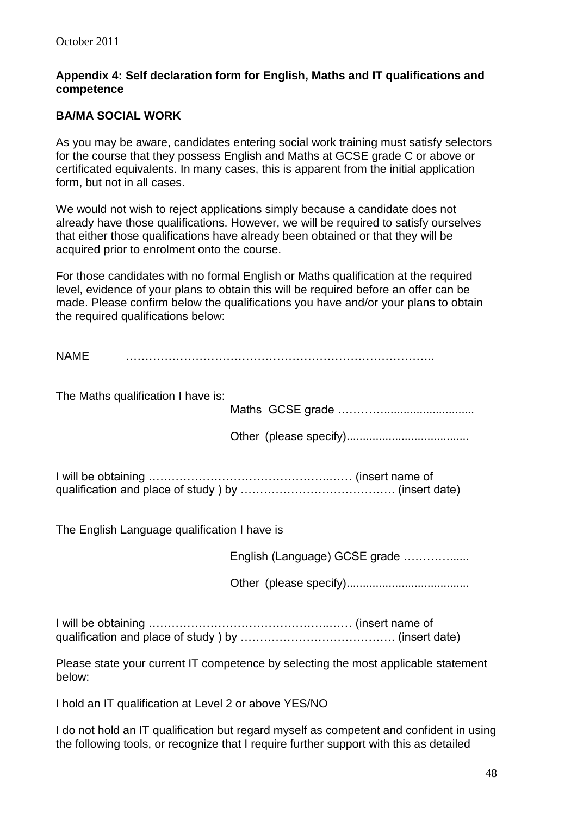### **Appendix 4: Self declaration form for English, Maths and IT qualifications and competence**

### **BA/MA SOCIAL WORK**

As you may be aware, candidates entering social work training must satisfy selectors for the course that they possess English and Maths at GCSE grade C or above or certificated equivalents. In many cases, this is apparent from the initial application form, but not in all cases.

We would not wish to reject applications simply because a candidate does not already have those qualifications. However, we will be required to satisfy ourselves that either those qualifications have already been obtained or that they will be acquired prior to enrolment onto the course.

For those candidates with no formal English or Maths qualification at the required level, evidence of your plans to obtain this will be required before an offer can be made. Please confirm below the qualifications you have and/or your plans to obtain the required qualifications below:

| <b>NAME</b>                                  |                                                                                    |
|----------------------------------------------|------------------------------------------------------------------------------------|
| The Maths qualification I have is:           |                                                                                    |
|                                              |                                                                                    |
| The English Language qualification I have is |                                                                                    |
|                                              | English (Language) GCSE grade                                                      |
|                                              |                                                                                    |
|                                              |                                                                                    |
| below:                                       | Please state your current IT competence by selecting the most applicable statement |

I hold an IT qualification at Level 2 or above YES/NO

I do not hold an IT qualification but regard myself as competent and confident in using the following tools, or recognize that I require further support with this as detailed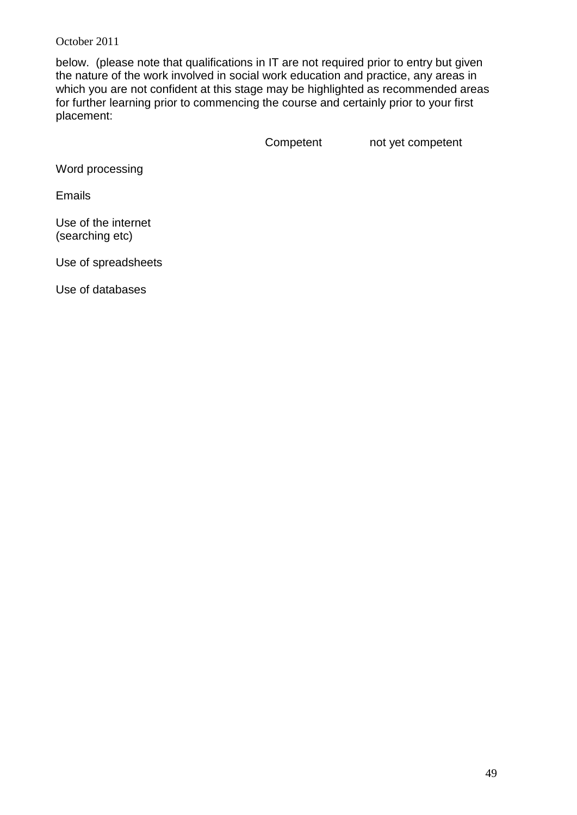below. (please note that qualifications in IT are not required prior to entry but given the nature of the work involved in social work education and practice, any areas in which you are not confident at this stage may be highlighted as recommended areas for further learning prior to commencing the course and certainly prior to your first placement:

Competent not yet competent

Word processing

Emails

Use of the internet (searching etc)

Use of spreadsheets

Use of databases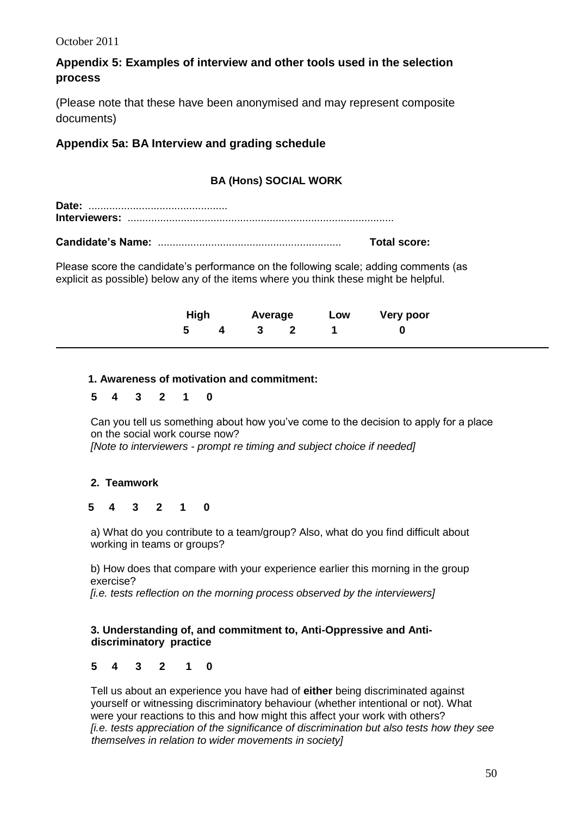### **Appendix 5: Examples of interview and other tools used in the selection process**

(Please note that these have been anonymised and may represent composite documents)

### **Appendix 5a: BA Interview and grading schedule**

### **BA (Hons) SOCIAL WORK**

**Date:** ............................................... **Interviewers:** ..........................................................................................

**Candidate's Name:** .............................................................. **Total score:**

Please score the candidate's performance on the following scale; adding comments (as explicit as possible) below any of the items where you think these might be helpful.

|  |  |             | High Average Low Very poor |
|--|--|-------------|----------------------------|
|  |  | 5 4 3 2 1 0 |                            |

### **1. Awareness of motivation and commitment:**

#### **5 4 3 2 1 0**

Can you tell us something about how you've come to the decision to apply for a place on the social work course now? *[Note to interviewers - prompt re timing and subject choice if needed]*

### **2. Teamwork**

#### **5 4 3 2 1 0**

a) What do you contribute to a team/group? Also, what do you find difficult about working in teams or groups?

b) How does that compare with your experience earlier this morning in the group exercise?

 *[i.e. tests reflection on the morning process observed by the interviewers]*

#### **3. Understanding of, and commitment to, Anti-Oppressive and Anti discriminatory practice**

### **5 4 3 2 1 0**

Tell us about an experience you have had of **either** being discriminated against yourself or witnessing discriminatory behaviour (whether intentional or not). What were your reactions to this and how might this affect your work with others? *[i.e. tests appreciation of the significance of discrimination but also tests how they see themselves in relation to wider movements in society]*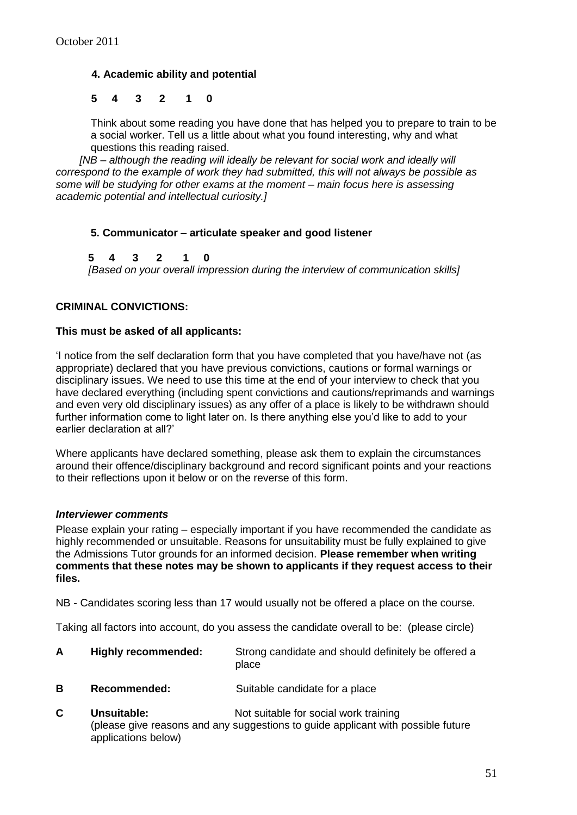#### **4. Academic ability and potential**

#### **5 4 3 2 1 0**

Think about some reading you have done that has helped you to prepare to train to be a social worker. Tell us a little about what you found interesting, why and what questions this reading raised.

 *[NB – although the reading will ideally be relevant for social work and ideally will correspond to the example of work they had submitted, this will not always be possible as some will be studying for other exams at the moment – main focus here is assessing academic potential and intellectual curiosity.]*

#### **5. Communicator – articulate speaker and good listener**

 **5 4 3 2 1 0**  *[Based on your overall impression during the interview of communication skills]*

#### **CRIMINAL CONVICTIONS:**

#### **This must be asked of all applicants:**

'I notice from the self declaration form that you have completed that you have/have not (as appropriate) declared that you have previous convictions, cautions or formal warnings or disciplinary issues. We need to use this time at the end of your interview to check that you have declared everything (including spent convictions and cautions/reprimands and warnings and even very old disciplinary issues) as any offer of a place is likely to be withdrawn should further information come to light later on. Is there anything else you'd like to add to your earlier declaration at all?'

Where applicants have declared something, please ask them to explain the circumstances around their offence/disciplinary background and record significant points and your reactions to their reflections upon it below or on the reverse of this form.

#### *Interviewer comments*

Please explain your rating – especially important if you have recommended the candidate as highly recommended or unsuitable. Reasons for unsuitability must be fully explained to give the Admissions Tutor grounds for an informed decision. **Please remember when writing comments that these notes may be shown to applicants if they request access to their files.**

NB - Candidates scoring less than 17 would usually not be offered a place on the course.

Taking all factors into account, do you assess the candidate overall to be: (please circle)

| <b>Highly recommended:</b> | Strong candidate and should definitely be offered a<br>place |
|----------------------------|--------------------------------------------------------------|
|                            |                                                              |

- **B Recommended:** Suitable candidate for a place
- **C Unsuitable:** Not suitable for social work training (please give reasons and any suggestions to guide applicant with possible future applications below)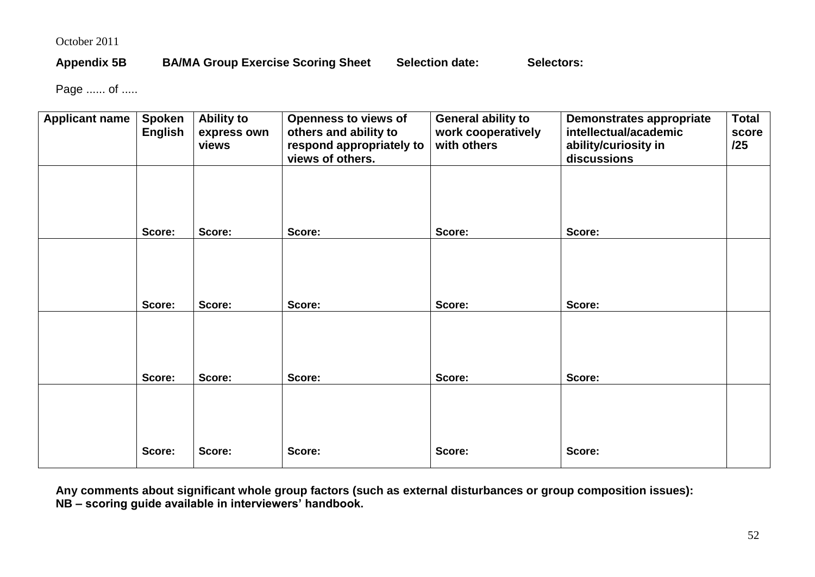### Appendix 5B BA/MA Group Exercise Scoring Sheet Selection date: Selectors:

Page ...... of .....

| <b>Applicant name</b> | <b>Spoken</b><br><b>English</b> | <b>Ability to</b><br>express own<br>views | <b>Openness to views of</b><br>others and ability to<br>respond appropriately to<br>views of others. | <b>General ability to</b><br>work cooperatively<br>with others | <b>Demonstrates appropriate</b><br>intellectual/academic<br>ability/curiosity in<br>discussions | <b>Total</b><br>score<br>/25 |
|-----------------------|---------------------------------|-------------------------------------------|------------------------------------------------------------------------------------------------------|----------------------------------------------------------------|-------------------------------------------------------------------------------------------------|------------------------------|
|                       |                                 |                                           |                                                                                                      |                                                                |                                                                                                 |                              |
|                       | Score:                          | Score:                                    | Score:                                                                                               | Score:                                                         | Score:                                                                                          |                              |
|                       |                                 |                                           |                                                                                                      |                                                                |                                                                                                 |                              |
|                       | Score:                          | Score:                                    | Score:                                                                                               | Score:                                                         | Score:                                                                                          |                              |
|                       | Score:                          | Score:                                    | Score:                                                                                               | Score:                                                         | Score:                                                                                          |                              |
|                       |                                 |                                           |                                                                                                      |                                                                |                                                                                                 |                              |
|                       | Score:                          | Score:                                    | Score:                                                                                               | Score:                                                         | Score:                                                                                          |                              |

**Any comments about significant whole group factors (such as external disturbances or group composition issues): NB – scoring guide available in interviewers' handbook.**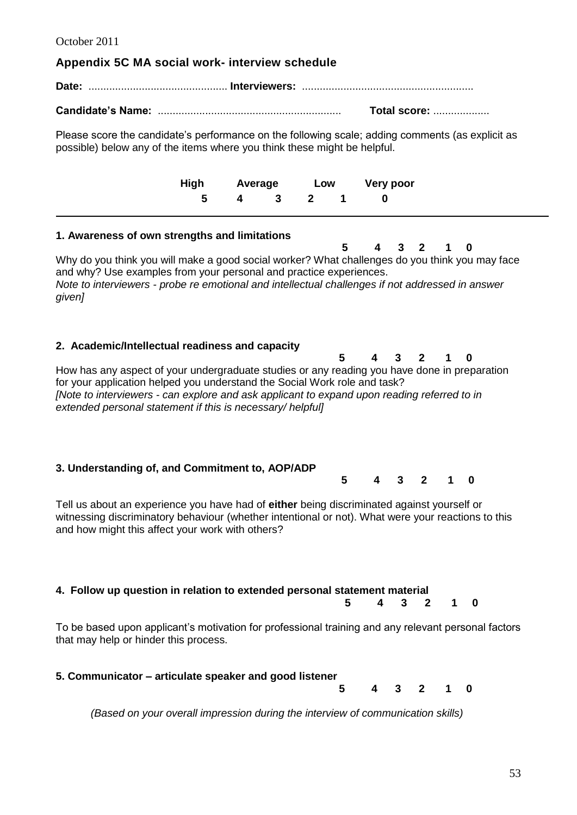#### **Appendix 5C MA social work- interview schedule**

**Date:** ............................................... **Interviewers:** ..........................................................

**Candidate's Name:** .............................................................. **Total score:** ...................

Please score the candidate's performance on the following scale; adding comments (as explicit as possible) below any of the items where you think these might be helpful.

|             |  |  | High Average Low Very poor |
|-------------|--|--|----------------------------|
| 5 4 3 2 1 0 |  |  |                            |
|             |  |  |                            |

#### **1. Awareness of own strengths and limitations**

 **5 4 3 2 1 0** Why do you think you will make a good social worker? What challenges do you think you may face and why? Use examples from your personal and practice experiences. *Note to interviewers - probe re emotional and intellectual challenges if not addressed in answer given]*

#### **2. Academic/Intellectual readiness and capacity**

 **5 4 3 2 1 0** How has any aspect of your undergraduate studies or any reading you have done in preparation for your application helped you understand the Social Work role and task? *[Note to interviewers - can explore and ask applicant to expand upon reading referred to in extended personal statement if this is necessary/ helpful]*

#### **3. Understanding of, and Commitment to, AOP/ADP 5 4 3 2 1 0**

Tell us about an experience you have had of **either** being discriminated against yourself or witnessing discriminatory behaviour (whether intentional or not). What were your reactions to this and how might this affect your work with others?

#### **4. Follow up question in relation to extended personal statement material**

 **5 4 3 2 1 0**

To be based upon applicant's motivation for professional training and any relevant personal factors that may help or hinder this process.

#### **5. Communicator – articulate speaker and good listener**

 **5 4 3 2 1 0**

*(Based on your overall impression during the interview of communication skills)*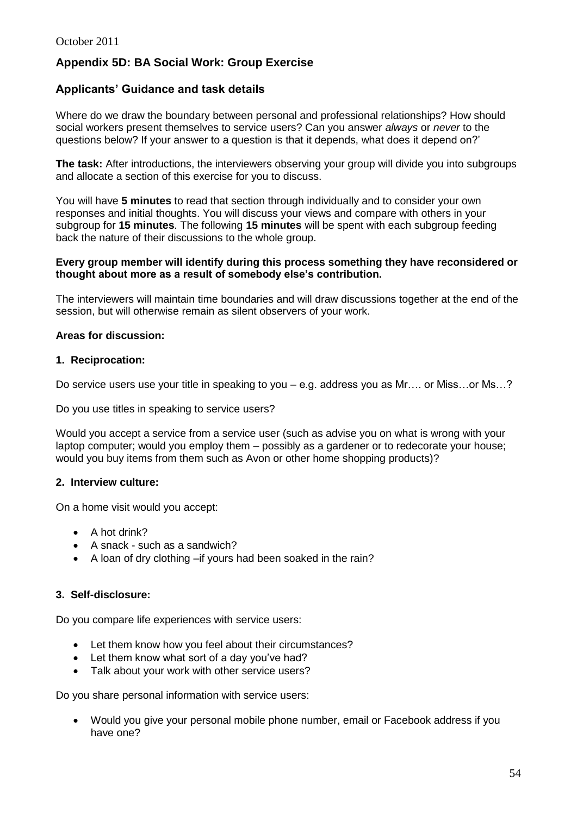### **Appendix 5D: BA Social Work: Group Exercise**

### **Applicants' Guidance and task details**

Where do we draw the boundary between personal and professional relationships? How should social workers present themselves to service users? Can you answer *always* or *never* to the questions below? If your answer to a question is that it depends, what does it depend on?'

**The task:** After introductions, the interviewers observing your group will divide you into subgroups and allocate a section of this exercise for you to discuss.

You will have **5 minutes** to read that section through individually and to consider your own responses and initial thoughts. You will discuss your views and compare with others in your subgroup for **15 minutes**. The following **15 minutes** will be spent with each subgroup feeding back the nature of their discussions to the whole group.

#### **Every group member will identify during this process something they have reconsidered or thought about more as a result of somebody else's contribution.**

The interviewers will maintain time boundaries and will draw discussions together at the end of the session, but will otherwise remain as silent observers of your work.

#### **Areas for discussion:**

#### **1. Reciprocation:**

Do service users use your title in speaking to you – e.g. address you as Mr…. or Miss…or Ms…?

Do you use titles in speaking to service users?

Would you accept a service from a service user (such as advise you on what is wrong with your laptop computer; would you employ them – possibly as a gardener or to redecorate your house; would you buy items from them such as Avon or other home shopping products)?

#### **2. Interview culture:**

On a home visit would you accept:

- A hot drink?
- A snack such as a sandwich?
- A loan of dry clothing –if yours had been soaked in the rain?

#### **3. Self-disclosure:**

Do you compare life experiences with service users:

- Let them know how you feel about their circumstances?
- Let them know what sort of a day you've had?
- Talk about your work with other service users?

Do you share personal information with service users:

 Would you give your personal mobile phone number, email or Facebook address if you have one?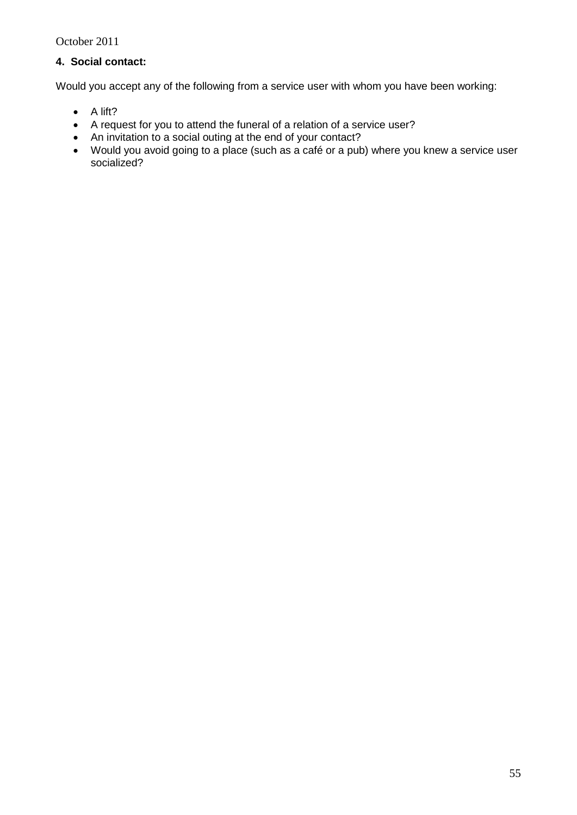### **4. Social contact:**

Would you accept any of the following from a service user with whom you have been working:

- $\bullet$  A lift?
- A request for you to attend the funeral of a relation of a service user?
- An invitation to a social outing at the end of your contact?
- Would you avoid going to a place (such as a café or a pub) where you knew a service user socialized?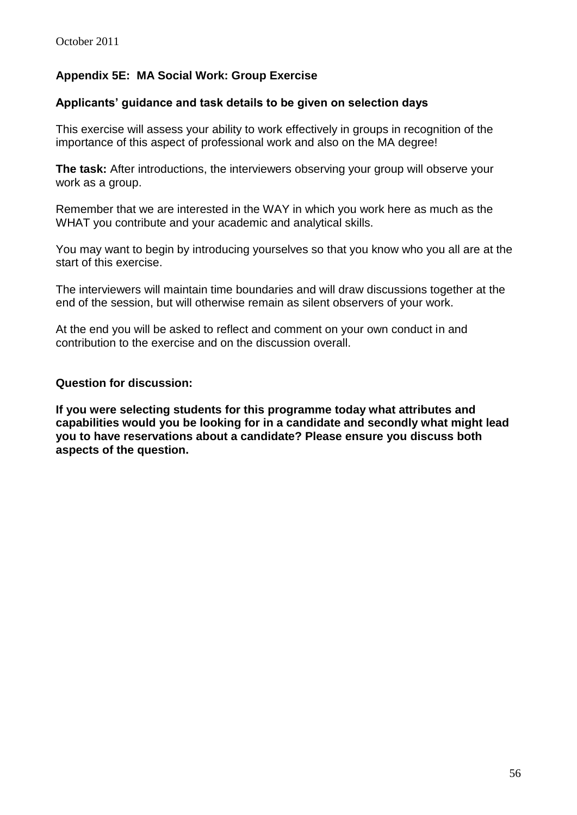### **Appendix 5E: MA Social Work: Group Exercise**

#### **Applicants' guidance and task details to be given on selection days**

This exercise will assess your ability to work effectively in groups in recognition of the importance of this aspect of professional work and also on the MA degree!

**The task:** After introductions, the interviewers observing your group will observe your work as a group.

Remember that we are interested in the WAY in which you work here as much as the WHAT you contribute and your academic and analytical skills.

You may want to begin by introducing yourselves so that you know who you all are at the start of this exercise.

The interviewers will maintain time boundaries and will draw discussions together at the end of the session, but will otherwise remain as silent observers of your work.

At the end you will be asked to reflect and comment on your own conduct in and contribution to the exercise and on the discussion overall.

#### **Question for discussion:**

**If you were selecting students for this programme today what attributes and capabilities would you be looking for in a candidate and secondly what might lead you to have reservations about a candidate? Please ensure you discuss both aspects of the question.**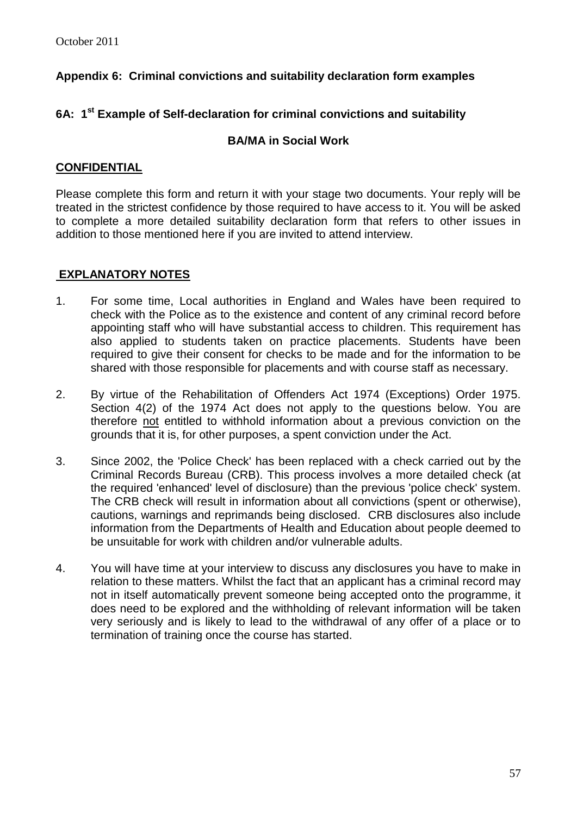### **Appendix 6: Criminal convictions and suitability declaration form examples**

### **6A: 1st Example of Self-declaration for criminal convictions and suitability**

### **BA/MA in Social Work**

### **CONFIDENTIAL**

Please complete this form and return it with your stage two documents. Your reply will be treated in the strictest confidence by those required to have access to it. You will be asked to complete a more detailed suitability declaration form that refers to other issues in addition to those mentioned here if you are invited to attend interview.

### **EXPLANATORY NOTES**

- 1. For some time, Local authorities in England and Wales have been required to check with the Police as to the existence and content of any criminal record before appointing staff who will have substantial access to children. This requirement has also applied to students taken on practice placements. Students have been required to give their consent for checks to be made and for the information to be shared with those responsible for placements and with course staff as necessary.
- 2. By virtue of the Rehabilitation of Offenders Act 1974 (Exceptions) Order 1975. Section 4(2) of the 1974 Act does not apply to the questions below. You are therefore not entitled to withhold information about a previous conviction on the grounds that it is, for other purposes, a spent conviction under the Act.
- 3. Since 2002, the 'Police Check' has been replaced with a check carried out by the Criminal Records Bureau (CRB). This process involves a more detailed check (at the required 'enhanced' level of disclosure) than the previous 'police check' system. The CRB check will result in information about all convictions (spent or otherwise), cautions, warnings and reprimands being disclosed. CRB disclosures also include information from the Departments of Health and Education about people deemed to be unsuitable for work with children and/or vulnerable adults.
- 4. You will have time at your interview to discuss any disclosures you have to make in relation to these matters. Whilst the fact that an applicant has a criminal record may not in itself automatically prevent someone being accepted onto the programme, it does need to be explored and the withholding of relevant information will be taken very seriously and is likely to lead to the withdrawal of any offer of a place or to termination of training once the course has started.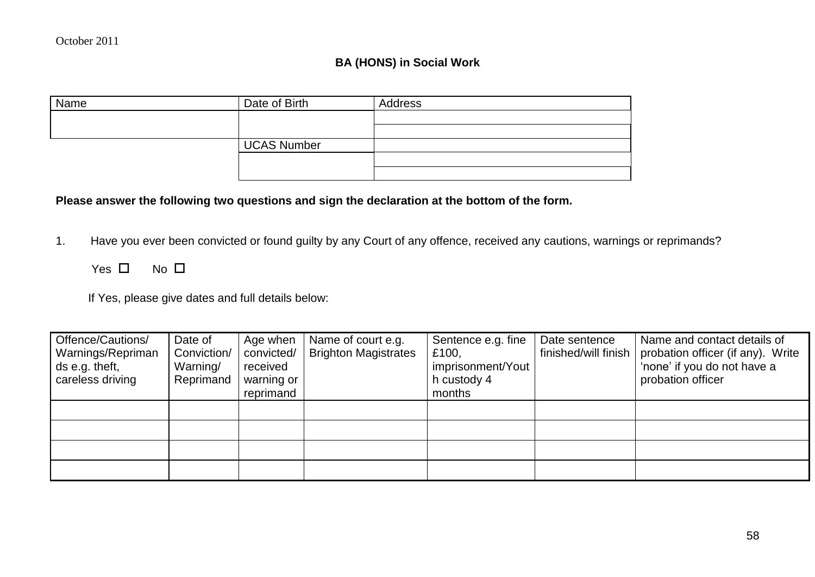### **BA (HONS) in Social Work**

| Name | Date of Birth | Address |
|------|---------------|---------|
|      |               |         |
|      |               |         |
|      | UCAS Number   |         |
|      |               |         |
|      |               |         |

### **Please answer the following two questions and sign the declaration at the bottom of the form.**

- 1. Have you ever been convicted or found guilty by any Court of any offence, received any cautions, warnings or reprimands?
	- Yes  $\square$  No  $\square$

If Yes, please give dates and full details below:

| Offence/Cautions/<br>Warnings/Repriman<br>ds e.g. theft,<br>careless driving | Date of<br>Conviction/<br>Warning/<br>Reprimand | Age when<br>convicted/<br>received<br>warning or<br>reprimand | Name of court e.g.<br><b>Brighton Magistrates</b> | Sentence e.g. fine<br>£100,<br>imprisonment/Yout<br>h custody 4<br>months | Date sentence<br>finished/will finish | Name and contact details of<br>probation officer (if any). Write<br>'none' if you do not have a<br>probation officer |
|------------------------------------------------------------------------------|-------------------------------------------------|---------------------------------------------------------------|---------------------------------------------------|---------------------------------------------------------------------------|---------------------------------------|----------------------------------------------------------------------------------------------------------------------|
|                                                                              |                                                 |                                                               |                                                   |                                                                           |                                       |                                                                                                                      |
|                                                                              |                                                 |                                                               |                                                   |                                                                           |                                       |                                                                                                                      |
|                                                                              |                                                 |                                                               |                                                   |                                                                           |                                       |                                                                                                                      |
|                                                                              |                                                 |                                                               |                                                   |                                                                           |                                       |                                                                                                                      |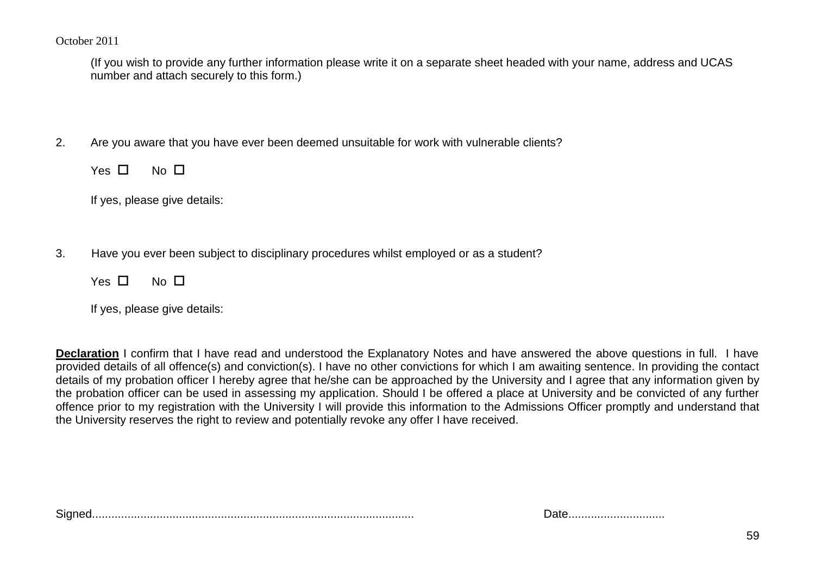(If you wish to provide any further information please write it on a separate sheet headed with your name, address and UCAS number and attach securely to this form.)

2. Are you aware that you have ever been deemed unsuitable for work with vulnerable clients?

Yes  $\Box$  No  $\Box$ 

If yes, please give details:

3. Have you ever been subject to disciplinary procedures whilst employed or as a student?

| Yes | No. | ப |
|-----|-----|---|
|     |     |   |

| If yes, please give details: |  |  |
|------------------------------|--|--|
|------------------------------|--|--|

**Declaration** I confirm that I have read and understood the Explanatory Notes and have answered the above questions in full. I have provided details of all offence(s) and conviction(s). I have no other convictions for which I am awaiting sentence. In providing the contact details of my probation officer I hereby agree that he/she can be approached by the University and I agree that any information given by the probation officer can be used in assessing my application. Should I be offered a place at University and be convicted of any further offence prior to my registration with the University I will provide this information to the Admissions Officer promptly and understand that the University reserves the right to review and potentially revoke any offer I have received.

Signed.................................................................................................... Date..............................

| Date |  |
|------|--|
|------|--|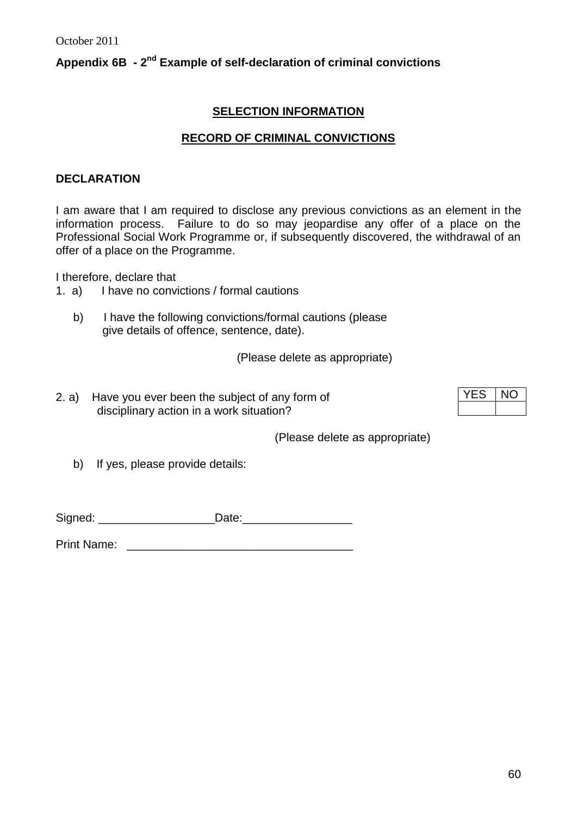### Appendix 6B  $-2^{\text{nd}}$  Example of self-declaration of criminal convictions

### **SELECTION INFORMATION**

#### **RECORD OF CRIMINAL CONVICTIONS**

#### **DECLARATION**

I am aware that I am required to disclose any previous convictions as an element in the information process. Failure to do so may jeopardise any offer of a place on the Professional Social Work Programme or, if subsequently discovered, the withdrawal of an offer of a place on the Programme.

I therefore, declare that

- 1. a) I have no convictions / formal cautions
	- b) I have the following convictions/formal cautions (please give details of offence, sentence, date).

(Please delete as appropriate)

2. a) Have you ever been the subject of any form of disciplinary action in a work situation?

(Please delete as appropriate)

b) If yes, please provide details:

Signed: \_\_\_\_\_\_\_\_\_\_\_\_\_\_\_\_\_\_\_\_\_\_\_\_\_Date:

Print Name: \_\_\_\_\_\_\_\_\_\_\_\_\_\_\_\_\_\_\_\_\_\_\_\_\_\_\_\_\_\_\_\_\_\_\_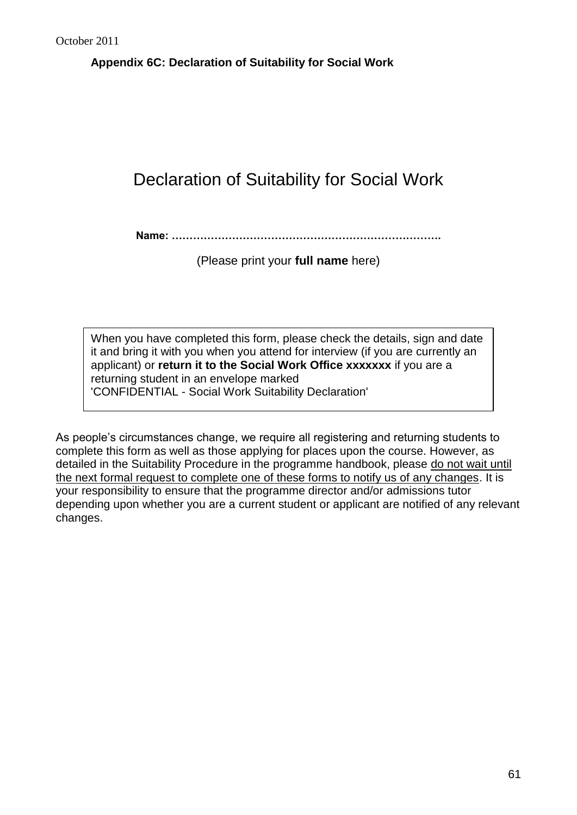**Appendix 6C: Declaration of Suitability for Social Work**

# Declaration of Suitability for Social Work

**Name: ………………………………………………………………….**

(Please print your **full name** here)

When you have completed this form, please check the details, sign and date it and bring it with you when you attend for interview (if you are currently an applicant) or **return it to the Social Work Office xxxxxxx** if you are a returning student in an envelope marked 'CONFIDENTIAL - Social Work Suitability Declaration'

As people's circumstances change, we require all registering and returning students to complete this form as well as those applying for places upon the course. However, as detailed in the Suitability Procedure in the programme handbook, please do not wait until the next formal request to complete one of these forms to notify us of any changes. It is your responsibility to ensure that the programme director and/or admissions tutor depending upon whether you are a current student or applicant are notified of any relevant changes.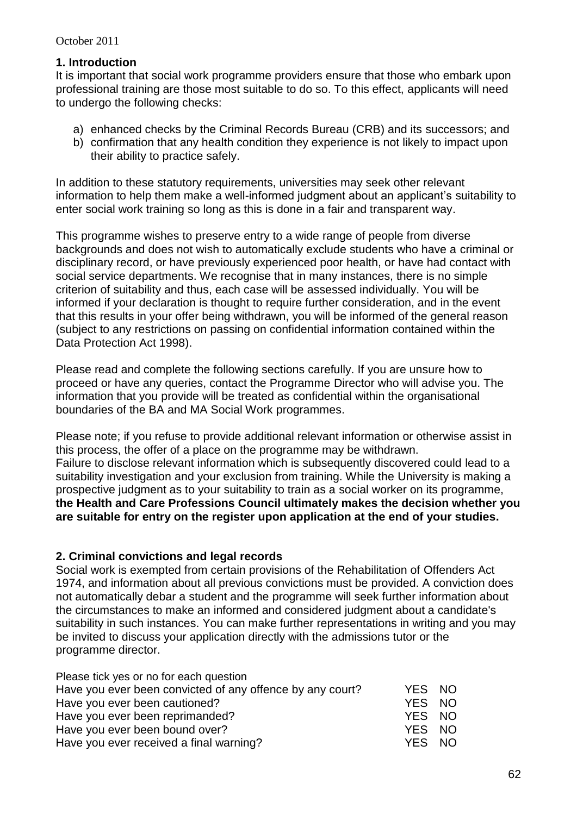### **1. Introduction**

It is important that social work programme providers ensure that those who embark upon professional training are those most suitable to do so. To this effect, applicants will need to undergo the following checks:

- a) enhanced checks by the Criminal Records Bureau (CRB) and its successors; and
- b) confirmation that any health condition they experience is not likely to impact upon their ability to practice safely.

In addition to these statutory requirements, universities may seek other relevant information to help them make a well-informed judgment about an applicant's suitability to enter social work training so long as this is done in a fair and transparent way.

This programme wishes to preserve entry to a wide range of people from diverse backgrounds and does not wish to automatically exclude students who have a criminal or disciplinary record, or have previously experienced poor health, or have had contact with social service departments. We recognise that in many instances, there is no simple criterion of suitability and thus, each case will be assessed individually. You will be informed if your declaration is thought to require further consideration, and in the event that this results in your offer being withdrawn, you will be informed of the general reason (subject to any restrictions on passing on confidential information contained within the Data Protection Act 1998).

Please read and complete the following sections carefully. If you are unsure how to proceed or have any queries, contact the Programme Director who will advise you. The information that you provide will be treated as confidential within the organisational boundaries of the BA and MA Social Work programmes.

Please note; if you refuse to provide additional relevant information or otherwise assist in this process, the offer of a place on the programme may be withdrawn. Failure to disclose relevant information which is subsequently discovered could lead to a suitability investigation and your exclusion from training. While the University is making a prospective judgment as to your suitability to train as a social worker on its programme, **the Health and Care Professions Council ultimately makes the decision whether you are suitable for entry on the register upon application at the end of your studies.** 

### **2. Criminal convictions and legal records**

Social work is exempted from certain provisions of the Rehabilitation of Offenders Act 1974, and information about all previous convictions must be provided. A conviction does not automatically debar a student and the programme will seek further information about the circumstances to make an informed and considered judgment about a candidate's suitability in such instances. You can make further representations in writing and you may be invited to discuss your application directly with the admissions tutor or the programme director.

| YES NO |  |
|--------|--|
| YES NO |  |
| YES NO |  |
| YES NO |  |
| YES NO |  |
|        |  |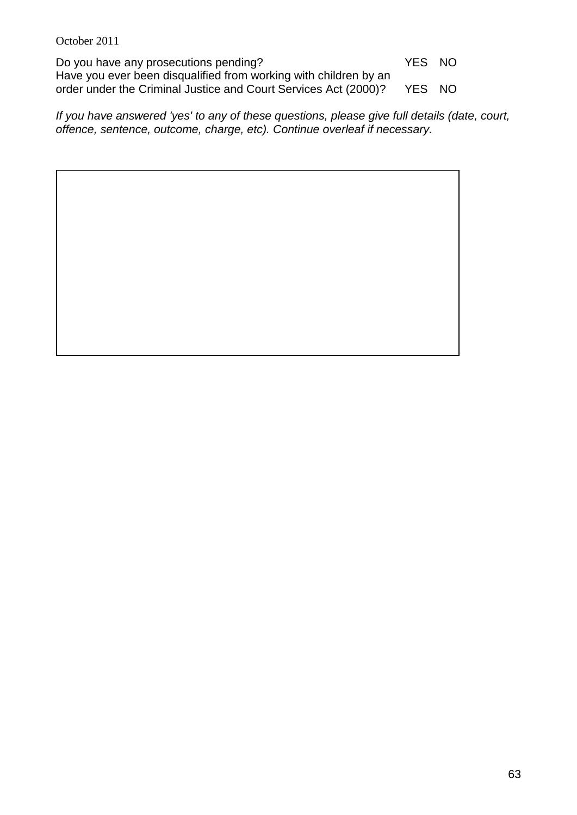Do you have any prosecutions pending? The MO YES NO Have you ever been disqualified from working with children by an order under the Criminal Justice and Court Services Act (2000)? YES NO

*If you have answered 'yes' to any of these questions, please give full details (date, court, offence, sentence, outcome, charge, etc). Continue overleaf if necessary.*

63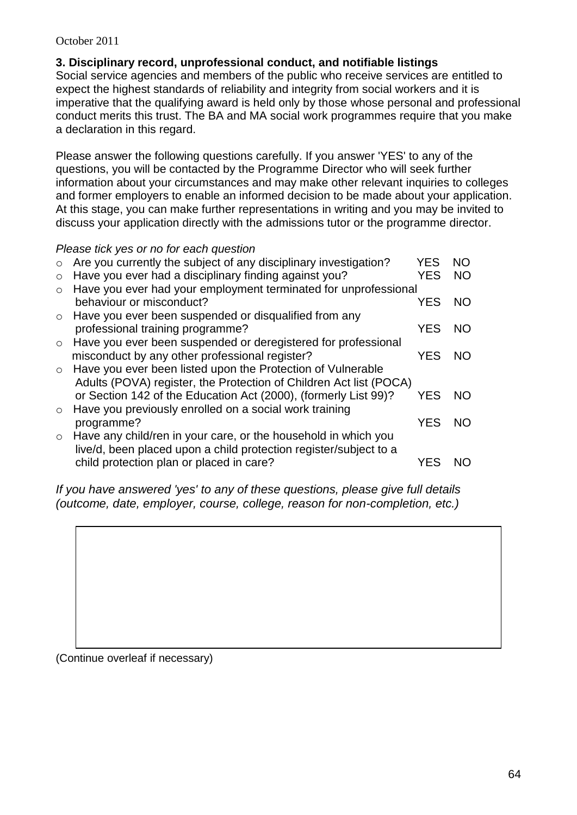### **3. Disciplinary record, unprofessional conduct, and notifiable listings**

Social service agencies and members of the public who receive services are entitled to expect the highest standards of reliability and integrity from social workers and it is imperative that the qualifying award is held only by those whose personal and professional conduct merits this trust. The BA and MA social work programmes require that you make a declaration in this regard.

Please answer the following questions carefully. If you answer 'YES' to any of the questions, you will be contacted by the Programme Director who will seek further information about your circumstances and may make other relevant inquiries to colleges and former employers to enable an informed decision to be made about your application. At this stage, you can make further representations in writing and you may be invited to discuss your application directly with the admissions tutor or the programme director.

*Please tick yes or no for each question*

| $\circ$ | Are you currently the subject of any disciplinary investigation?   | <b>YES</b> | <b>NO</b> |
|---------|--------------------------------------------------------------------|------------|-----------|
| $\circ$ | Have you ever had a disciplinary finding against you?              | <b>YES</b> | <b>NO</b> |
| $\circ$ | Have you ever had your employment terminated for unprofessional    |            |           |
|         | behaviour or misconduct?                                           | <b>YES</b> | NO.       |
| $\circ$ | Have you ever been suspended or disqualified from any              |            |           |
|         | professional training programme?                                   | YES.       | NO.       |
| $\circ$ | Have you ever been suspended or deregistered for professional      |            |           |
|         | misconduct by any other professional register?                     | YES        | NO.       |
| $\circ$ | Have you ever been listed upon the Protection of Vulnerable        |            |           |
|         | Adults (POVA) register, the Protection of Children Act list (POCA) |            |           |
|         | or Section 142 of the Education Act (2000), (formerly List 99)?    | YES.       | NO.       |
| $\circ$ | Have you previously enrolled on a social work training             |            |           |
|         | programme?                                                         | <b>YES</b> | - NO      |
| $\circ$ | Have any child/ren in your care, or the household in which you     |            |           |
|         | live/d, been placed upon a child protection register/subject to a  |            |           |
|         | child protection plan or placed in care?                           | YES        |           |

*If you have answered 'yes' to any of these questions, please give full details (outcome, date, employer, course, college, reason for non-completion, etc.)*

(Continue overleaf if necessary)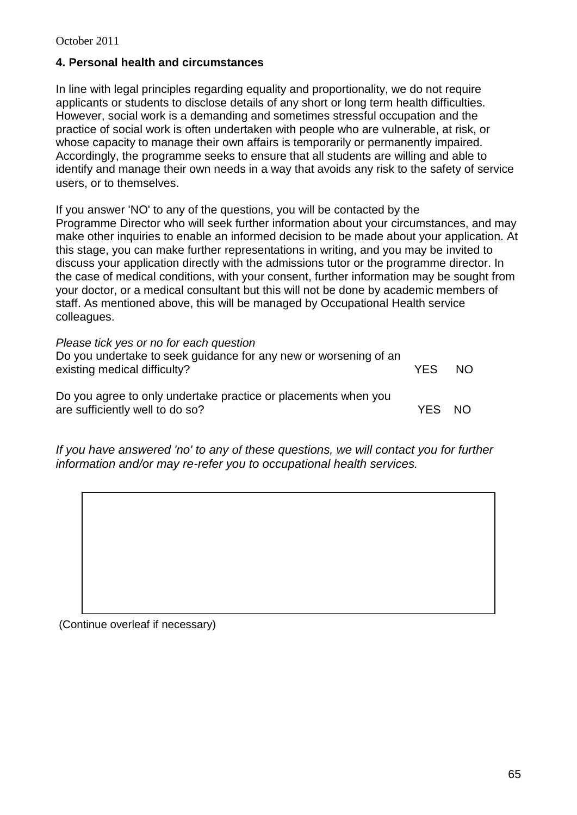### **4. Personal health and circumstances**

In line with legal principles regarding equality and proportionality, we do not require applicants or students to disclose details of any short or long term health difficulties. However, social work is a demanding and sometimes stressful occupation and the practice of social work is often undertaken with people who are vulnerable, at risk, or whose capacity to manage their own affairs is temporarily or permanently impaired. Accordingly, the programme seeks to ensure that all students are willing and able to identify and manage their own needs in a way that avoids any risk to the safety of service users, or to themselves.

If you answer 'NO' to any of the questions, you will be contacted by the Programme Director who will seek further information about your circumstances, and may make other inquiries to enable an informed decision to be made about your application. At this stage, you can make further representations in writing, and you may be invited to discuss your application directly with the admissions tutor or the programme director. In the case of medical conditions, with your consent, further information may be sought from your doctor, or a medical consultant but this will not be done by academic members of staff. As mentioned above, this will be managed by Occupational Health service colleagues.

| Please tick yes or no for each question<br>Do you undertake to seek guidance for any new or worsening of an<br>existing medical difficulty? | <b>YES</b> | -NO |
|---------------------------------------------------------------------------------------------------------------------------------------------|------------|-----|
| Do you agree to only undertake practice or placements when you<br>are sufficiently well to do so?                                           | YES NO     |     |

*If you have answered 'no' to any of these questions, we will contact you for further information and/or may re-refer you to occupational health services.* 

(Continue overleaf if necessary)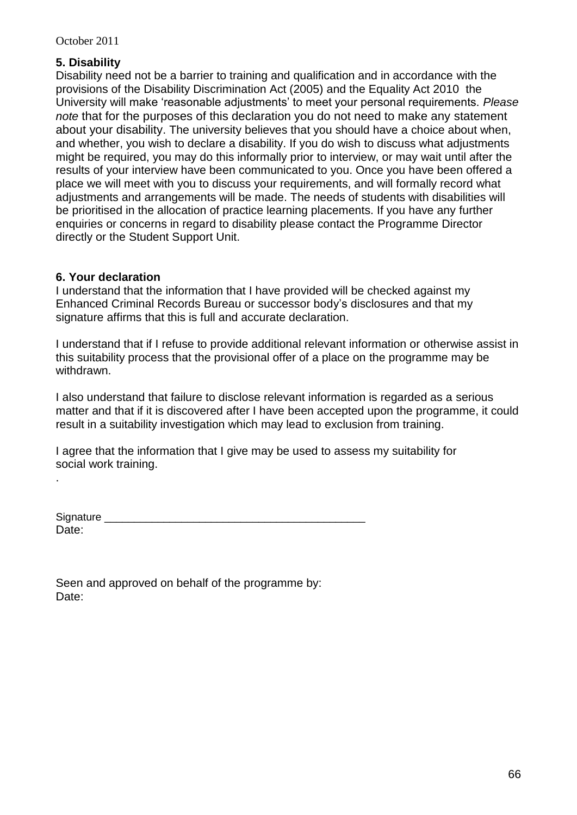### **5. Disability**

Disability need not be a barrier to training and qualification and in accordance with the provisions of the Disability Discrimination Act (2005) and the Equality Act 2010 the University will make 'reasonable adjustments' to meet your personal requirements. *Please note* that for the purposes of this declaration you do not need to make any statement about your disability. The university believes that you should have a choice about when, and whether, you wish to declare a disability. If you do wish to discuss what adjustments might be required, you may do this informally prior to interview, or may wait until after the results of your interview have been communicated to you. Once you have been offered a place we will meet with you to discuss your requirements, and will formally record what adjustments and arrangements will be made. The needs of students with disabilities will be prioritised in the allocation of practice learning placements. If you have any further enquiries or concerns in regard to disability please contact the Programme Director directly or the Student Support Unit.

### **6. Your declaration**

.

I understand that the information that I have provided will be checked against my Enhanced Criminal Records Bureau or successor body's disclosures and that my signature affirms that this is full and accurate declaration.

I understand that if I refuse to provide additional relevant information or otherwise assist in this suitability process that the provisional offer of a place on the programme may be withdrawn.

I also understand that failure to disclose relevant information is regarded as a serious matter and that if it is discovered after I have been accepted upon the programme, it could result in a suitability investigation which may lead to exclusion from training.

I agree that the information that I give may be used to assess my suitability for social work training.

| Signature |  |  |
|-----------|--|--|
| Date:     |  |  |

|       | Seen and approved on behalf of the programme by: |  |  |
|-------|--------------------------------------------------|--|--|
| Date: |                                                  |  |  |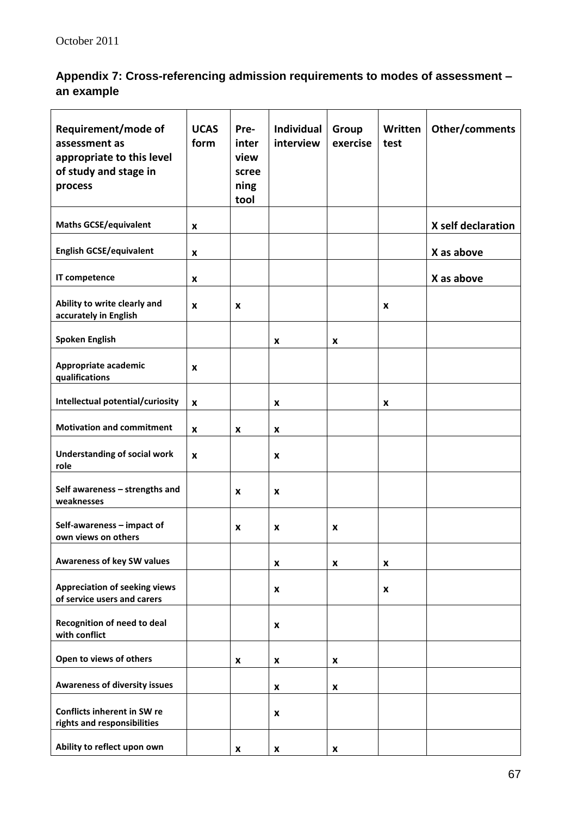# **Appendix 7: Cross-referencing admission requirements to modes of assessment – an example**

| Requirement/mode of<br>assessment as<br>appropriate to this level<br>of study and stage in<br>process | <b>UCAS</b><br>form | Pre-<br>inter<br>view<br>scree<br>ning<br>tool | Individual<br>interview | Group<br>exercise | Written<br>test | Other/comments     |
|-------------------------------------------------------------------------------------------------------|---------------------|------------------------------------------------|-------------------------|-------------------|-----------------|--------------------|
| <b>Maths GCSE/equivalent</b>                                                                          | X                   |                                                |                         |                   |                 | X self declaration |
| <b>English GCSE/equivalent</b>                                                                        | X                   |                                                |                         |                   |                 | X as above         |
| IT competence                                                                                         | X                   |                                                |                         |                   |                 | X as above         |
| Ability to write clearly and<br>accurately in English                                                 | X                   | x                                              |                         |                   | X               |                    |
| <b>Spoken English</b>                                                                                 |                     |                                                | x                       | X                 |                 |                    |
| Appropriate academic<br>qualifications                                                                | X                   |                                                |                         |                   |                 |                    |
| Intellectual potential/curiosity                                                                      | X                   |                                                | X                       |                   | X               |                    |
| <b>Motivation and commitment</b>                                                                      | X                   | x                                              | x                       |                   |                 |                    |
| <b>Understanding of social work</b><br>role                                                           | X                   |                                                | x                       |                   |                 |                    |
| Self awareness - strengths and<br>weaknesses                                                          |                     | x                                              | X                       |                   |                 |                    |
| Self-awareness - impact of<br>own views on others                                                     |                     | x                                              | X                       | X                 |                 |                    |
| <b>Awareness of key SW values</b>                                                                     |                     |                                                | x                       | X                 | x               |                    |
| <b>Appreciation of seeking views</b><br>of service users and carers                                   |                     |                                                | X                       |                   | X               |                    |
| Recognition of need to deal<br>with conflict                                                          |                     |                                                | X                       |                   |                 |                    |
| Open to views of others                                                                               |                     | X                                              | x                       | x                 |                 |                    |
| <b>Awareness of diversity issues</b>                                                                  |                     |                                                | X                       | X                 |                 |                    |
| Conflicts inherent in SW re<br>rights and responsibilities                                            |                     |                                                | X                       |                   |                 |                    |
| Ability to reflect upon own                                                                           |                     | X                                              | X                       | X                 |                 |                    |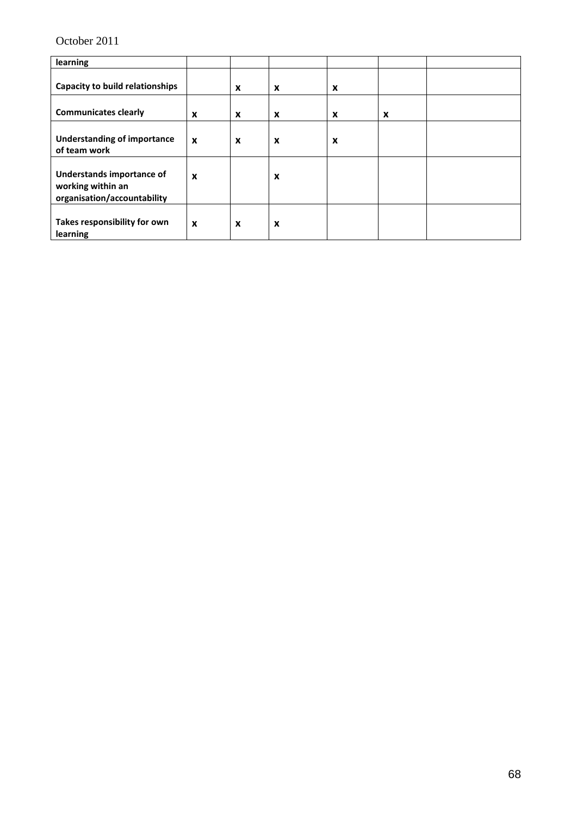| learning                                                                      |                  |                  |                  |   |   |  |
|-------------------------------------------------------------------------------|------------------|------------------|------------------|---|---|--|
| <b>Capacity to build relationships</b>                                        |                  | $\boldsymbol{x}$ | $\boldsymbol{x}$ | X |   |  |
| <b>Communicates clearly</b>                                                   | X                | X                | X                | X | X |  |
| <b>Understanding of importance</b><br>of team work                            | X                | X                | X                | X |   |  |
| Understands importance of<br>working within an<br>organisation/accountability | $\boldsymbol{x}$ |                  | X                |   |   |  |
| Takes responsibility for own<br>learning                                      | X                | $\boldsymbol{x}$ | $\boldsymbol{x}$ |   |   |  |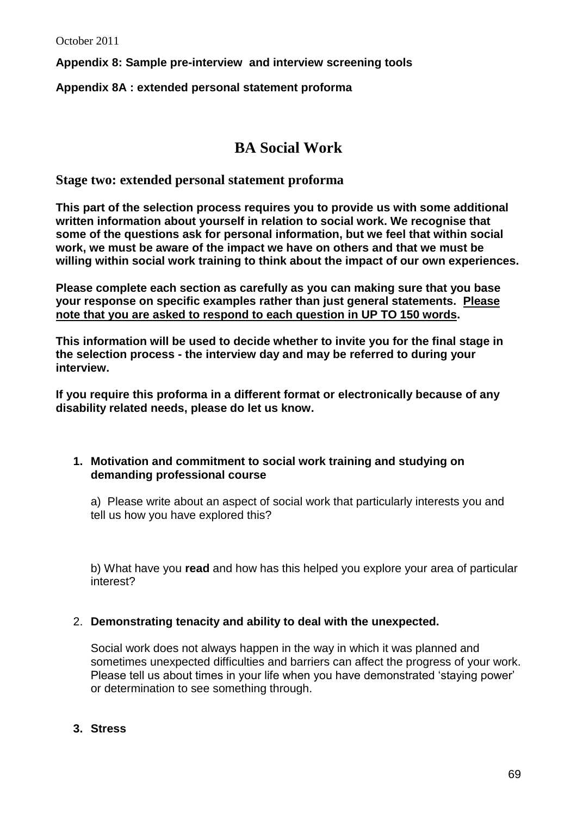**Appendix 8: Sample pre-interview and interview screening tools**

**Appendix 8A : extended personal statement proforma**

# **BA Social Work**

### **Stage two: extended personal statement proforma**

**This part of the selection process requires you to provide us with some additional written information about yourself in relation to social work. We recognise that some of the questions ask for personal information, but we feel that within social work, we must be aware of the impact we have on others and that we must be willing within social work training to think about the impact of our own experiences.**

**Please complete each section as carefully as you can making sure that you base your response on specific examples rather than just general statements. Please note that you are asked to respond to each question in UP TO 150 words.**

**This information will be used to decide whether to invite you for the final stage in the selection process - the interview day and may be referred to during your interview.**

**If you require this proforma in a different format or electronically because of any disability related needs, please do let us know.**

#### **1. Motivation and commitment to social work training and studying on demanding professional course**

a) Please write about an aspect of social work that particularly interests you and tell us how you have explored this?

b) What have you **read** and how has this helped you explore your area of particular interest?

#### 2. **Demonstrating tenacity and ability to deal with the unexpected.**

Social work does not always happen in the way in which it was planned and sometimes unexpected difficulties and barriers can affect the progress of your work. Please tell us about times in your life when you have demonstrated 'staying power' or determination to see something through.

### **3. Stress**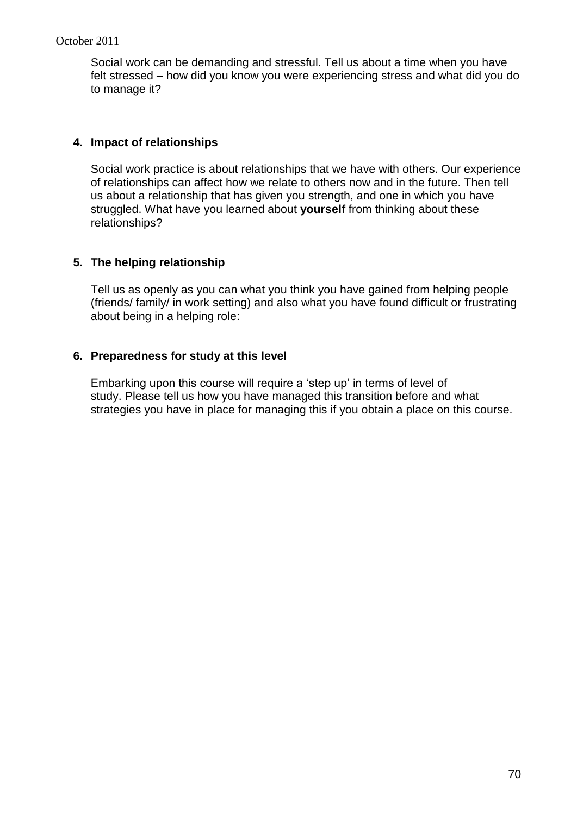Social work can be demanding and stressful. Tell us about a time when you have felt stressed – how did you know you were experiencing stress and what did you do to manage it?

### **4. Impact of relationships**

Social work practice is about relationships that we have with others. Our experience of relationships can affect how we relate to others now and in the future. Then tell us about a relationship that has given you strength, and one in which you have struggled. What have you learned about **yourself** from thinking about these relationships?

### **5. The helping relationship**

Tell us as openly as you can what you think you have gained from helping people (friends/ family/ in work setting) and also what you have found difficult or frustrating about being in a helping role:

### **6. Preparedness for study at this level**

Embarking upon this course will require a 'step up' in terms of level of study. Please tell us how you have managed this transition before and what strategies you have in place for managing this if you obtain a place on this course.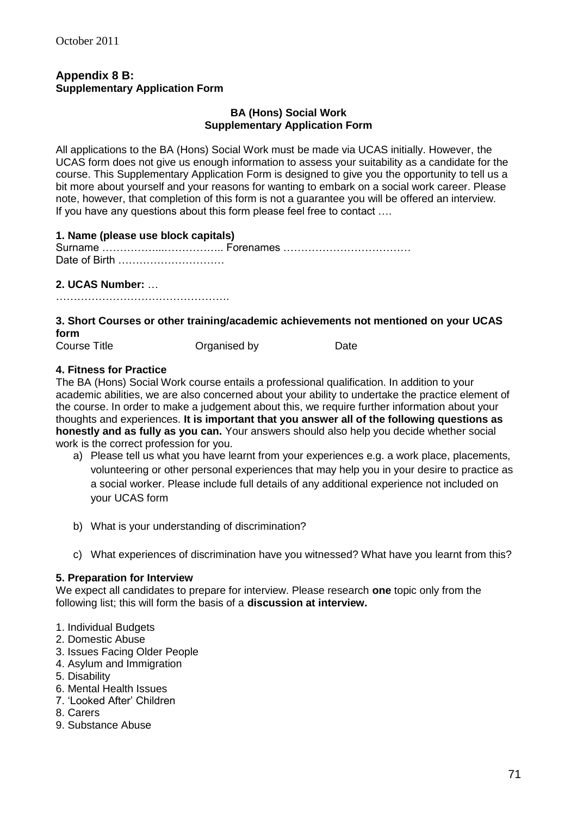### **Appendix 8 B: Supplementary Application Form**

#### **BA (Hons) Social Work Supplementary Application Form**

All applications to the BA (Hons) Social Work must be made via UCAS initially. However, the UCAS form does not give us enough information to assess your suitability as a candidate for the course. This Supplementary Application Form is designed to give you the opportunity to tell us a bit more about yourself and your reasons for wanting to embark on a social work career. Please note, however, that completion of this form is not a guarantee you will be offered an interview. If you have any questions about this form please feel free to contact ….

#### **1. Name (please use block capitals)**

#### **2. UCAS Number:** …

………………………………………….

# **3. Short Courses or other training/academic achievements not mentioned on your UCAS form**<br>Course Title

Organised by Date

#### **4. Fitness for Practice**

The BA (Hons) Social Work course entails a professional qualification. In addition to your academic abilities, we are also concerned about your ability to undertake the practice element of the course. In order to make a judgement about this, we require further information about your thoughts and experiences. **It is important that you answer all of the following questions as honestly and as fully as you can.** Your answers should also help you decide whether social work is the correct profession for you.

- a) Please tell us what you have learnt from your experiences e.g. a work place, placements, volunteering or other personal experiences that may help you in your desire to practice as a social worker. Please include full details of any additional experience not included on your UCAS form
- b) What is your understanding of discrimination?
- c) What experiences of discrimination have you witnessed? What have you learnt from this?

#### **5. Preparation for Interview**

We expect all candidates to prepare for interview. Please research **one** topic only from the following list; this will form the basis of a **discussion at interview.**

- 1. Individual Budgets
- 2. Domestic Abuse
- 3. Issues Facing Older People
- 4. Asylum and Immigration
- 5. Disability
- 6. Mental Health Issues
- 7. 'Looked After' Children
- 8. Carers
- 9. Substance Abuse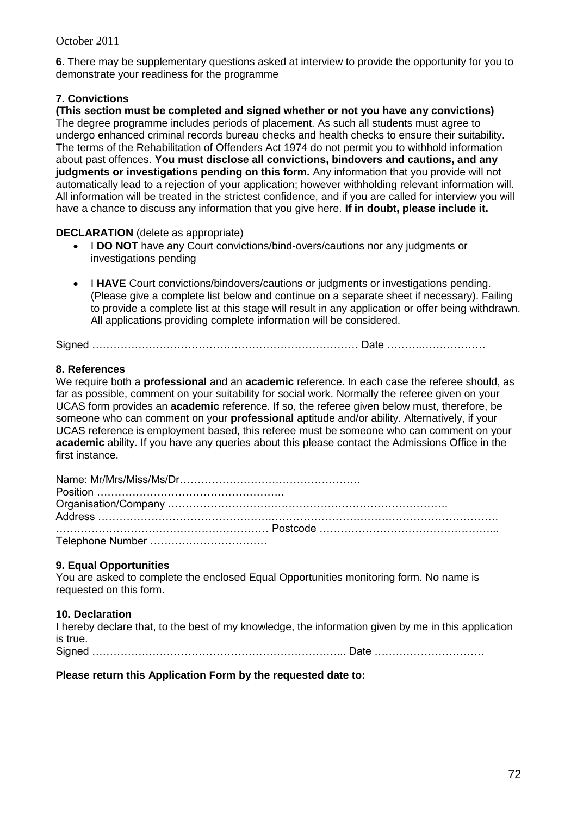**6**. There may be supplementary questions asked at interview to provide the opportunity for you to demonstrate your readiness for the programme

#### **7. Convictions**

**(This section must be completed and signed whether or not you have any convictions)** The degree programme includes periods of placement. As such all students must agree to undergo enhanced criminal records bureau checks and health checks to ensure their suitability. The terms of the Rehabilitation of Offenders Act 1974 do not permit you to withhold information about past offences. **You must disclose all convictions, bindovers and cautions, and any judgments or investigations pending on this form.** Any information that you provide will not automatically lead to a rejection of your application; however withholding relevant information will. All information will be treated in the strictest confidence, and if you are called for interview you will have a chance to discuss any information that you give here. **If in doubt, please include it.**

#### **DECLARATION** (delete as appropriate)

- I **DO NOT** have any Court convictions/bind-overs/cautions nor any judgments or investigations pending
- **I HAVE** Court convictions/bindovers/cautions or judgments or investigations pending. (Please give a complete list below and continue on a separate sheet if necessary). Failing to provide a complete list at this stage will result in any application or offer being withdrawn. All applications providing complete information will be considered.

Signed ………………………………………………………………… Date ……….………………

#### **8. References**

We require both a **professional** and an **academic** reference. In each case the referee should, as far as possible, comment on your suitability for social work. Normally the referee given on your UCAS form provides an **academic** reference. If so, the referee given below must, therefore, be someone who can comment on your **professional** aptitude and/or ability. Alternatively, if your UCAS reference is employment based, this referee must be someone who can comment on your **academic** ability. If you have any queries about this please contact the Admissions Office in the first instance.

#### **9. Equal Opportunities**

You are asked to complete the enclosed Equal Opportunities monitoring form. No name is requested on this form.

#### **10. Declaration**

I hereby declare that, to the best of my knowledge, the information given by me in this application is true.

Signed ……………………………………………………………... Date ………………………….

#### **Please return this Application Form by the requested date to:**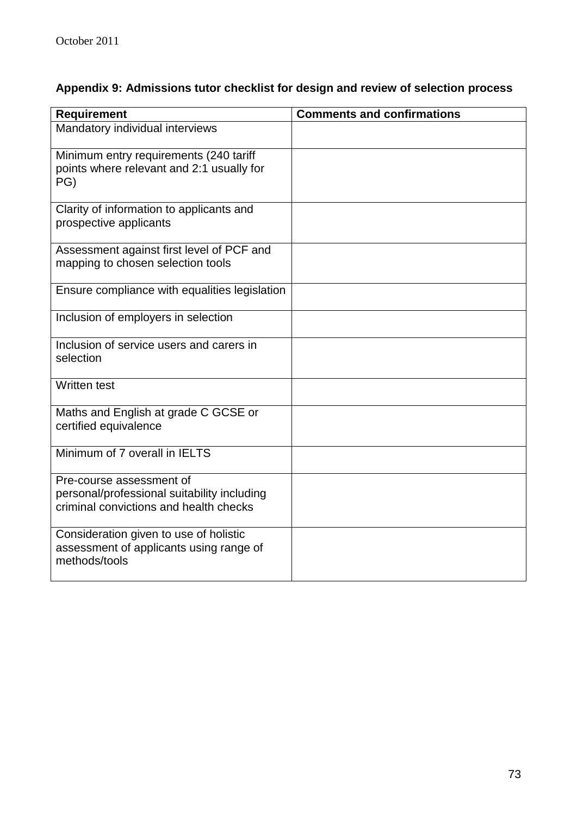## **Appendix 9: Admissions tutor checklist for design and review of selection process**

| <b>Requirement</b>                                                                                                | <b>Comments and confirmations</b> |
|-------------------------------------------------------------------------------------------------------------------|-----------------------------------|
| Mandatory individual interviews                                                                                   |                                   |
| Minimum entry requirements (240 tariff<br>points where relevant and 2:1 usually for<br>PG)                        |                                   |
| Clarity of information to applicants and<br>prospective applicants                                                |                                   |
| Assessment against first level of PCF and<br>mapping to chosen selection tools                                    |                                   |
| Ensure compliance with equalities legislation                                                                     |                                   |
| Inclusion of employers in selection                                                                               |                                   |
| Inclusion of service users and carers in<br>selection                                                             |                                   |
| <b>Written test</b>                                                                                               |                                   |
| Maths and English at grade C GCSE or<br>certified equivalence                                                     |                                   |
| Minimum of 7 overall in IELTS                                                                                     |                                   |
| Pre-course assessment of<br>personal/professional suitability including<br>criminal convictions and health checks |                                   |
| Consideration given to use of holistic<br>assessment of applicants using range of<br>methods/tools                |                                   |